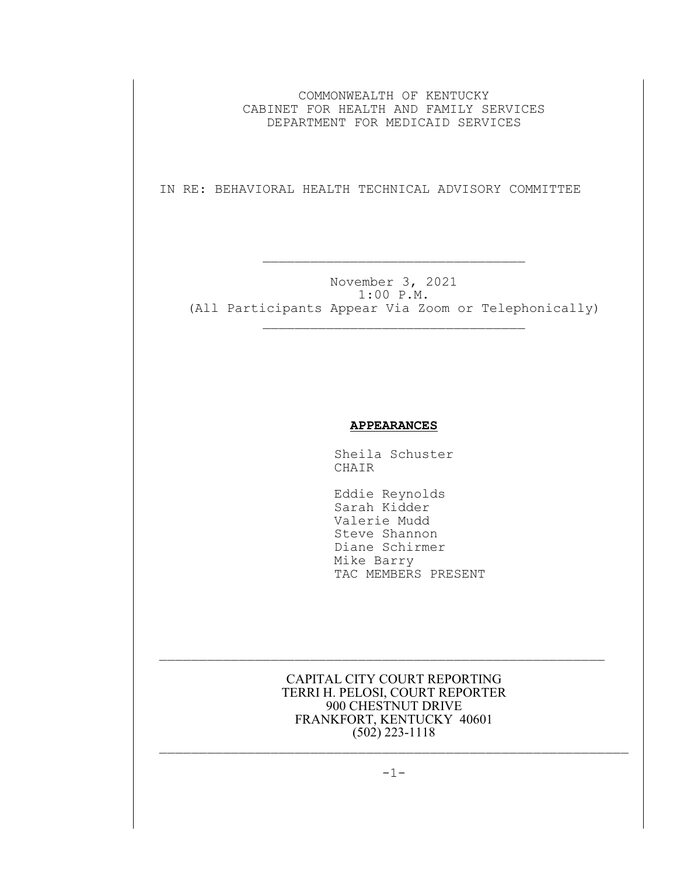COMMONWEALTH OF KENTUCKY CABINET FOR HEALTH AND FAMILY SERVICES DEPARTMENT FOR MEDICAID SERVICES

IN RE: BEHAVIORAL HEALTH TECHNICAL ADVISORY COMMITTEE

 $\mathcal{L}_\text{max}$  and the contract of the contract of the contract of the contract of the contract of the contract of the contract of the contract of the contract of the contract of the contract of the contract of the contrac

November 3, 2021 1:00 P.M. (All Participants Appear Via Zoom or Telephonically)  $\mathcal{L}_\text{max}$ 

## **APPEARANCES**

Sheila Schuster CHAIR

 Eddie Reynolds Sarah Kidder Valerie Mudd Steve Shannon Diane Schirmer Mike Barry TAC MEMBERS PRESENT

CAPITAL CITY COURT REPORTING TERRI H. PELOSI, COURT REPORTER 900 CHESTNUT DRIVE FRANKFORT, KENTUCKY 40601 (502) 223-1118

 $\mathcal{L}_\text{max}$  and the contract of the contract of the contract of the contract of the contract of the contract of the contract of the contract of the contract of the contract of the contract of the contract of the contrac

 $\mathcal{L}_\text{max}$  and the contract of the contract of the contract of the contract of the contract of the contract of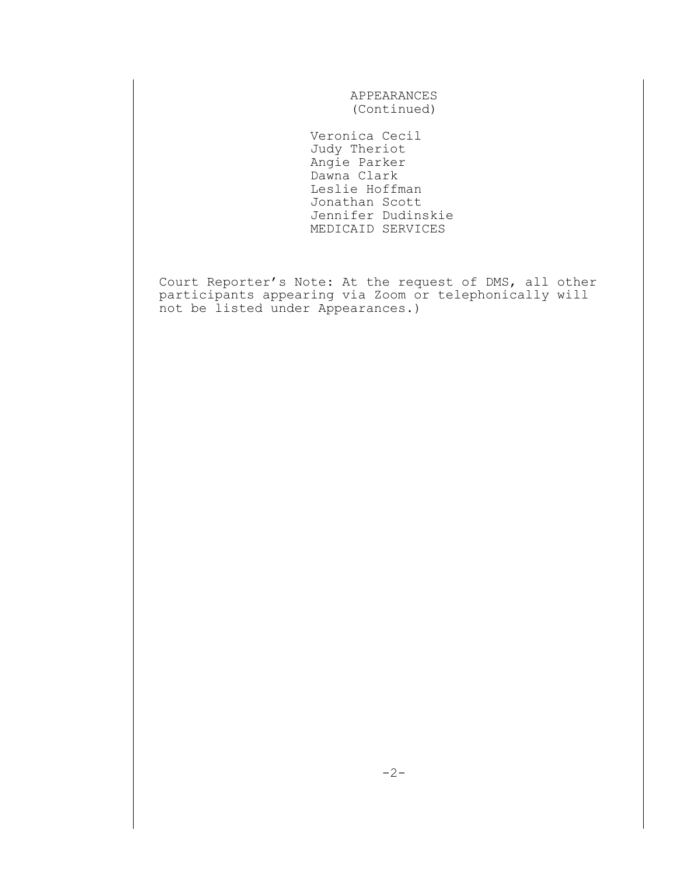APPEARANCES (Continued)

 Veronica Cecil Judy Theriot Angie Parker Dawna Clark Leslie Hoffman Jonathan Scott Jennifer Dudinskie MEDICAID SERVICES

Court Reporter's Note: At the request of DMS, all other participants appearing via Zoom or telephonically will not be listed under Appearances.)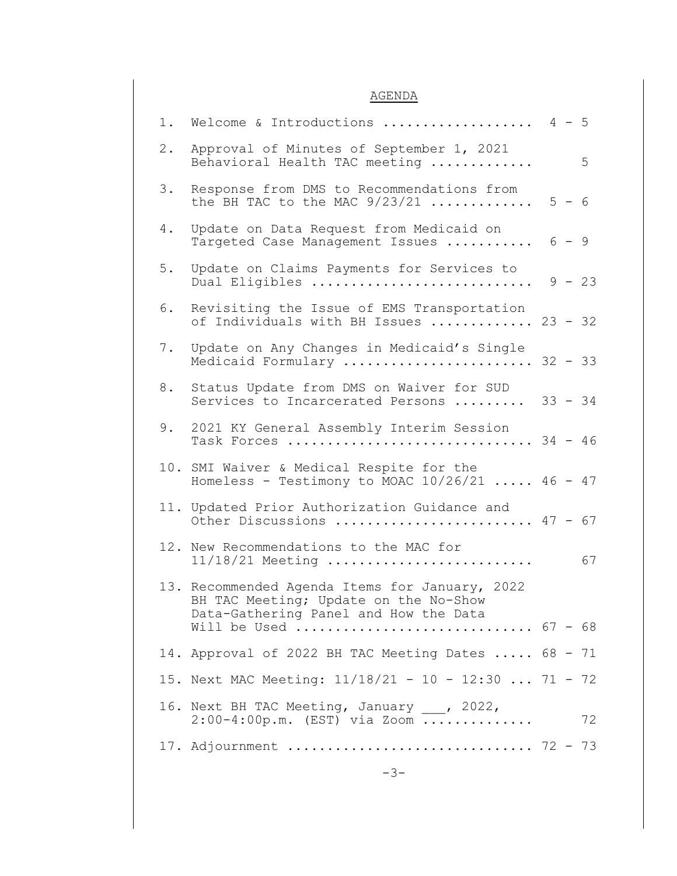## AGENDA

|     | 1. Welcome & Introductions  4 - 5                                                                                                |         |          |
|-----|----------------------------------------------------------------------------------------------------------------------------------|---------|----------|
| 2.  | Approval of Minutes of September 1, 2021<br>Behavioral Health TAC meeting                                                        |         | 5        |
| 3.  | Response from DMS to Recommendations from<br>the BH TAC to the MAC $9/23/21$                                                     | $5 - 6$ |          |
| 4.  | Update on Data Request from Medicaid on<br>Targeted Case Management Issues  6 - 9                                                |         |          |
| 5.  | Update on Claims Payments for Services to<br>Dual Eligibles                                                                      |         | $9 - 23$ |
| 6.  | Revisiting the Issue of EMS Transportation<br>of Individuals with BH Issues  23 - 32                                             |         |          |
| 7.  | Update on Any Changes in Medicaid's Single<br>Medicaid Formulary  32 - 33                                                        |         |          |
| 8.  | Status Update from DMS on Waiver for SUD<br>Services to Incarcerated Persons  33 - 34                                            |         |          |
| 9.  | 2021 KY General Assembly Interim Session<br>Task Forces  34 - 46                                                                 |         |          |
| 10. | SMI Waiver & Medical Respite for the<br>Homeless - Testimony to MOAC $10/26/21$ 46 - 47                                          |         |          |
|     | 11. Updated Prior Authorization Guidance and<br>Other Discussions $47 - 67$                                                      |         |          |
|     | 12. New Recommendations to the MAC for<br>$11/18/21$ Meeting                                                                     |         | 67       |
|     | 13. Recommended Agenda Items for January, 2022<br>BH TAC Meeting; Update on the No-Show<br>Data-Gathering Panel and How the Data |         |          |
|     | Will be Used $67 - 68$                                                                                                           |         |          |
|     | 14. Approval of 2022 BH TAC Meeting Dates  68 - 71<br>15. Next MAC Meeting: 11/18/21 - 10 - 12:30  71 - 72                       |         |          |
|     |                                                                                                                                  |         |          |
|     | 16. Next BH TAC Meeting, January ___, 2022,<br>$2:00-4:00p.m.$ (EST) via Zoom                                                    |         | 72       |
|     | 17. Adjournment  72 - 73                                                                                                         |         |          |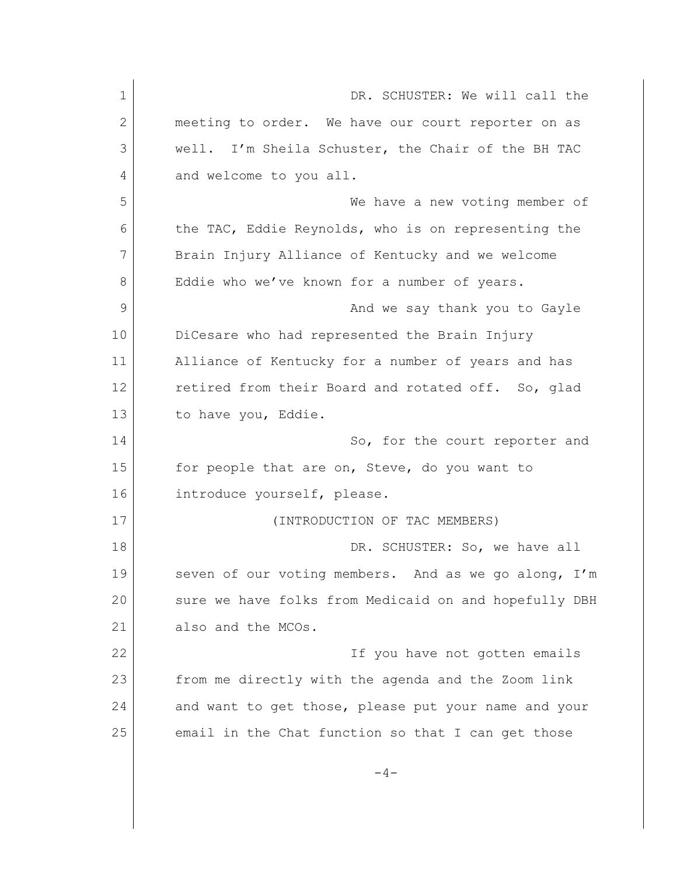1 DR. SCHUSTER: We will call the 2 meeting to order. We have our court reporter on as 3 well. I'm Sheila Schuster, the Chair of the BH TAC 4 and welcome to you all. 5 We have a new voting member of 6 the TAC, Eddie Reynolds, who is on representing the 7 Brain Injury Alliance of Kentucky and we welcome 8 Eddie who we've known for a number of years. 9 and we say thank you to Gayle 10 DiCesare who had represented the Brain Injury 11 Alliance of Kentucky for a number of years and has 12 retired from their Board and rotated off. So, glad 13 to have you, Eddie. 14 So, for the court reporter and 15 for people that are on, Steve, do you want to 16 introduce yourself, please. 17 (INTRODUCTION OF TAC MEMBERS) 18 DR. SCHUSTER: So, we have all 19 Seven of our voting members. And as we go along, I'm 20 sure we have folks from Medicaid on and hopefully DBH 21 also and the MCOs. 22 If you have not gotten emails 23 from me directly with the agenda and the Zoom link 24 and want to get those, please put your name and your 25 email in the Chat function so that I can get those  $-4-$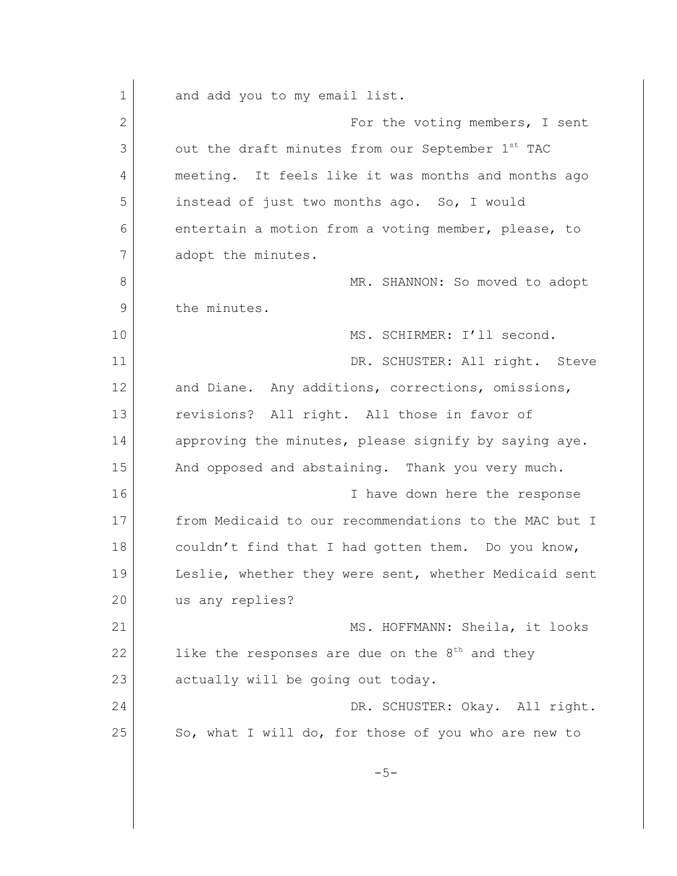1 and add you to my email list. 2 For the voting members, I sent 3 out the draft minutes from our September 1<sup>st</sup> TAC 4 meeting. It feels like it was months and months ago 5 instead of just two months ago. So, I would 6 entertain a motion from a voting member, please, to 7 adopt the minutes. 8 MR. SHANNON: So moved to adopt 9 the minutes. 10 MS. SCHIRMER: I'll second. 11 DR. SCHUSTER: All right. Steve 12 and Diane. Any additions, corrections, omissions, 13 revisions? All right. All those in favor of 14 approving the minutes, please signify by saying aye. 15 And opposed and abstaining. Thank you very much. 16 16 I have down here the response 17 from Medicaid to our recommendations to the MAC but I  $18$  couldn't find that I had gotten them. Do you know, 19 Leslie, whether they were sent, whether Medicaid sent 20 us any replies? 21 | MS. HOFFMANN: Sheila, it looks 22 like the responses are due on the  $8<sup>th</sup>$  and they 23 actually will be going out today. 24 DR. SCHUSTER: Okay. All right. 25 So, what I will do, for those of you who are new to  $-5-$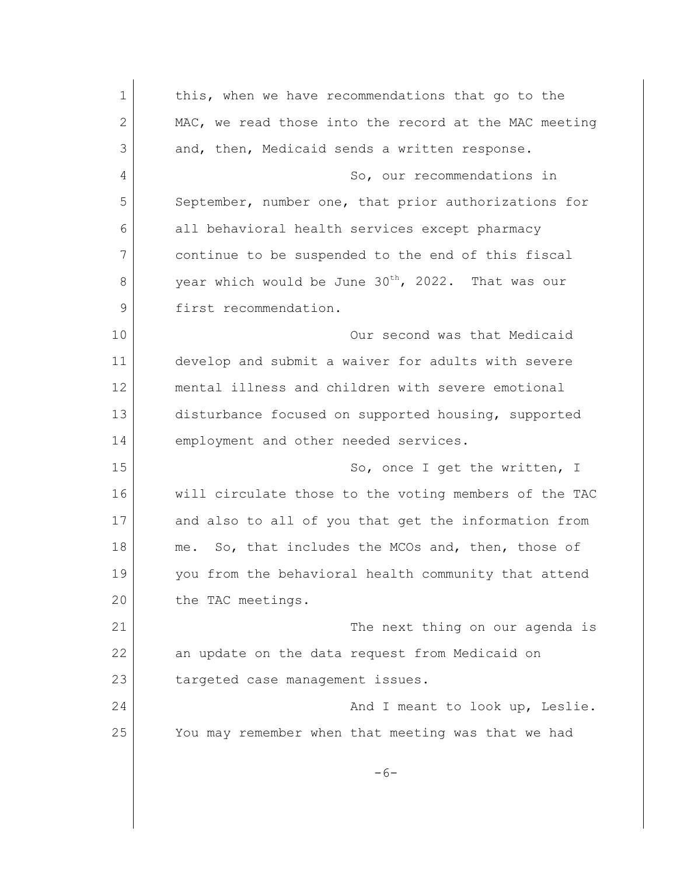1 this, when we have recommendations that go to the 2 MAC, we read those into the record at the MAC meeting 3 and, then, Medicaid sends a written response. 4 So, our recommendations in 5 September, number one, that prior authorizations for 6 all behavioral health services except pharmacy 7 continue to be suspended to the end of this fiscal  $8$  year which would be June 30<sup>th</sup>, 2022. That was our 9 first recommendation. 10 Our second was that Medicaid 11 develop and submit a waiver for adults with severe 12 mental illness and children with severe emotional 13 disturbance focused on supported housing, supported 14 employment and other needed services. 15 So, once I get the written, I 16 will circulate those to the voting members of the TAC 17 and also to all of you that get the information from 18 me. So, that includes the MCOs and, then, those of 19 you from the behavioral health community that attend 20 the TAC meetings. 21 | The next thing on our agenda is 22 an update on the data request from Medicaid on 23 targeted case management issues. 24 And I meant to look up, Leslie. 25 You may remember when that meeting was that we had  $-6-$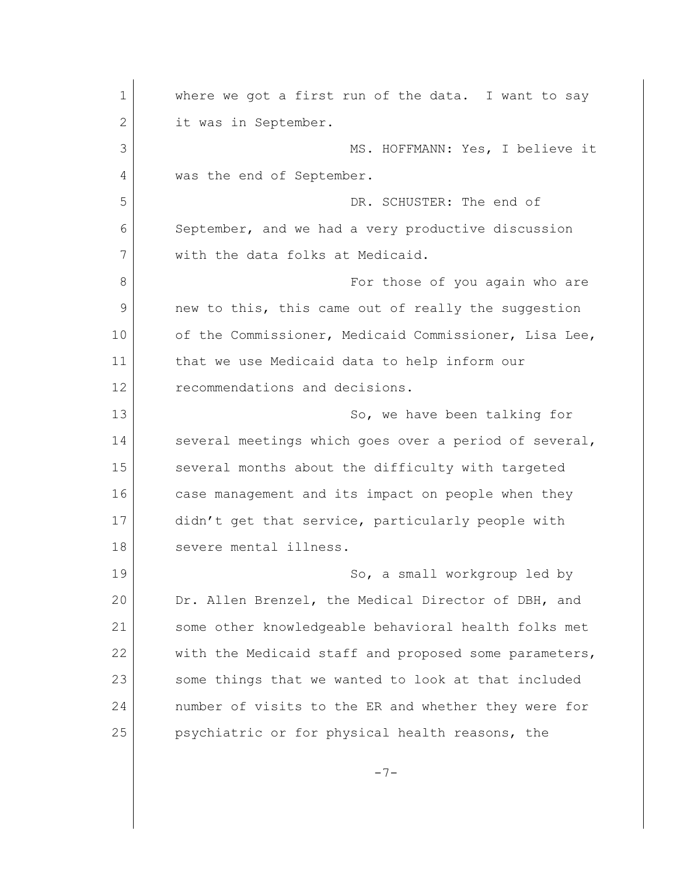1 where we got a first run of the data. I want to say 2 it was in September. 3 MS. HOFFMANN: Yes, I believe it 4 was the end of September. 5 DR. SCHUSTER: The end of 6 September, and we had a very productive discussion 7 with the data folks at Medicaid. 8 and 8 For those of you again who are 9 new to this, this came out of really the suggestion 10 of the Commissioner, Medicaid Commissioner, Lisa Lee, 11 that we use Medicaid data to help inform our 12 recommendations and decisions. 13 So, we have been talking for 14 several meetings which goes over a period of several, 15 several months about the difficulty with targeted 16 case management and its impact on people when they 17 didn't get that service, particularly people with 18 severe mental illness. 19 So, a small workgroup led by 20 Dr. Allen Brenzel, the Medical Director of DBH, and 21 some other knowledgeable behavioral health folks met 22 with the Medicaid staff and proposed some parameters, 23 | some things that we wanted to look at that included 24 number of visits to the ER and whether they were for 25 psychiatric or for physical health reasons, the

 $-7-$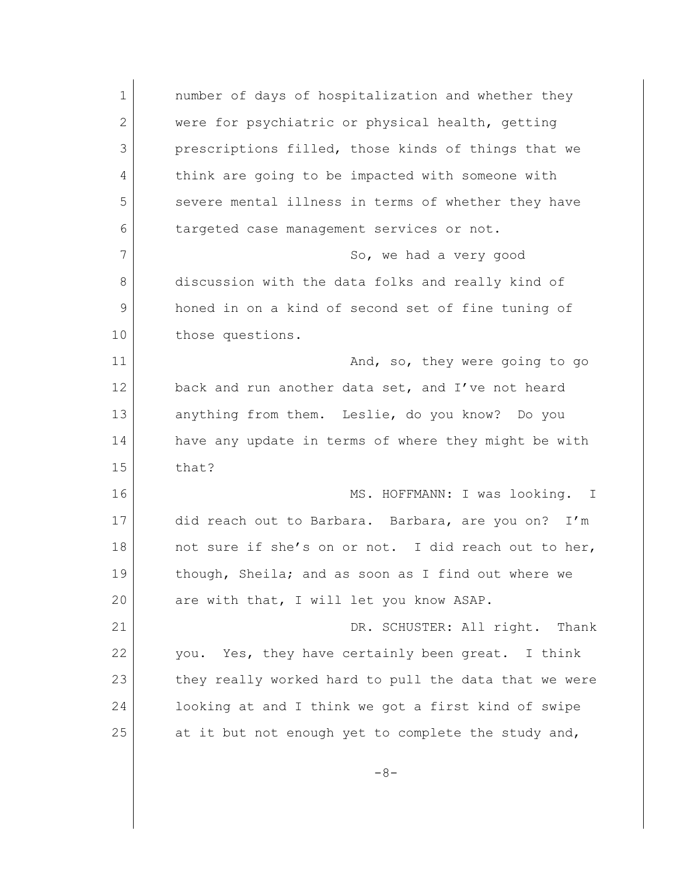1 **number of days of hospitalization and whether they** 2 were for psychiatric or physical health, getting 3 prescriptions filled, those kinds of things that we 4 think are going to be impacted with someone with 5 severe mental illness in terms of whether they have 6 targeted case management services or not. 7 So, we had a very good 8 discussion with the data folks and really kind of 9 honed in on a kind of second set of fine tuning of 10 those questions. 11 And, so, they were going to go 12 back and run another data set, and I've not heard 13 anything from them. Leslie, do you know? Do you 14 have any update in terms of where they might be with 15 that? 16 MS. HOFFMANN: I was looking. I 17 did reach out to Barbara. Barbara, are you on? I'm 18 not sure if she's on or not. I did reach out to her, 19 though, Sheila; and as soon as I find out where we 20 are with that, I will let you know ASAP. 21 DR. SCHUSTER: All right. Thank 22 you. Yes, they have certainly been great. I think 23 they really worked hard to pull the data that we were 24 looking at and I think we got a first kind of swipe 25 at it but not enough yet to complete the study and,  $-8-$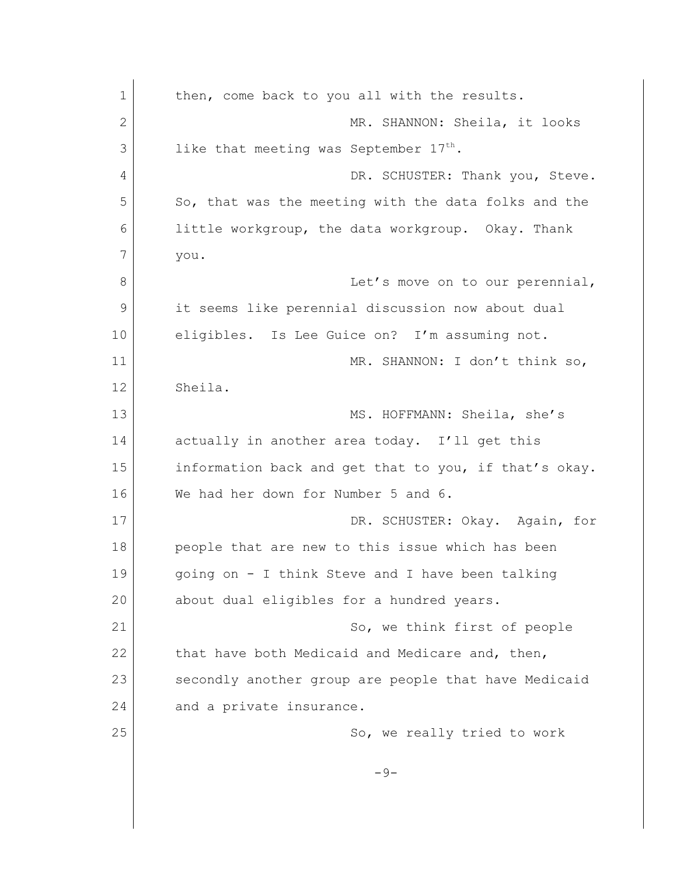| 1  | then, come back to you all with the results.          |
|----|-------------------------------------------------------|
| 2  | MR. SHANNON: Sheila, it looks                         |
| 3  | like that meeting was September $17^{\text{th}}$ .    |
| 4  | DR. SCHUSTER: Thank you, Steve.                       |
| 5  | So, that was the meeting with the data folks and the  |
| 6  | little workgroup, the data workgroup. Okay. Thank     |
| 7  | you.                                                  |
| 8  | Let's move on to our perennial,                       |
| 9  | it seems like perennial discussion now about dual     |
| 10 | eligibles. Is Lee Guice on? I'm assuming not.         |
| 11 | MR. SHANNON: I don't think so,                        |
| 12 | Sheila.                                               |
| 13 | MS. HOFFMANN: Sheila, she's                           |
| 14 | actually in another area today. I'll get this         |
| 15 | information back and get that to you, if that's okay. |
| 16 | We had her down for Number 5 and 6.                   |
| 17 | DR. SCHUSTER: Okay. Again, for                        |
| 18 | people that are new to this issue which has been      |
| 19 | going on - I think Steve and I have been talking      |
| 20 | about dual eligibles for a hundred years.             |
| 21 | So, we think first of people                          |
| 22 | that have both Medicaid and Medicare and, then,       |
| 23 | secondly another group are people that have Medicaid  |
| 24 | and a private insurance.                              |
| 25 | So, we really tried to work                           |
|    | $-9-$                                                 |
|    |                                                       |
|    |                                                       |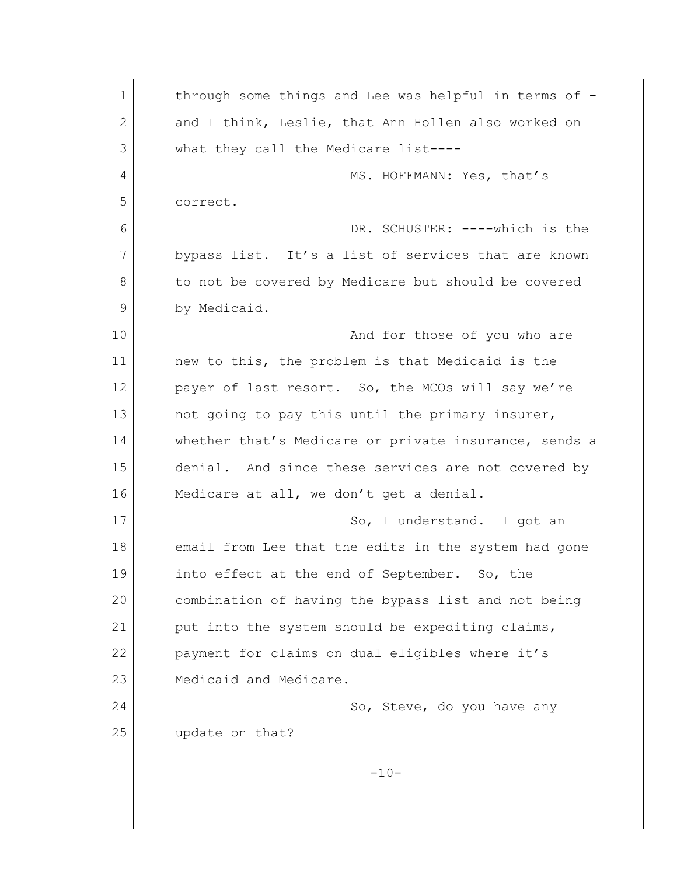| 1            | through some things and Lee was helpful in terms of - |
|--------------|-------------------------------------------------------|
| $\mathbf{2}$ | and I think, Leslie, that Ann Hollen also worked on   |
| 3            | what they call the Medicare list----                  |
| 4            | MS. HOFFMANN: Yes, that's                             |
| 5            | correct.                                              |
| 6            | DR. SCHUSTER: ----which is the                        |
| 7            | bypass list. It's a list of services that are known   |
| 8            | to not be covered by Medicare but should be covered   |
| 9            | by Medicaid.                                          |
| 10           | And for those of you who are                          |
| 11           | new to this, the problem is that Medicaid is the      |
| 12           | payer of last resort. So, the MCOs will say we're     |
| 13           | not going to pay this until the primary insurer,      |
| 14           | whether that's Medicare or private insurance, sends a |
| 15           | denial. And since these services are not covered by   |
| 16           | Medicare at all, we don't get a denial.               |
| 17           | So, I understand. I got an                            |
| 18           | email from Lee that the edits in the system had gone  |
| 19           | into effect at the end of September. So, the          |
| 20           | combination of having the bypass list and not being   |
| 21           | put into the system should be expediting claims,      |
| 22           | payment for claims on dual eligibles where it's       |
| 23           | Medicaid and Medicare.                                |
| 24           | So, Steve, do you have any                            |
| 25           | update on that?                                       |
|              | $-10-$                                                |
|              |                                                       |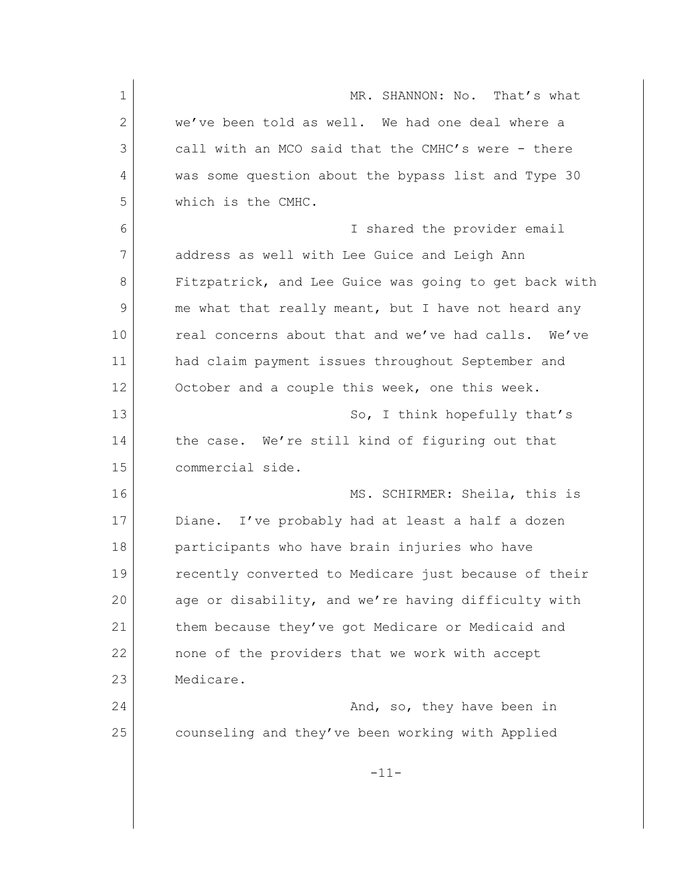1 MR. SHANNON: No. That's what 2 we've been told as well. We had one deal where a 3 call with an MCO said that the CMHC's were - there 4 was some question about the bypass list and Type 30 5 which is the CMHC. 6 I shared the provider email 7 address as well with Lee Guice and Leigh Ann 8 Fitzpatrick, and Lee Guice was going to get back with 9 me what that really meant, but I have not heard any 10 real concerns about that and we've had calls. We've 11 had claim payment issues throughout September and 12 October and a couple this week, one this week. 13 So, I think hopefully that's 14 the case. We're still kind of figuring out that 15 commercial side. 16 MS. SCHIRMER: Sheila, this is 17 Diane. I've probably had at least a half a dozen 18 participants who have brain injuries who have 19 recently converted to Medicare just because of their 20 age or disability, and we're having difficulty with 21 them because they've got Medicare or Medicaid and 22 none of the providers that we work with accept 23 Medicare. 24 And, so, they have been in 25 counseling and they've been working with Applied -11-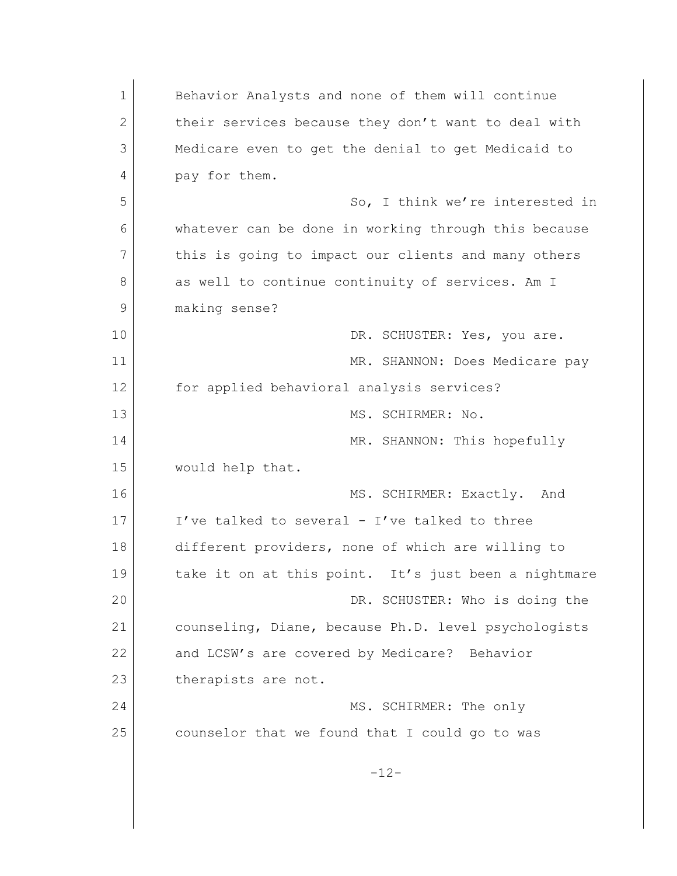| $\mathbf 1$   | Behavior Analysts and none of them will continue     |
|---------------|------------------------------------------------------|
| $\mathbf{2}$  | their services because they don't want to deal with  |
| 3             | Medicare even to get the denial to get Medicaid to   |
| 4             | pay for them.                                        |
| 5             | So, I think we're interested in                      |
| 6             | whatever can be done in working through this because |
| 7             | this is going to impact our clients and many others  |
| 8             | as well to continue continuity of services. Am I     |
| $\mathcal{G}$ | making sense?                                        |
| 10            | DR. SCHUSTER: Yes, you are.                          |
| 11            | MR. SHANNON: Does Medicare pay                       |
| 12            | for applied behavioral analysis services?            |
| 13            | MS. SCHIRMER: No.                                    |
| 14            | MR. SHANNON: This hopefully                          |
| 15            | would help that.                                     |
| 16            | MS. SCHIRMER: Exactly. And                           |
| 17            | I've talked to several - I've talked to three        |
| 18            | different providers, none of which are willing to    |
| 19            | take it on at this point. It's just been a nightmare |
| 20            | DR. SCHUSTER: Who is doing the                       |
| 21            | counseling, Diane, because Ph.D. level psychologists |
| 22            | and LCSW's are covered by Medicare? Behavior         |
| 23            | therapists are not.                                  |
| 24            | MS. SCHIRMER: The only                               |
| 25            | counselor that we found that I could go to was       |
|               | $-12-$                                               |
|               |                                                      |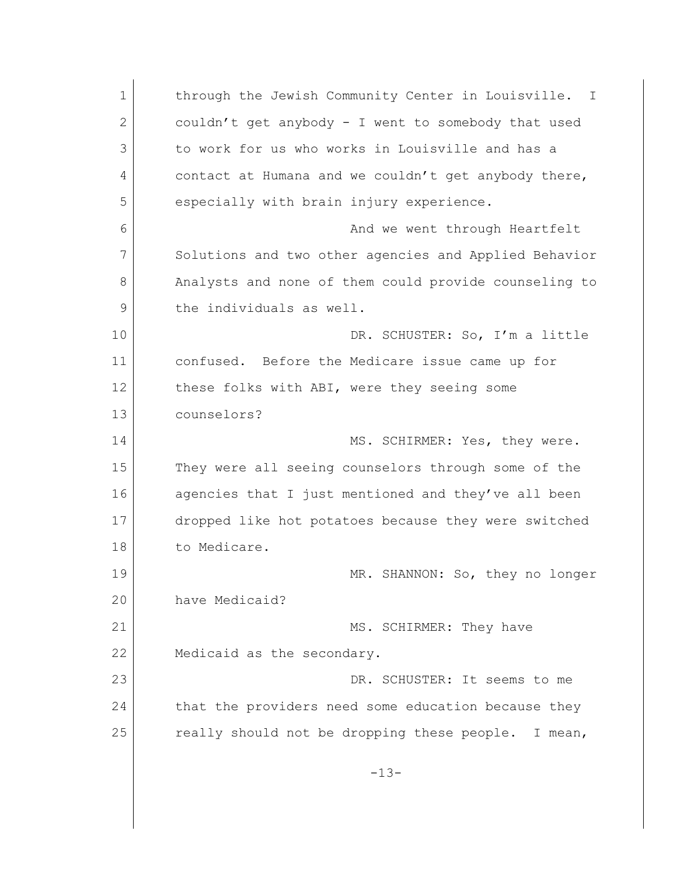1 **through the Jewish Community Center in Louisville.** I 2 couldn't get anybody - I went to somebody that used 3 to work for us who works in Louisville and has a 4 contact at Humana and we couldn't get anybody there, 5 especially with brain injury experience. 6 **6 And we went through Heartfelt** 7 Solutions and two other agencies and Applied Behavior 8 Analysts and none of them could provide counseling to 9 the individuals as well. 10 DR. SCHUSTER: So, I'm a little 11 confused. Before the Medicare issue came up for 12 these folks with ABI, were they seeing some 13 counselors? 14 MS. SCHIRMER: Yes, they were. 15 They were all seeing counselors through some of the 16 agencies that I just mentioned and they've all been 17 dropped like hot potatoes because they were switched 18 to Medicare. 19 MR. SHANNON: So, they no longer 20 have Medicaid? 21 | MS. SCHIRMER: They have 22 Medicaid as the secondary. 23 DR. SCHUSTER: It seems to me 24 that the providers need some education because they 25 really should not be dropping these people. I mean,  $-13-$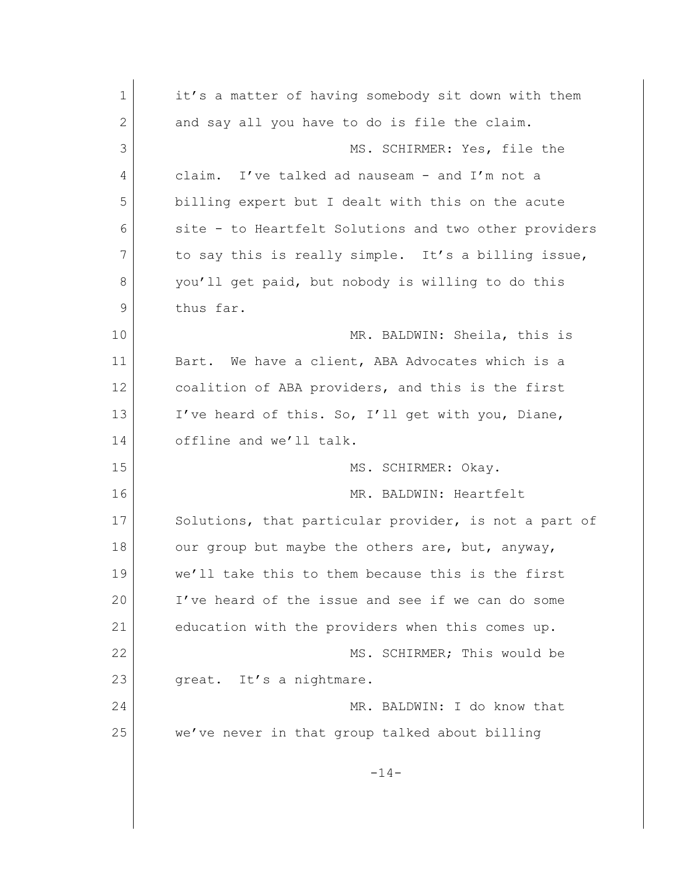| 1             | it's a matter of having somebody sit down with them   |
|---------------|-------------------------------------------------------|
| 2             | and say all you have to do is file the claim.         |
| 3             | MS. SCHIRMER: Yes, file the                           |
| 4             | I've talked ad nauseam - and I'm not a<br>claim.      |
| 5             | billing expert but I dealt with this on the acute     |
| 6             | site - to Heartfelt Solutions and two other providers |
| 7             | to say this is really simple. It's a billing issue,   |
| 8             | you'll get paid, but nobody is willing to do this     |
| $\mathcal{G}$ | thus far.                                             |
| 10            | MR. BALDWIN: Sheila, this is                          |
| 11            | We have a client, ABA Advocates which is a<br>Bart.   |
| 12            | coalition of ABA providers, and this is the first     |
| 13            | I've heard of this. So, I'll get with you, Diane,     |
| 14            | offline and we'll talk.                               |
| 15            | SCHIRMER: Okay.<br>MS.                                |
| 16            | MR. BALDWIN: Heartfelt                                |
| 17            | Solutions, that particular provider, is not a part of |
| 18            | our group but maybe the others are, but, anyway,      |
| 19            | we'll take this to them because this is the first     |
| 20            | I've heard of the issue and see if we can do some     |
| 21            | education with the providers when this comes up.      |
| 22            | MS. SCHIRMER; This would be                           |
| 23            | great. It's a nightmare.                              |
| 24            | MR. BALDWIN: I do know that                           |
| 25            | we've never in that group talked about billing        |
|               | $-14-$                                                |
|               |                                                       |
|               |                                                       |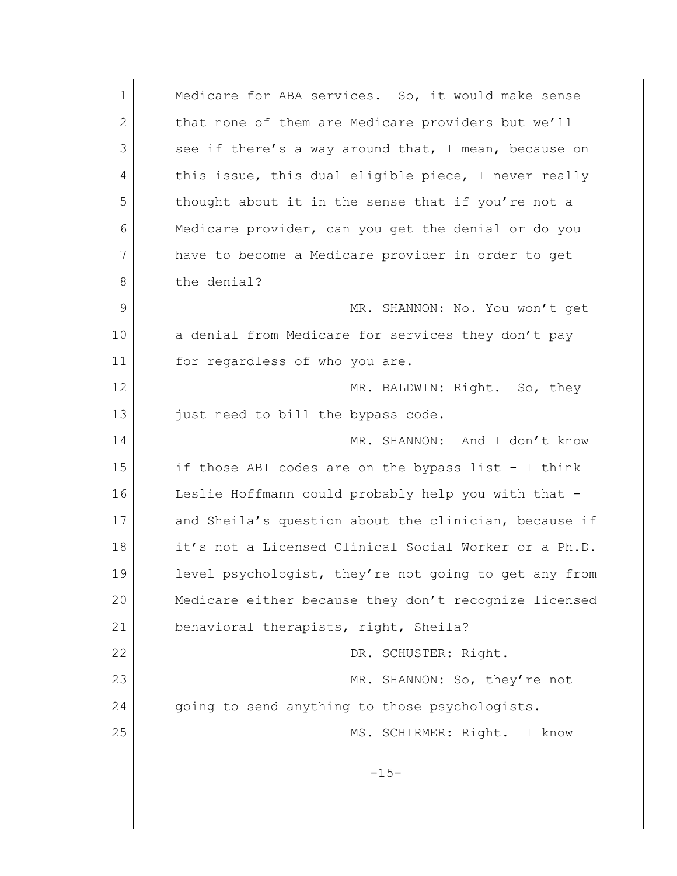1 Medicare for ABA services. So, it would make sense 2 that none of them are Medicare providers but we'll 3 see if there's a way around that, I mean, because on 4 this issue, this dual eligible piece, I never really 5 thought about it in the sense that if you're not a 6 Medicare provider, can you get the denial or do you 7 have to become a Medicare provider in order to get 8 the denial? 9 MR. SHANNON: No. You won't get 10 a denial from Medicare for services they don't pay 11 for regardless of who you are. 12 MR. BALDWIN: Right. So, they 13 just need to bill the bypass code. 14 MR. SHANNON: And I don't know 15 if those ABI codes are on the bypass list - I think 16 Leslie Hoffmann could probably help you with that -17 and Sheila's question about the clinician, because if 18 it's not a Licensed Clinical Social Worker or a Ph.D. 19 level psychologist, they're not going to get any from 20 Medicare either because they don't recognize licensed 21 behavioral therapists, right, Sheila? 22 DR. SCHUSTER: Right. 23 MR. SHANNON: So, they're not 24 going to send anything to those psychologists. 25 MS. SCHIRMER: Right. I know  $-15-$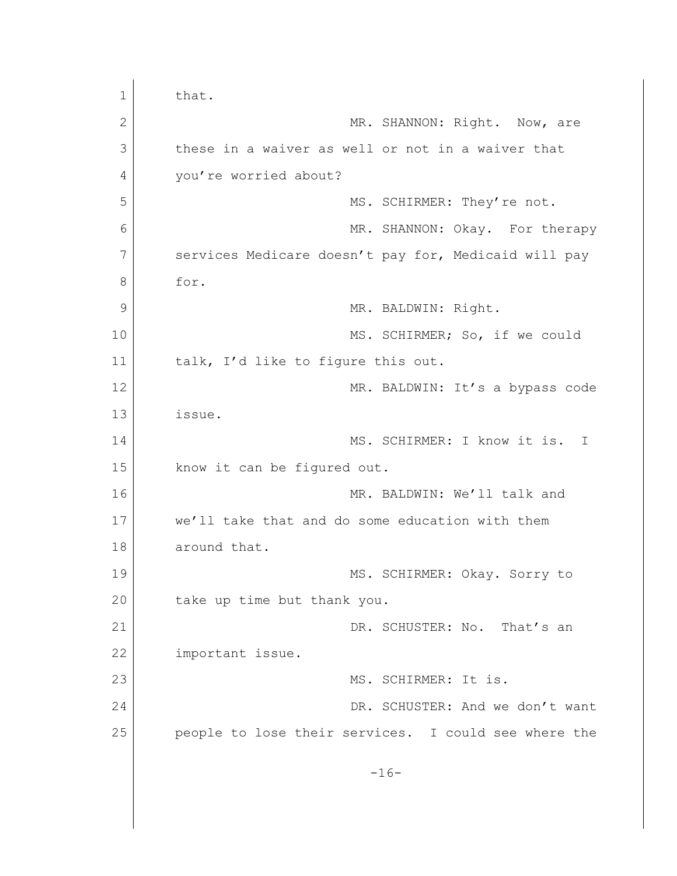1 that. 2 MR. SHANNON: Right. Now, are 3 these in a waiver as well or not in a waiver that 4 you're worried about? 5 MS. SCHIRMER: They're not. 6 MR. SHANNON: Okay. For therapy 7 services Medicare doesn't pay for, Medicaid will pay 8 for. 9 MR. BALDWIN: Right. 10 MS. SCHIRMER; So, if we could 11 talk, I'd like to figure this out. 12 MR. BALDWIN: It's a bypass code 13 issue. 14 MS. SCHIRMER: I know it is. I 15 know it can be figured out. 16 MR. BALDWIN: We'll talk and 17 we'll take that and do some education with them 18 around that. 19 MS. SCHIRMER: Okay. Sorry to 20 take up time but thank you. 21 DR. SCHUSTER: No. That's an 22 important issue. 23 MS. SCHIRMER: It is. 24 DR. SCHUSTER: And we don't want 25 people to lose their services. I could see where the  $-16-$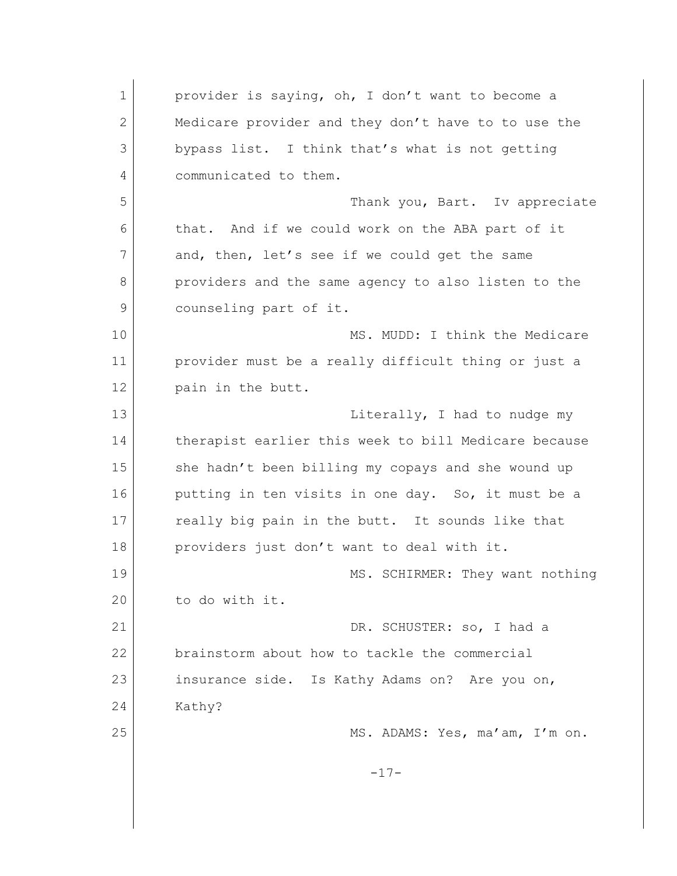1 provider is saying, oh, I don't want to become a 2 Medicare provider and they don't have to to use the 3 bypass list. I think that's what is not getting 4 communicated to them. 5 Thank you, Bart. Iv appreciate 6 that. And if we could work on the ABA part of it 7 and, then, let's see if we could get the same 8 providers and the same agency to also listen to the 9 counseling part of it. 10 MS. MUDD: I think the Medicare 11 provider must be a really difficult thing or just a 12 pain in the butt. 13 | The Literally, I had to nudge my 14 therapist earlier this week to bill Medicare because 15 she hadn't been billing my copays and she wound up 16 putting in ten visits in one day. So, it must be a 17 really big pain in the butt. It sounds like that 18 providers just don't want to deal with it. 19 MS. SCHIRMER: They want nothing 20 to do with it. 21 DR. SCHUSTER: so, I had a 22 brainstorm about how to tackle the commercial 23 insurance side. Is Kathy Adams on? Are you on, 24 Kathy? 25 MS. ADAMS: Yes, ma'am, I'm on.  $-17-$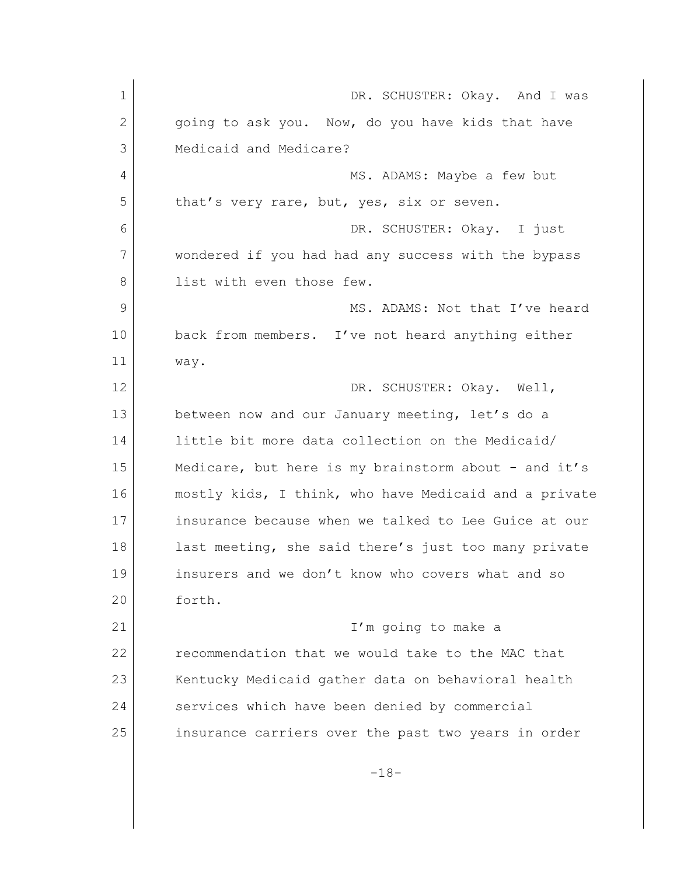| $\mathbf 1$    | DR. SCHUSTER: Okay. And I was                         |
|----------------|-------------------------------------------------------|
| 2              | going to ask you. Now, do you have kids that have     |
| 3              | Medicaid and Medicare?                                |
| 4              | MS. ADAMS: Maybe a few but                            |
| 5              | that's very rare, but, yes, six or seven.             |
| 6              | DR. SCHUSTER: Okay. I just                            |
| 7              | wondered if you had had any success with the bypass   |
| 8              | list with even those few.                             |
| $\overline{9}$ | MS. ADAMS: Not that I've heard                        |
| 10             | back from members. I've not heard anything either     |
| 11             | way.                                                  |
| 12             | DR. SCHUSTER: Okay. Well,                             |
| 13             | between now and our January meeting, let's do a       |
| 14             | little bit more data collection on the Medicaid/      |
| 15             | Medicare, but here is my brainstorm about - and it's  |
| 16             | mostly kids, I think, who have Medicaid and a private |
| 17             | insurance because when we talked to Lee Guice at our  |
| 18             | last meeting, she said there's just too many private  |
| 19             | insurers and we don't know who covers what and so     |
| 20             | forth.                                                |
| 21             | I'm going to make a                                   |
| 22             | recommendation that we would take to the MAC that     |
| 23             | Kentucky Medicaid gather data on behavioral health    |
| 24             | services which have been denied by commercial         |
| 25             | insurance carriers over the past two years in order   |
|                |                                                       |
|                | $-18-$                                                |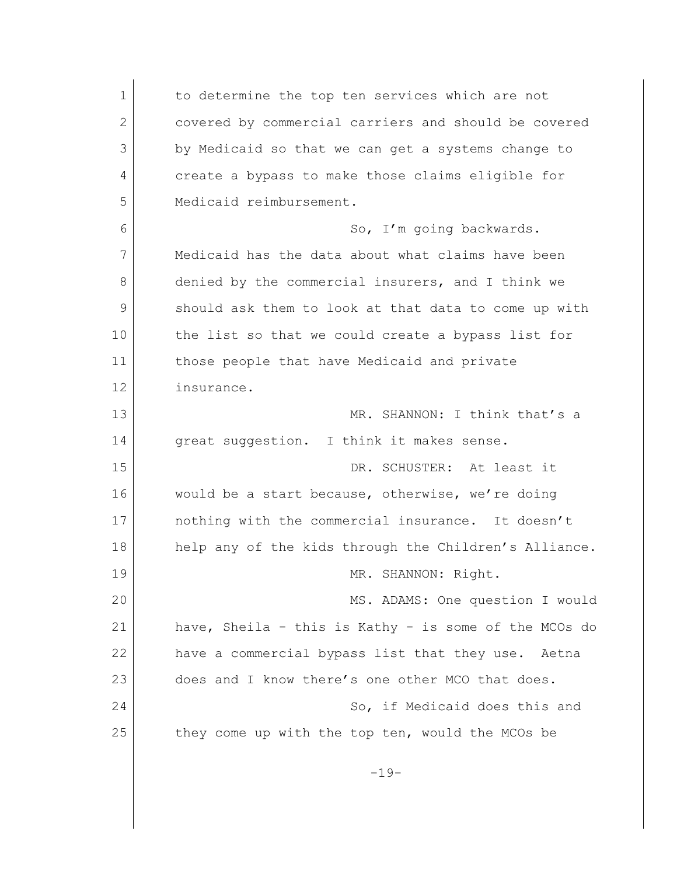1 to determine the top ten services which are not 2 covered by commercial carriers and should be covered 3 by Medicaid so that we can get a systems change to 4 create a bypass to make those claims eligible for 5 Medicaid reimbursement. 6 So, I'm going backwards. 7 Medicaid has the data about what claims have been 8 denied by the commercial insurers, and I think we 9 should ask them to look at that data to come up with 10 the list so that we could create a bypass list for 11 those people that have Medicaid and private 12 insurance. 13 MR. SHANNON: I think that's a 14 great suggestion. I think it makes sense. 15 DR. SCHUSTER: At least it 16 would be a start because, otherwise, we're doing 17 **I** nothing with the commercial insurance. It doesn't 18 help any of the kids through the Children's Alliance. 19 MR. SHANNON: Right. 20 MS. ADAMS: One question I would 21 have, Sheila - this is Kathy - is some of the MCOs do 22 have a commercial bypass list that they use. Aetna 23 does and I know there's one other MCO that does. 24 So, if Medicaid does this and 25 they come up with the top ten, would the MCOs be  $-19-$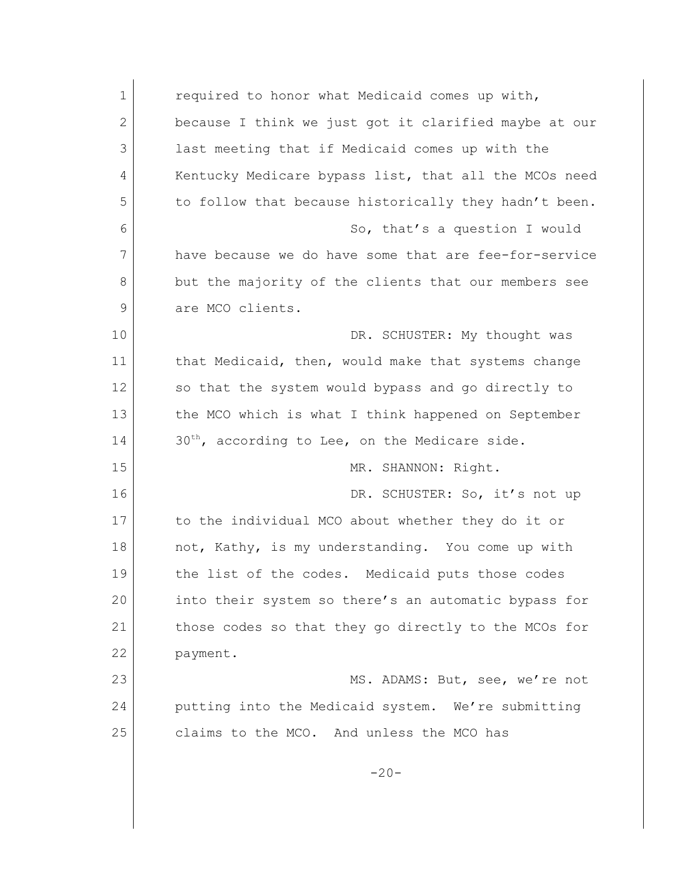| $\mathbf 1$  | required to honor what Medicaid comes up with,             |
|--------------|------------------------------------------------------------|
| $\mathbf{2}$ | because I think we just got it clarified maybe at our      |
| 3            | last meeting that if Medicaid comes up with the            |
| 4            | Kentucky Medicare bypass list, that all the MCOs need      |
| 5            | to follow that because historically they hadn't been.      |
| 6            | So, that's a question I would                              |
| 7            | have because we do have some that are fee-for-service      |
| 8            | but the majority of the clients that our members see       |
| 9            | are MCO clients.                                           |
| 10           | DR. SCHUSTER: My thought was                               |
| 11           | that Medicaid, then, would make that systems change        |
| 12           | so that the system would bypass and go directly to         |
| 13           | the MCO which is what I think happened on September        |
| 14           | 30 <sup>th</sup> , according to Lee, on the Medicare side. |
| 15           | MR. SHANNON: Right.                                        |
| 16           | DR. SCHUSTER: So, it's not up                              |
| 17           | to the individual MCO about whether they do it or          |
| 18           | not, Kathy, is my understanding. You come up with          |
| 19           | the list of the codes. Medicaid puts those codes           |
| 20           | into their system so there's an automatic bypass for       |
| 21           | those codes so that they go directly to the MCOs for       |
| 22           | payment.                                                   |
| 23           | MS. ADAMS: But, see, we're not                             |
| 24           | putting into the Medicaid system. We're submitting         |
| 25           | claims to the MCO. And unless the MCO has                  |
|              | $-20-$                                                     |
|              |                                                            |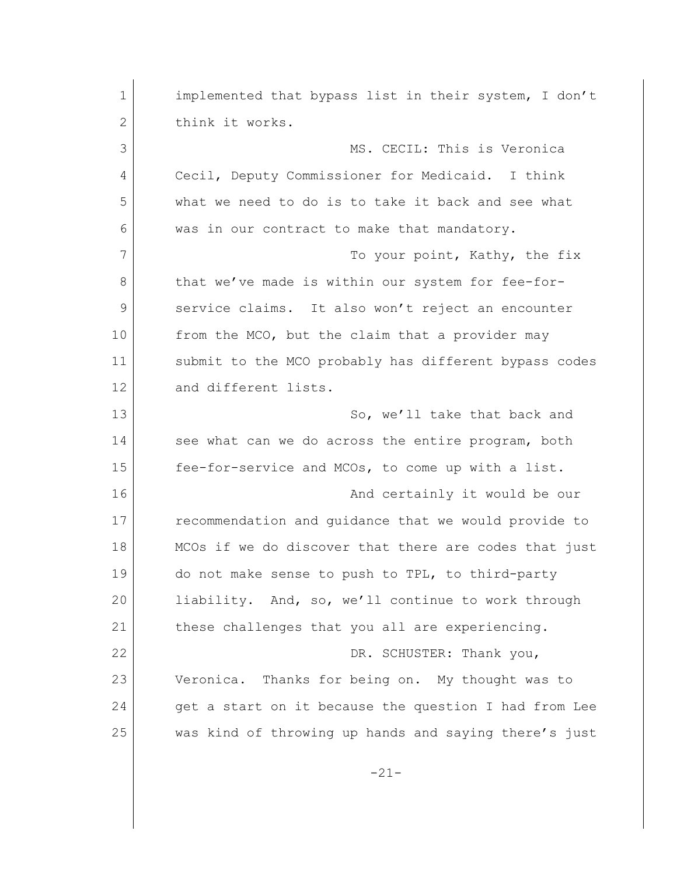| 1  | implemented that bypass list in their system, I don't |
|----|-------------------------------------------------------|
| 2  | think it works.                                       |
| 3  | MS. CECIL: This is Veronica                           |
| 4  | Cecil, Deputy Commissioner for Medicaid. I think      |
| 5  | what we need to do is to take it back and see what    |
| 6  | was in our contract to make that mandatory.           |
| 7  | To your point, Kathy, the fix                         |
| 8  | that we've made is within our system for fee-for-     |
| 9  | service claims. It also won't reject an encounter     |
| 10 | from the MCO, but the claim that a provider may       |
| 11 | submit to the MCO probably has different bypass codes |
| 12 | and different lists.                                  |
| 13 | So, we'll take that back and                          |
| 14 | see what can we do across the entire program, both    |
| 15 | fee-for-service and MCOs, to come up with a list.     |
| 16 | And certainly it would be our                         |
| 17 | recommendation and guidance that we would provide to  |
| 18 | MCOs if we do discover that there are codes that just |
| 19 | do not make sense to push to TPL, to third-party      |
| 20 | liability. And, so, we'll continue to work through    |
| 21 | these challenges that you all are experiencing.       |
| 22 | DR. SCHUSTER: Thank you,                              |
| 23 | Veronica. Thanks for being on. My thought was to      |
| 24 | get a start on it because the question I had from Lee |
| 25 | was kind of throwing up hands and saying there's just |
|    |                                                       |

-21-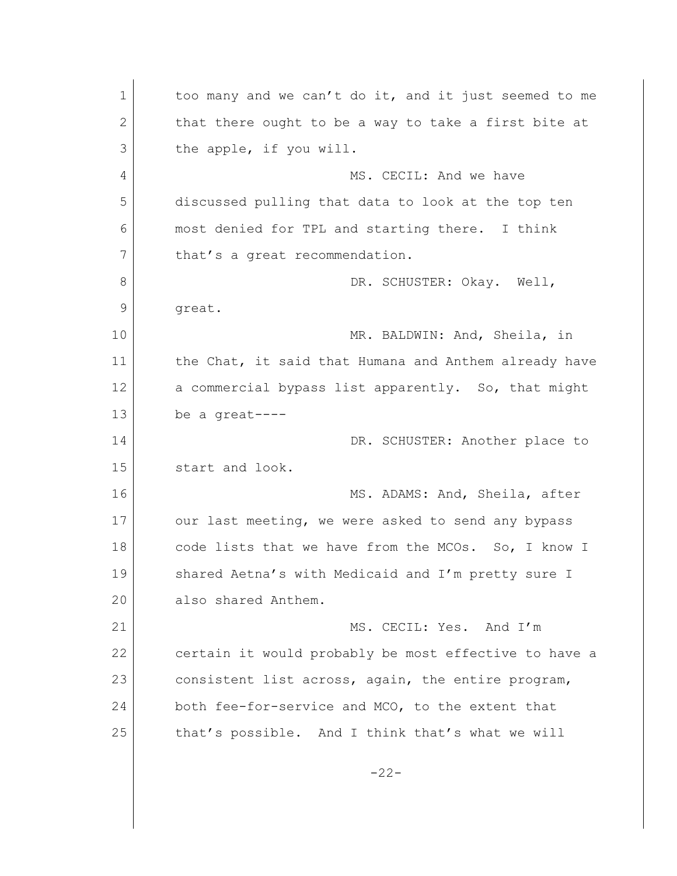1 too many and we can't do it, and it just seemed to me 2 that there ought to be a way to take a first bite at 3 the apple, if you will. 4 MS. CECIL: And we have 5 discussed pulling that data to look at the top ten 6 most denied for TPL and starting there. I think 7 that's a great recommendation. 8 DR. SCHUSTER: Okay. Well, 9 great. 10 MR. BALDWIN: And, Sheila, in 11 the Chat, it said that Humana and Anthem already have 12 a commercial bypass list apparently. So, that might 13 be a great---- 14 | DR. SCHUSTER: Another place to 15 start and look. 16 MS. ADAMS: And, Sheila, after 17 our last meeting, we were asked to send any bypass 18 code lists that we have from the MCOs. So, I know I 19 Shared Aetna's with Medicaid and I'm pretty sure I 20 also shared Anthem. 21 MS. CECIL: Yes. And I'm 22 certain it would probably be most effective to have a 23 consistent list across, again, the entire program, 24 both fee-for-service and MCO, to the extent that 25 that's possible. And I think that's what we will -22-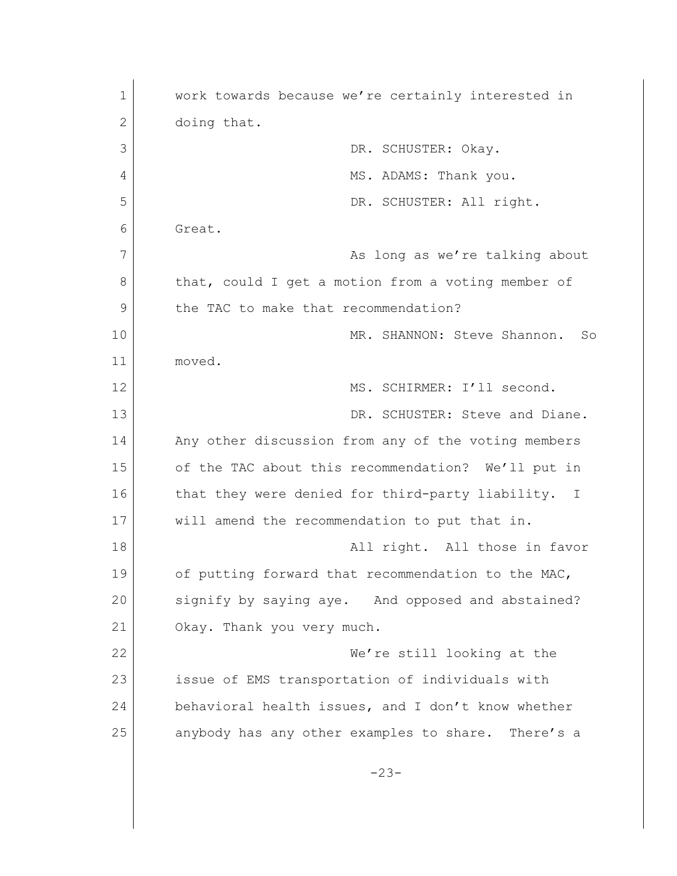1 work towards because we're certainly interested in 2 doing that. 3 DR. SCHUSTER: Okay. 4 MS. ADAMS: Thank you. 5 DR. SCHUSTER: All right. 6 Great. 7 As long as we're talking about 8 that, could I get a motion from a voting member of 9 the TAC to make that recommendation? 10 MR. SHANNON: Steve Shannon. So 11 moved. 12 MS. SCHIRMER: I'll second. 13 DR. SCHUSTER: Steve and Diane. 14 Any other discussion from any of the voting members 15 of the TAC about this recommendation? We'll put in 16 that they were denied for third-party liability. I 17 will amend the recommendation to put that in. 18 all right. All those in favor 19 of putting forward that recommendation to the MAC, 20 signify by saying aye. And opposed and abstained? 21 Okay. Thank you very much. 22 We're still looking at the 23 issue of EMS transportation of individuals with 24 behavioral health issues, and I don't know whether 25 anybody has any other examples to share. There's a -23-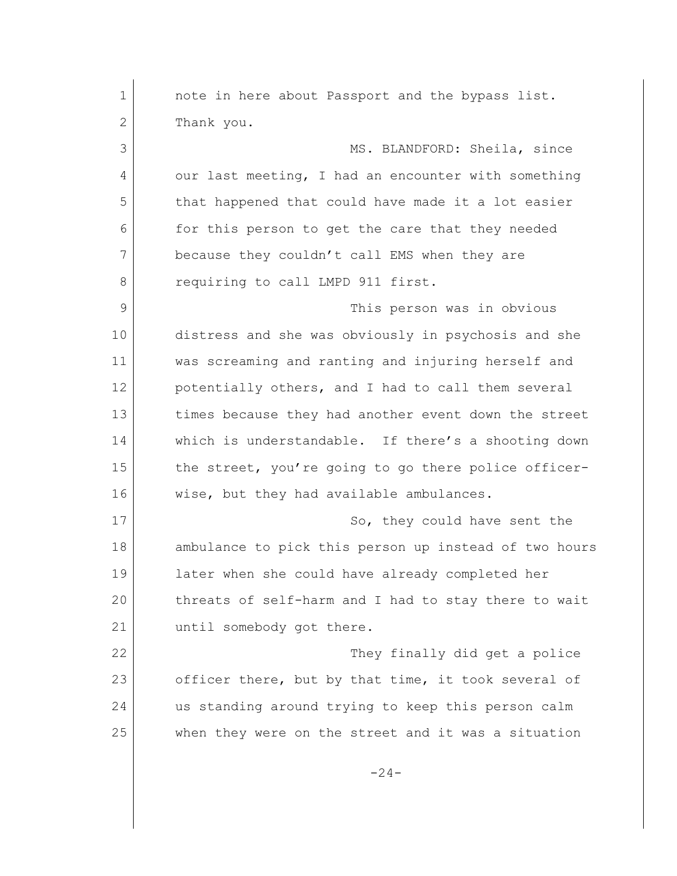1 **note in here about Passport and the bypass list.** 2 Thank you. 3 MS. BLANDFORD: Sheila, since 4 our last meeting, I had an encounter with something 5 that happened that could have made it a lot easier 6 for this person to get the care that they needed 7 because they couldn't call EMS when they are 8 requiring to call LMPD 911 first. 9 This person was in obvious 10 distress and she was obviously in psychosis and she 11 was screaming and ranting and injuring herself and 12 potentially others, and I had to call them several 13 times because they had another event down the street 14 which is understandable. If there's a shooting down 15 the street, you're going to go there police officer-16 wise, but they had available ambulances. 17 So, they could have sent the 18 ambulance to pick this person up instead of two hours 19 later when she could have already completed her 20 threats of self-harm and I had to stay there to wait 21 until somebody got there. 22 They finally did get a police 23 officer there, but by that time, it took several of 24 us standing around trying to keep this person calm 25 when they were on the street and it was a situation  $-24-$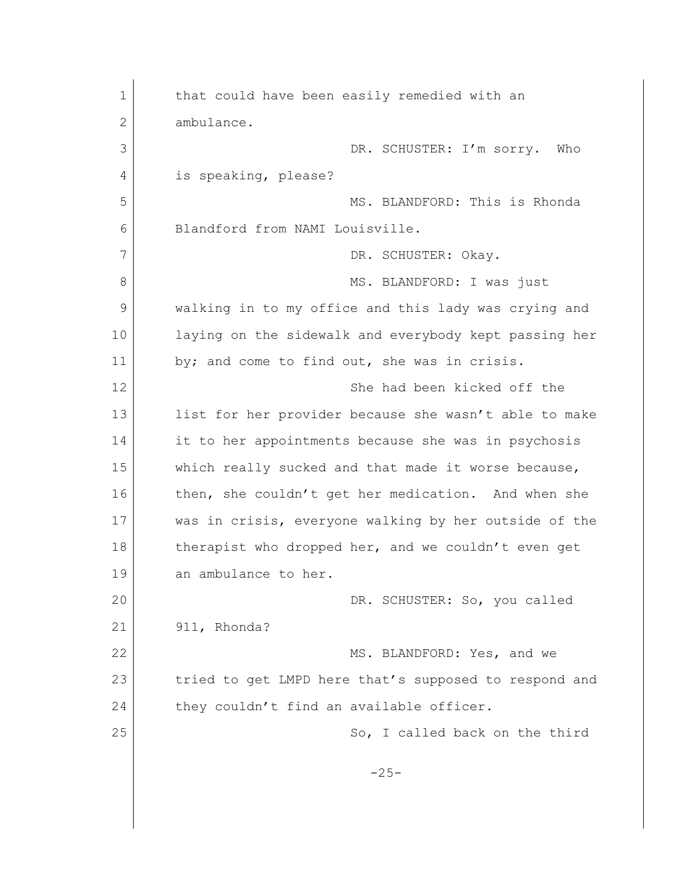| 1  | that could have been easily remedied with an          |
|----|-------------------------------------------------------|
| 2  | ambulance.                                            |
| 3  | DR. SCHUSTER: I'm sorry.<br>Who                       |
| 4  | is speaking, please?                                  |
| 5  | MS. BLANDFORD: This is Rhonda                         |
| 6  | Blandford from NAMI Louisville.                       |
| 7  | DR. SCHUSTER: Okay.                                   |
| 8  | MS. BLANDFORD: I was just                             |
| 9  | walking in to my office and this lady was crying and  |
| 10 | laying on the sidewalk and everybody kept passing her |
| 11 | by; and come to find out, she was in crisis.          |
| 12 | She had been kicked off the                           |
| 13 | list for her provider because she wasn't able to make |
| 14 | it to her appointments because she was in psychosis   |
| 15 | which really sucked and that made it worse because,   |
| 16 | then, she couldn't get her medication. And when she   |
| 17 | was in crisis, everyone walking by her outside of the |
| 18 | therapist who dropped her, and we couldn't even get   |
| 19 | an ambulance to her.                                  |
| 20 | DR. SCHUSTER: So, you called                          |
| 21 | 911, Rhonda?                                          |
| 22 | MS. BLANDFORD: Yes, and we                            |
| 23 | tried to get LMPD here that's supposed to respond and |
| 24 | they couldn't find an available officer.              |
| 25 | So, I called back on the third                        |
|    | $-25-$                                                |
|    |                                                       |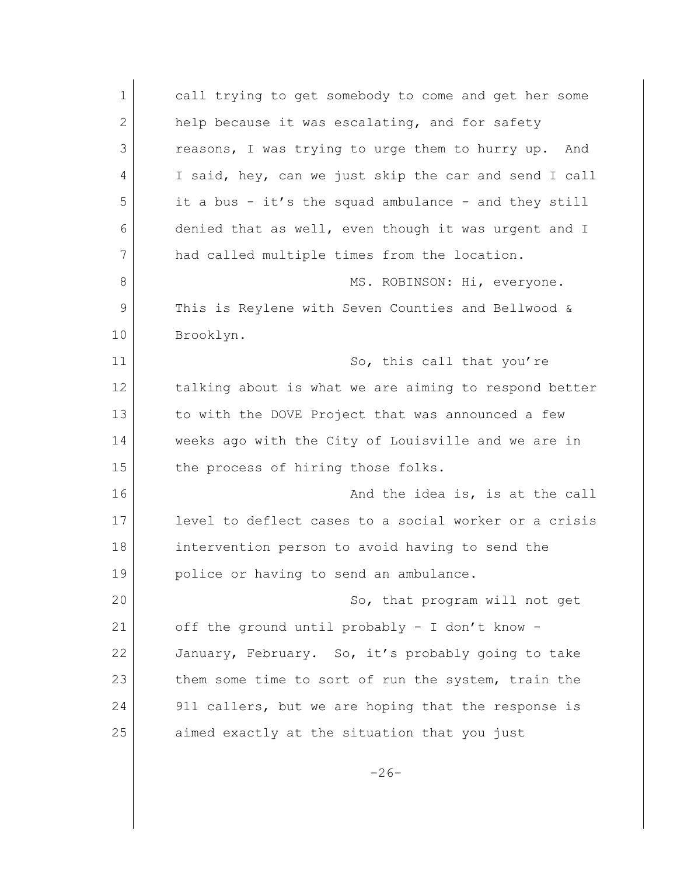| $\mathbf 1$  | call trying to get somebody to come and get her some   |
|--------------|--------------------------------------------------------|
| $\mathbf{2}$ | help because it was escalating, and for safety         |
| 3            | reasons, I was trying to urge them to hurry up.<br>And |
| 4            | I said, hey, can we just skip the car and send I call  |
| 5            | it a bus - it's the squad ambulance - and they still   |
| 6            | denied that as well, even though it was urgent and I   |
| 7            | had called multiple times from the location.           |
| 8            | MS. ROBINSON: Hi, everyone.                            |
| 9            | This is Reylene with Seven Counties and Bellwood &     |
| 10           | Brooklyn.                                              |
| 11           | So, this call that you're                              |
| 12           | talking about is what we are aiming to respond better  |
| 13           | to with the DOVE Project that was announced a few      |
| 14           | weeks ago with the City of Louisville and we are in    |
| 15           | the process of hiring those folks.                     |
| 16           | And the idea is, is at the call                        |
| 17           | level to deflect cases to a social worker or a crisis  |
| 18           | intervention person to avoid having to send the        |
| 19           | police or having to send an ambulance.                 |
| 20           | So, that program will not get                          |
| 21           | off the ground until probably - I don't know -         |
| 22           | January, February. So, it's probably going to take     |
| 23           | them some time to sort of run the system, train the    |
| 24           | 911 callers, but we are hoping that the response is    |
| 25           | aimed exactly at the situation that you just           |
|              |                                                        |

-26-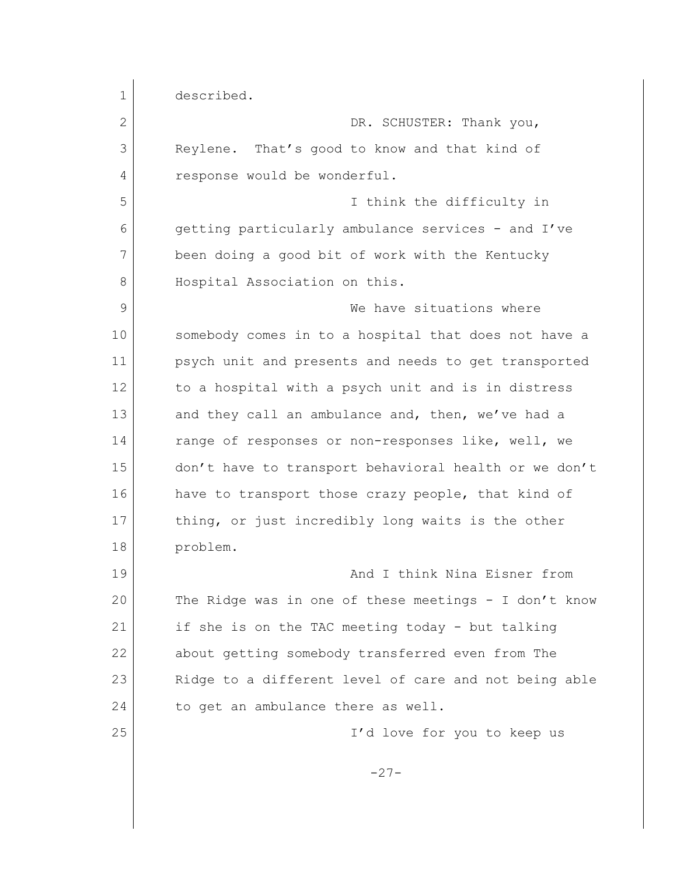1 described. 2 DR. SCHUSTER: Thank you, 3 Reylene. That's good to know and that kind of 4 response would be wonderful. 5 I think the difficulty in 6 getting particularly ambulance services - and I've 7 been doing a good bit of work with the Kentucky 8 Hospital Association on this. 9 We have situations where 10 | somebody comes in to a hospital that does not have a 11 psych unit and presents and needs to get transported 12 to a hospital with a psych unit and is in distress 13 and they call an ambulance and, then, we've had a 14 range of responses or non-responses like, well, we 15 don't have to transport behavioral health or we don't 16 have to transport those crazy people, that kind of 17 thing, or just incredibly long waits is the other 18 problem. 19 And I think Nina Eisner from 20 The Ridge was in one of these meetings - I don't know 21 if she is on the TAC meeting today - but talking 22 about getting somebody transferred even from The 23 Ridge to a different level of care and not being able 24 to get an ambulance there as well. 25 I'd love for you to keep us -27-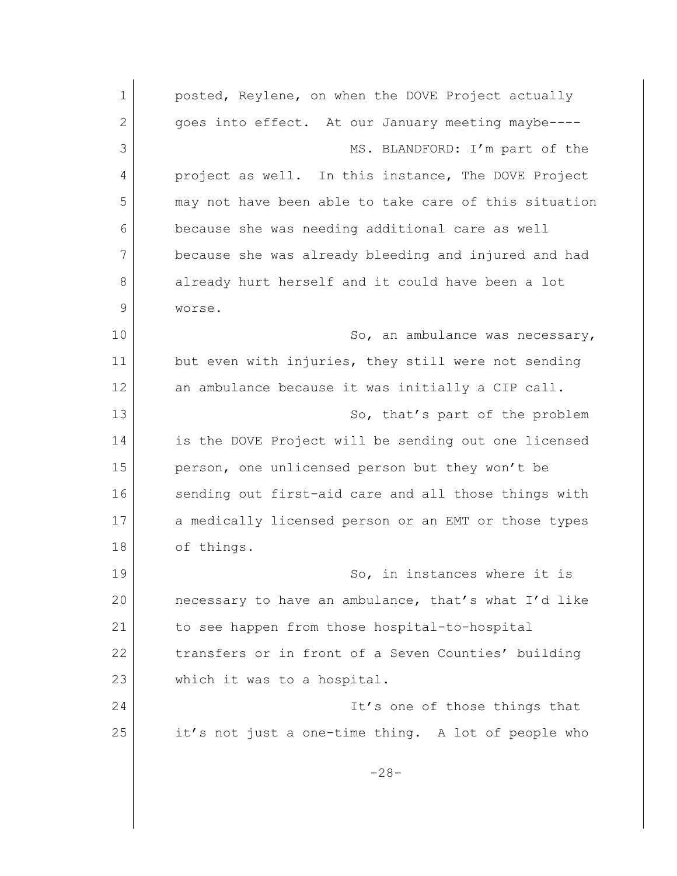1 **posted, Reylene, on when the DOVE Project actually** 2 goes into effect. At our January meeting maybe----3 MS. BLANDFORD: I'm part of the 4 project as well. In this instance, The DOVE Project 5 may not have been able to take care of this situation 6 because she was needing additional care as well 7 because she was already bleeding and injured and had 8 already hurt herself and it could have been a lot 9 worse. 10 So, an ambulance was necessary, 11 but even with injuries, they still were not sending 12 an ambulance because it was initially a CIP call. 13 So, that's part of the problem 14 is the DOVE Project will be sending out one licensed 15 person, one unlicensed person but they won't be 16 sending out first-aid care and all those things with 17 a medically licensed person or an EMT or those types 18 of things. 19 So, in instances where it is 20 necessary to have an ambulance, that's what I'd like 21 | to see happen from those hospital-to-hospital 22 transfers or in front of a Seven Counties' building 23 which it was to a hospital. 24 It's one of those things that 25 it's not just a one-time thing. A lot of people who -28-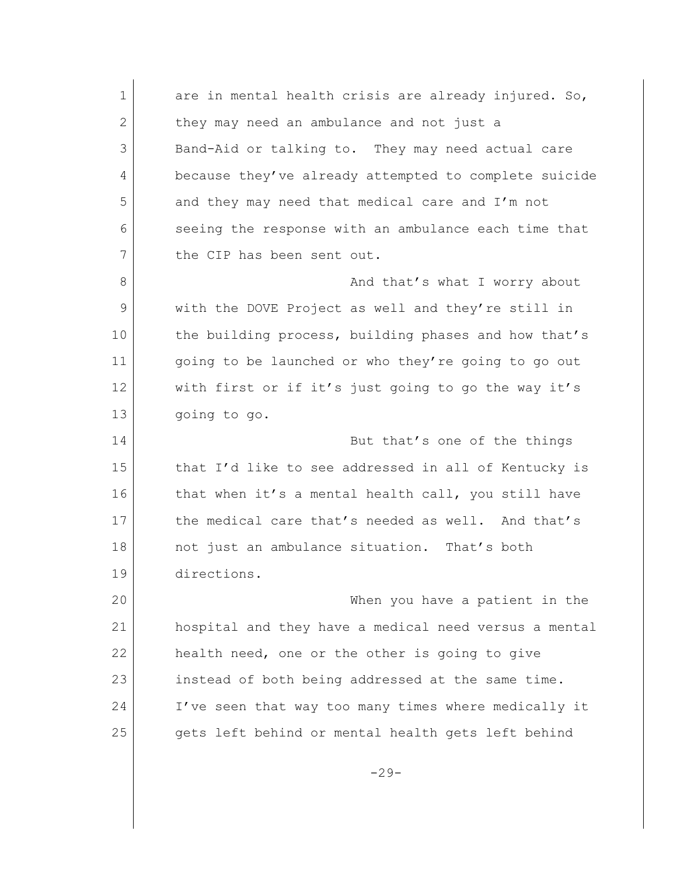1 are in mental health crisis are already injured. So, 2 they may need an ambulance and not just a 3 Band-Aid or talking to. They may need actual care 4 because they've already attempted to complete suicide 5 and they may need that medical care and I'm not 6 seeing the response with an ambulance each time that 7 the CIP has been sent out. 8 and that's what I worry about 9 with the DOVE Project as well and they're still in 10 the building process, building phases and how that's 11 going to be launched or who they're going to go out 12 with first or if it's just going to go the way it's 13 going to go. 14 But that's one of the things 15 that I'd like to see addressed in all of Kentucky is 16 that when it's a mental health call, you still have 17 the medical care that's needed as well. And that's 18 not just an ambulance situation. That's both 19 directions. 20 When you have a patient in the 21 hospital and they have a medical need versus a mental 22 health need, one or the other is going to give 23 instead of both being addressed at the same time. 24 I've seen that way too many times where medically it 25 gets left behind or mental health gets left behind

 $-29-$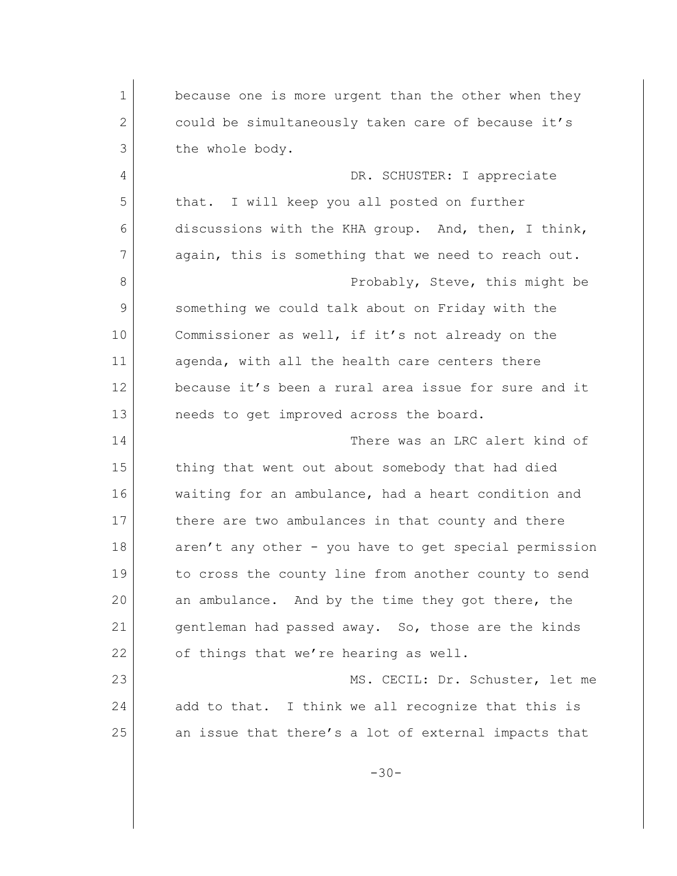1 because one is more urgent than the other when they 2 could be simultaneously taken care of because it's 3 the whole body. 4 DR. SCHUSTER: I appreciate 5 that. I will keep you all posted on further 6 discussions with the KHA group. And, then, I think, 7 again, this is something that we need to reach out. 8 Probably, Steve, this might be 9 something we could talk about on Friday with the 10 Commissioner as well, if it's not already on the 11 agenda, with all the health care centers there 12 because it's been a rural area issue for sure and it 13 needs to get improved across the board. 14 There was an LRC alert kind of 15 thing that went out about somebody that had died 16 waiting for an ambulance, had a heart condition and 17 there are two ambulances in that county and there 18 aren't any other - you have to get special permission 19 to cross the county line from another county to send 20 an ambulance. And by the time they got there, the 21 gentleman had passed away. So, those are the kinds 22 of things that we're hearing as well. 23 MS. CECIL: Dr. Schuster, let me 24 add to that. I think we all recognize that this is 25 an issue that there's a lot of external impacts that -30-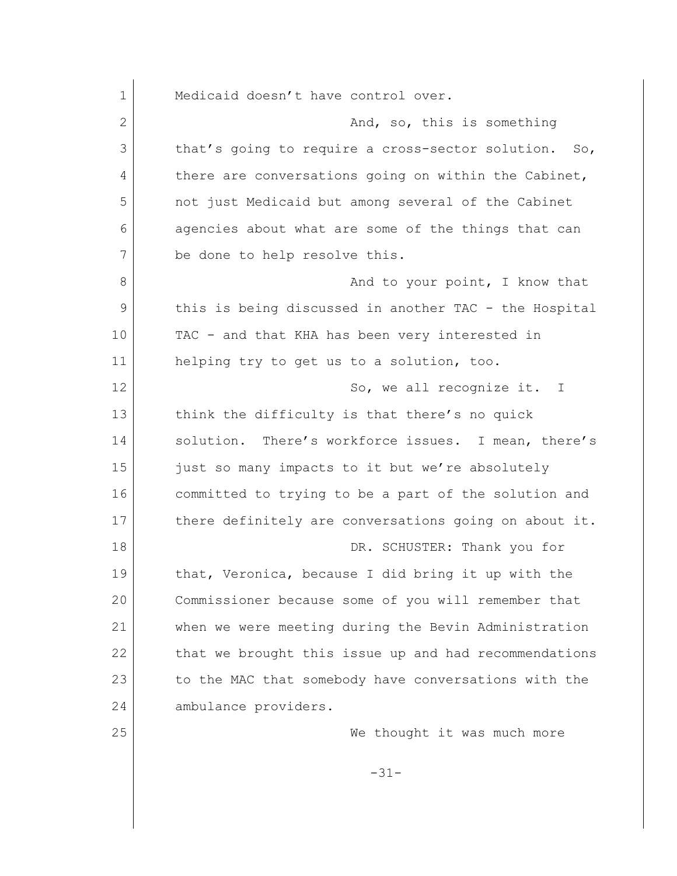1 Medicaid doesn't have control over. 2 And, so, this is something 3 that's going to require a cross-sector solution. So, 4 there are conversations going on within the Cabinet, 5 not just Medicaid but among several of the Cabinet 6 agencies about what are some of the things that can 7 be done to help resolve this. 8 and to your point, I know that 9 this is being discussed in another TAC - the Hospital 10 TAC - and that KHA has been very interested in 11 helping try to get us to a solution, too. 12 So, we all recognize it. I 13 think the difficulty is that there's no quick 14 solution. There's workforce issues. I mean, there's 15 just so many impacts to it but we're absolutely 16 committed to trying to be a part of the solution and 17 there definitely are conversations going on about it. 18 DR. SCHUSTER: Thank you for 19 that, Veronica, because I did bring it up with the 20 Commissioner because some of you will remember that 21 when we were meeting during the Bevin Administration 22 that we brought this issue up and had recommendations 23 to the MAC that somebody have conversations with the 24 ambulance providers. 25 | Constant of the University of thought it was much more -31-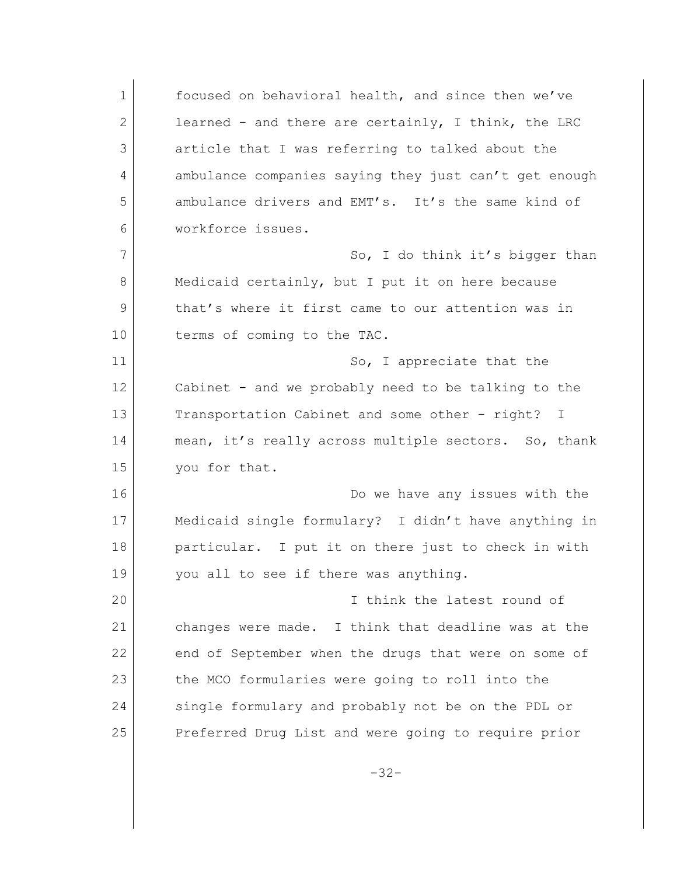1 focused on behavioral health, and since then we've 2 learned - and there are certainly, I think, the LRC 3 article that I was referring to talked about the 4 ambulance companies saying they just can't get enough 5 ambulance drivers and EMT's. It's the same kind of 6 workforce issues. 7 So, I do think it's bigger than 8 Medicaid certainly, but I put it on here because 9 that's where it first came to our attention was in 10 terms of coming to the TAC. 11 So, I appreciate that the 12 Cabinet - and we probably need to be talking to the 13 Transportation Cabinet and some other - right? I 14 mean, it's really across multiple sectors. So, thank 15 you for that. 16 Do we have any issues with the 17 Medicaid single formulary? I didn't have anything in 18 | particular. I put it on there just to check in with 19 you all to see if there was anything. 20 I think the latest round of 21 changes were made. I think that deadline was at the 22 end of September when the drugs that were on some of 23 the MCO formularies were going to roll into the 24 single formulary and probably not be on the PDL or 25 Preferred Drug List and were going to require prior

-32-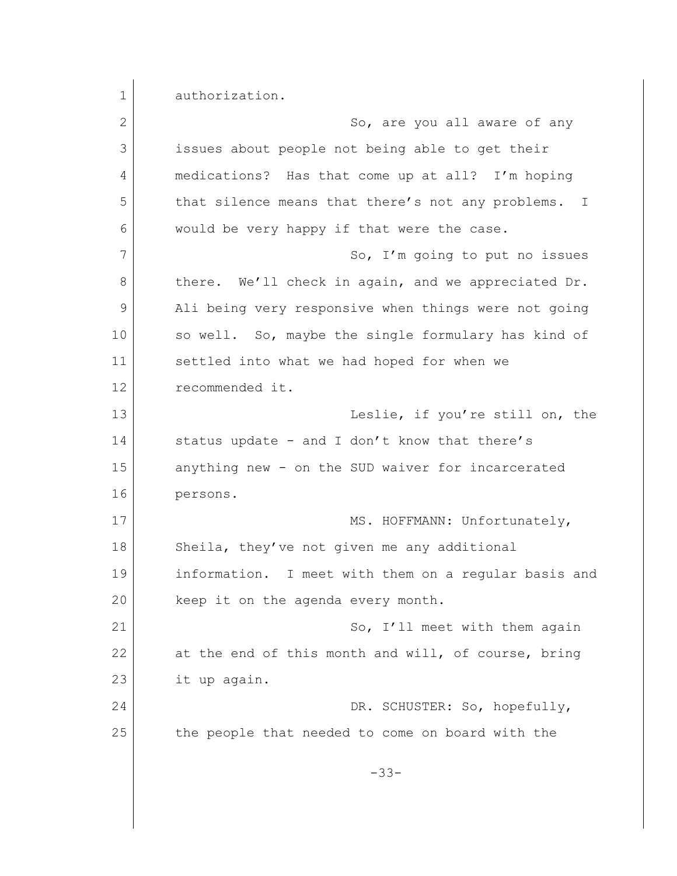1 authorization. 2 So, are you all aware of any 3 issues about people not being able to get their 4 medications? Has that come up at all? I'm hoping 5 that silence means that there's not any problems. I 6 would be very happy if that were the case. 7 So, I'm going to put no issues 8 there. We'll check in again, and we appreciated Dr. 9 Ali being very responsive when things were not going 10 so well. So, maybe the single formulary has kind of 11 settled into what we had hoped for when we 12 recommended it. 13 Leslie, if you're still on, the 14 status update - and I don't know that there's 15 anything new - on the SUD waiver for incarcerated 16 persons. 17 MS. HOFFMANN: Unfortunately, 18 Sheila, they've not given me any additional 19 information. I meet with them on a regular basis and 20 keep it on the agenda every month. 21 So, I'll meet with them again 22 at the end of this month and will, of course, bring 23 it up again. 24 DR. SCHUSTER: So, hopefully, 25 the people that needed to come on board with the -33-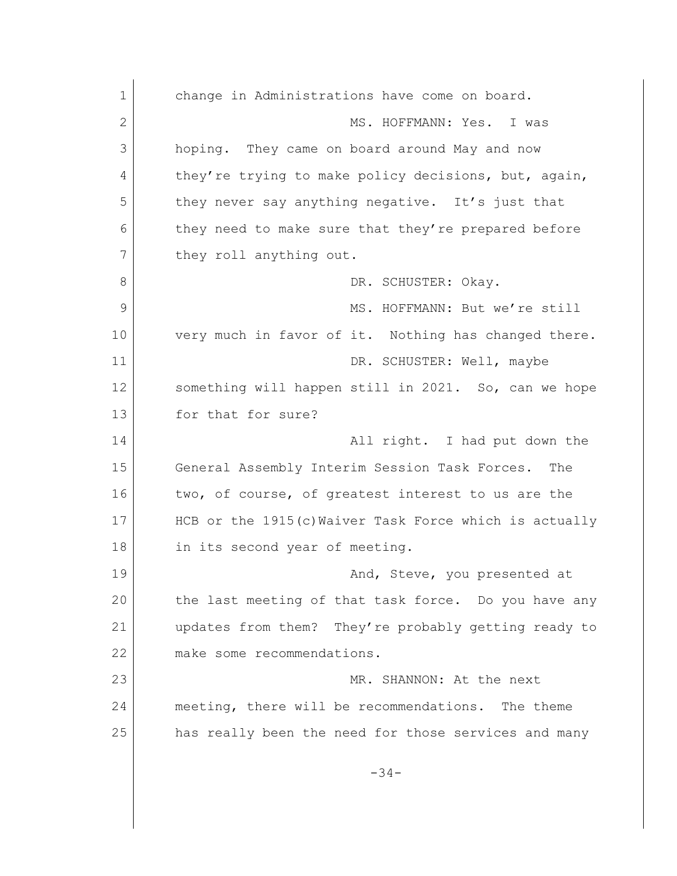1 change in Administrations have come on board. 2 MS. HOFFMANN: Yes. I was 3 hoping. They came on board around May and now 4 they're trying to make policy decisions, but, again, 5 they never say anything negative. It's just that 6 they need to make sure that they're prepared before 7 they roll anything out. 8 DR. SCHUSTER: Okav. 9 MS. HOFFMANN: But we're still 10 very much in favor of it. Nothing has changed there. 11 DR. SCHUSTER: Well, maybe 12 something will happen still in 2021. So, can we hope 13 for that for sure? 14 All right. I had put down the 15 General Assembly Interim Session Task Forces. The 16 two, of course, of greatest interest to us are the 17 HCB or the 1915(c) Waiver Task Force which is actually 18 in its second year of meeting. 19 and, Steve, you presented at 20 the last meeting of that task force. Do you have any 21 updates from them? They're probably getting ready to 22 make some recommendations. 23 MR. SHANNON: At the next 24 meeting, there will be recommendations. The theme 25 has really been the need for those services and many -34-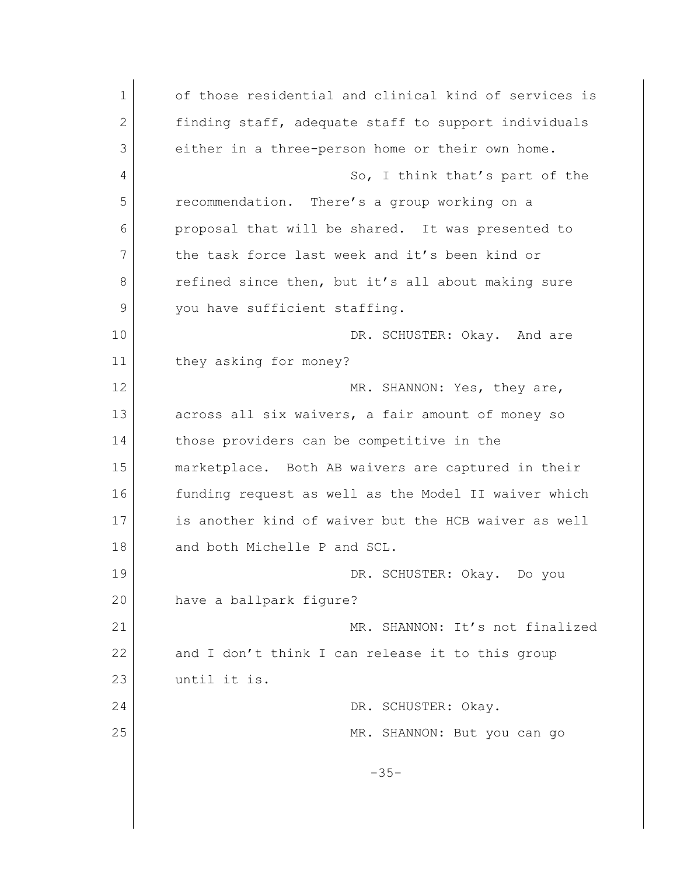1 of those residential and clinical kind of services is 2 finding staff, adequate staff to support individuals 3 either in a three-person home or their own home. 4 So, I think that's part of the 5 recommendation. There's a group working on a 6 proposal that will be shared. It was presented to 7 the task force last week and it's been kind or 8 refined since then, but it's all about making sure 9 you have sufficient staffing. 10 DR. SCHUSTER: Okay. And are 11 they asking for money? 12 MR. SHANNON: Yes, they are, 13 across all six waivers, a fair amount of money so 14 those providers can be competitive in the 15 marketplace. Both AB waivers are captured in their 16 funding request as well as the Model II waiver which 17 is another kind of waiver but the HCB waiver as well 18 and both Michelle P and SCL. 19 DR. SCHUSTER: Okay. Do you 20 have a ballpark figure? 21 MR. SHANNON: It's not finalized 22 and I don't think I can release it to this group 23 until it is. 24 DR. SCHUSTER: Okay. 25 MR. SHANNON: But you can go -35-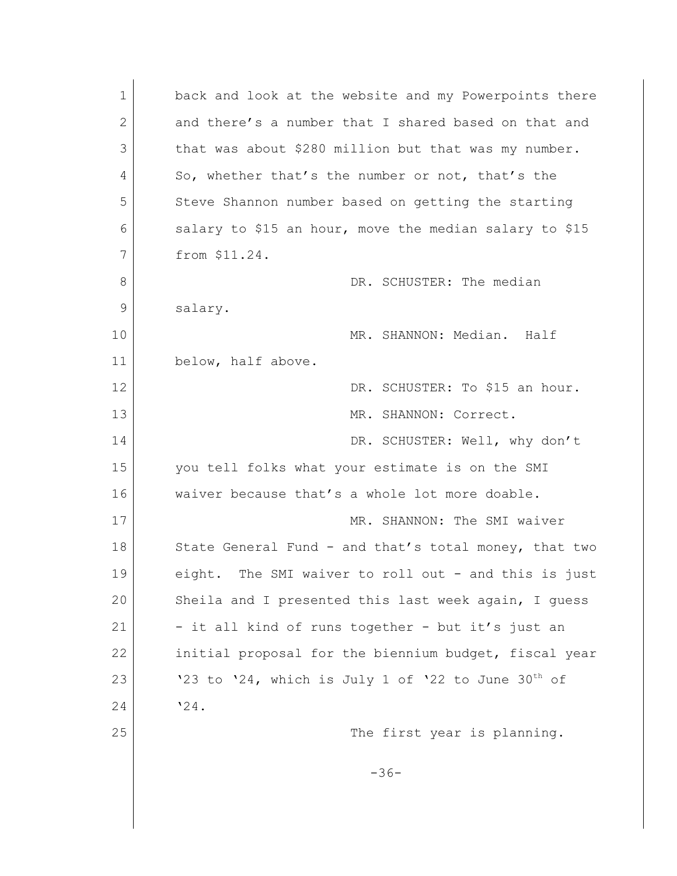| 1  | back and look at the website and my Powerpoints there   |
|----|---------------------------------------------------------|
| 2  | and there's a number that I shared based on that and    |
| 3  | that was about \$280 million but that was my number.    |
| 4  | So, whether that's the number or not, that's the        |
| 5  | Steve Shannon number based on getting the starting      |
| 6  | salary to \$15 an hour, move the median salary to \$15  |
| 7  | from \$11.24.                                           |
| 8  | DR. SCHUSTER: The median                                |
| 9  | salary.                                                 |
| 10 | MR. SHANNON: Median. Half                               |
| 11 | below, half above.                                      |
| 12 | DR. SCHUSTER: To \$15 an hour.                          |
| 13 | MR. SHANNON: Correct.                                   |
| 14 | DR. SCHUSTER: Well, why don't                           |
| 15 | you tell folks what your estimate is on the SMI         |
| 16 | waiver because that's a whole lot more doable.          |
| 17 | MR. SHANNON: The SMI waiver                             |
| 18 | State General Fund - and that's total money, that two   |
| 19 | eight. The SMI waiver to roll out - and this is just    |
| 20 | Sheila and I presented this last week again, I quess    |
| 21 | - it all kind of runs together - but it's just an       |
| 22 | initial proposal for the biennium budget, fiscal year   |
| 23 | '23 to '24, which is July 1 of '22 to June $30^{th}$ of |
| 24 | '24.                                                    |
| 25 | The first year is planning.                             |
|    |                                                         |
|    | $-36-$                                                  |
|    |                                                         |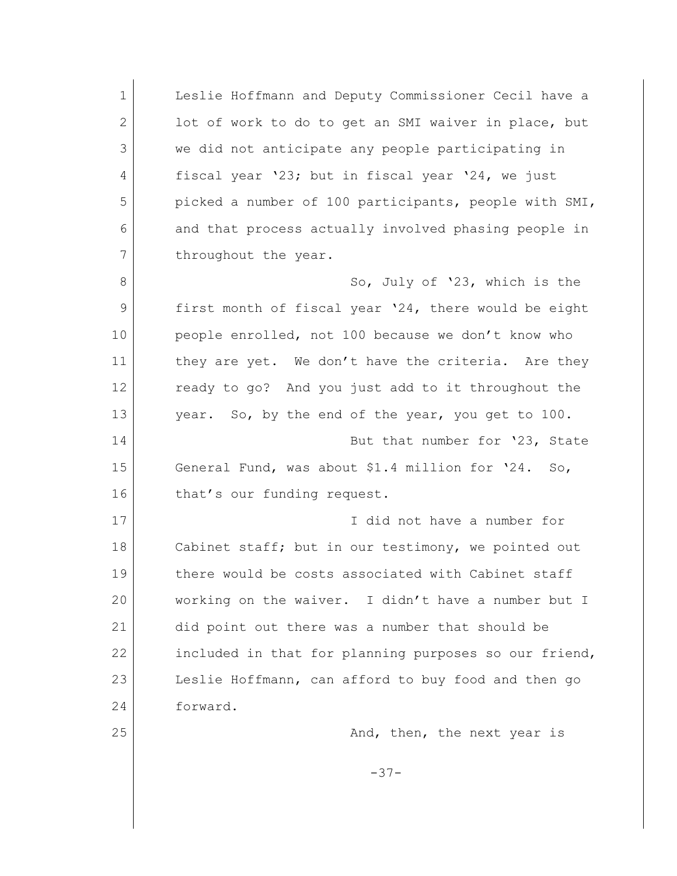1 Leslie Hoffmann and Deputy Commissioner Cecil have a 2 lot of work to do to get an SMI waiver in place, but 3 we did not anticipate any people participating in 4 fiscal year '23; but in fiscal year '24, we just 5 picked a number of 100 participants, people with SMI, 6 and that process actually involved phasing people in 7 throughout the year. 8 So, July of '23, which is the 9 first month of fiscal year '24, there would be eight 10 people enrolled, not 100 because we don't know who 11 they are yet. We don't have the criteria. Are they 12 ready to go? And you just add to it throughout the 13 year. So, by the end of the year, you get to 100. 14 But that number for '23, State 15 General Fund, was about \$1.4 million for '24. So, 16 that's our funding request. 17 I did not have a number for 18 Cabinet staff; but in our testimony, we pointed out 19 there would be costs associated with Cabinet staff 20 working on the waiver. I didn't have a number but I 21 did point out there was a number that should be 22 included in that for planning purposes so our friend, 23 Leslie Hoffmann, can afford to buy food and then go 24 forward. 25 And, then, the next year is -37-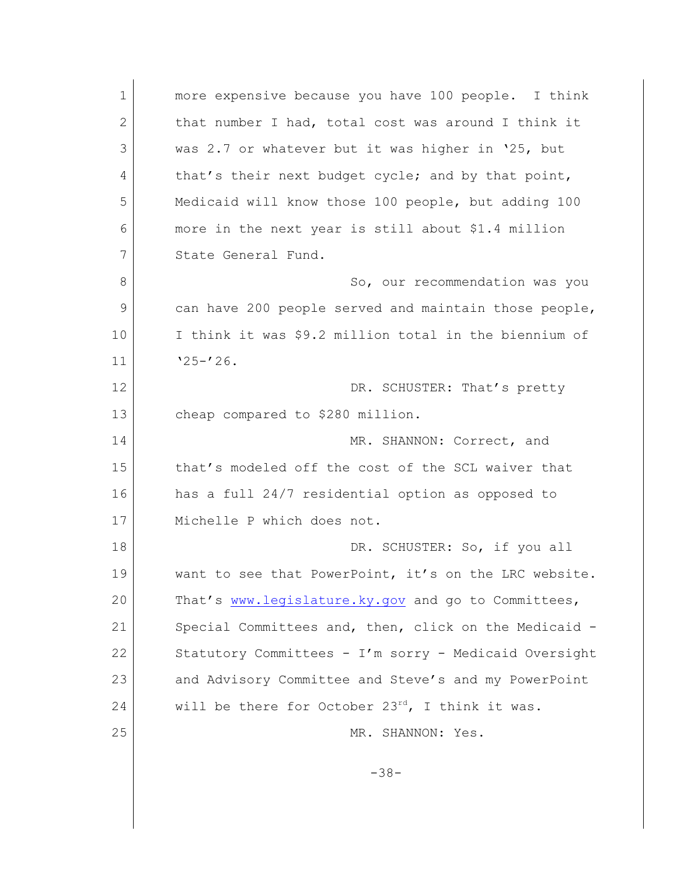1 more expensive because you have 100 people. I think 2 that number I had, total cost was around I think it 3 was 2.7 or whatever but it was higher in '25, but 4 that's their next budget cycle; and by that point, 5 Medicaid will know those 100 people, but adding 100 6 more in the next year is still about \$1.4 million 7 State General Fund. 8 So, our recommendation was you 9 can have 200 people served and maintain those people, 10 I think it was \$9.2 million total in the biennium of  $11$   $\sqrt{25-126}$ . 12 DR. SCHUSTER: That's pretty 13 cheap compared to \$280 million. 14 MR. SHANNON: Correct, and 15 that's modeled off the cost of the SCL waiver that 16 has a full 24/7 residential option as opposed to 17 Michelle P which does not. 18 DR. SCHUSTER: So, if you all 19 want to see that PowerPoint, it's on the LRC website. 20 That's [www.legislature.ky.gov](http://www.legislature.ky.gov) and go to Committees, 21 Special Committees and, then, click on the Medicaid -22 Statutory Committees - I'm sorry - Medicaid Oversight 23 and Advisory Committee and Steve's and my PowerPoint 24 will be there for October  $23^{rd}$ , I think it was. 25 MR. SHANNON: Yes. -38-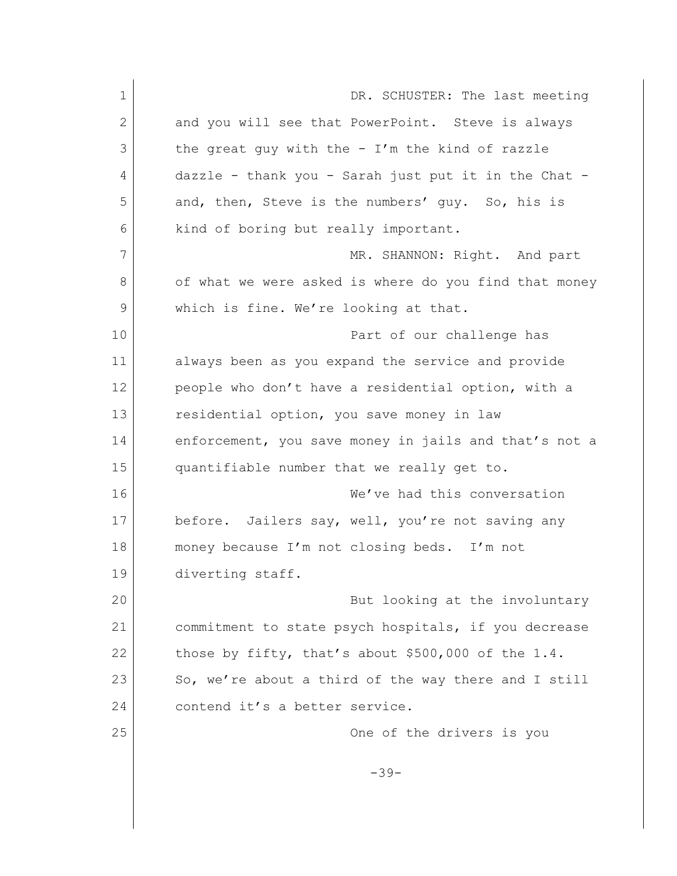| 1  | DR. SCHUSTER: The last meeting                        |
|----|-------------------------------------------------------|
| 2  | and you will see that PowerPoint. Steve is always     |
| 3  | the great guy with the - $I'm$ the kind of razzle     |
| 4  | dazzle - thank you - Sarah just put it in the Chat -  |
| 5  | and, then, Steve is the numbers' guy. So, his is      |
| 6  | kind of boring but really important.                  |
| 7  | MR. SHANNON: Right. And part                          |
| 8  | of what we were asked is where do you find that money |
| 9  | which is fine. We're looking at that.                 |
| 10 | Part of our challenge has                             |
| 11 | always been as you expand the service and provide     |
| 12 | people who don't have a residential option, with a    |
| 13 | residential option, you save money in law             |
| 14 | enforcement, you save money in jails and that's not a |
| 15 | quantifiable number that we really get to.            |
| 16 | We've had this conversation                           |
| 17 | before. Jailers say, well, you're not saving any      |
| 18 | money because I'm not closing beds. I'm not           |
| 19 | diverting staff.                                      |
| 20 | But looking at the involuntary                        |
| 21 | commitment to state psych hospitals, if you decrease  |
| 22 | those by fifty, that's about $$500,000$ of the 1.4.   |
| 23 | So, we're about a third of the way there and I still  |
| 24 | contend it's a better service.                        |
| 25 | One of the drivers is you                             |
|    | $-39-$                                                |
|    |                                                       |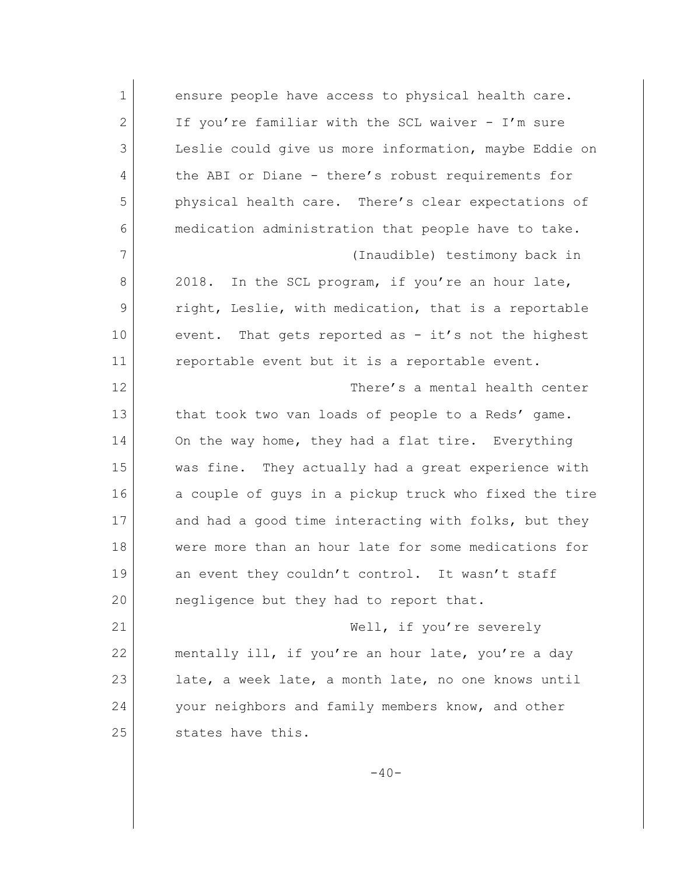1 ensure people have access to physical health care. 2 If you're familiar with the SCL waiver - I'm sure 3 Leslie could give us more information, maybe Eddie on 4 the ABI or Diane - there's robust requirements for 5 physical health care. There's clear expectations of 6 medication administration that people have to take. 7 (Inaudible) testimony back in 8 2018. In the SCL program, if you're an hour late, 9 right, Leslie, with medication, that is a reportable 10 event. That gets reported as - it's not the highest 11 reportable event but it is a reportable event. 12 There's a mental health center 13 that took two van loads of people to a Reds' game. 14 On the way home, they had a flat tire. Everything 15 was fine. They actually had a great experience with 16 a couple of guys in a pickup truck who fixed the tire 17 and had a good time interacting with folks, but they 18 were more than an hour late for some medications for 19 an event they couldn't control. It wasn't staff 20 negligence but they had to report that. 21 Well, if you're severely 22 mentally ill, if you're an hour late, you're a day 23 late, a week late, a month late, no one knows until 24 your neighbors and family members know, and other 25 states have this.

 $-40-$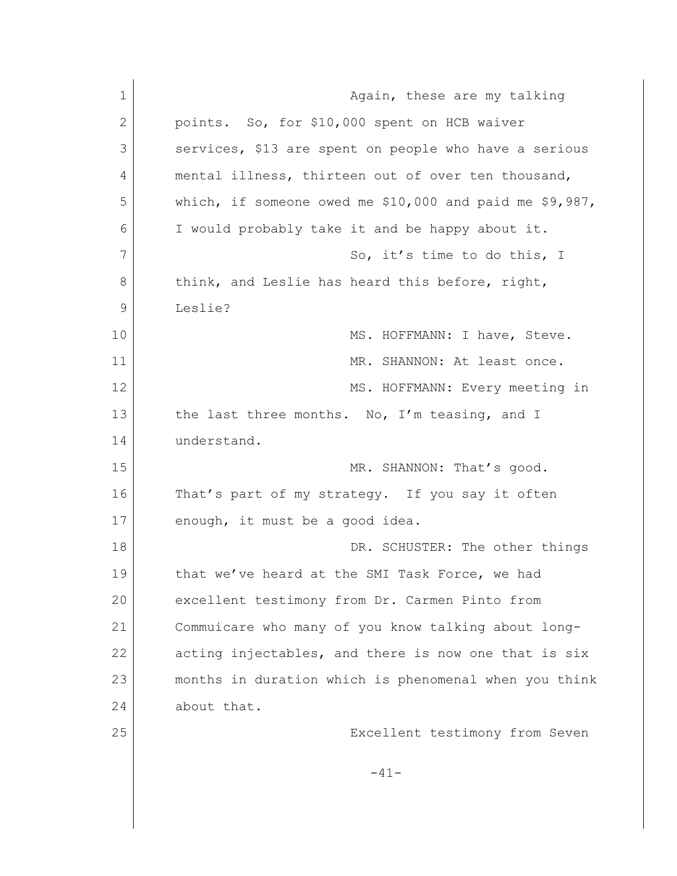| $\mathbf 1$  | Again, these are my talking                                |
|--------------|------------------------------------------------------------|
| $\mathbf{2}$ | points. So, for \$10,000 spent on HCB waiver               |
| 3            | services, \$13 are spent on people who have a serious      |
| 4            | mental illness, thirteen out of over ten thousand,         |
| 5            | which, if someone owed me $$10,000$ and paid me $$9,987$ , |
| 6            | I would probably take it and be happy about it.            |
| 7            | So, it's time to do this, I                                |
| 8            | think, and Leslie has heard this before, right,            |
| 9            | Leslie?                                                    |
| 10           | MS. HOFFMANN: I have, Steve.                               |
| 11           | MR. SHANNON: At least once.                                |
| 12           | MS. HOFFMANN: Every meeting in                             |
| 13           | the last three months. No, I'm teasing, and I              |
| 14           | understand.                                                |
| 15           | MR. SHANNON: That's good.                                  |
| 16           | That's part of my strategy. If you say it often            |
| 17           | enough, it must be a good idea.                            |
| 18           | DR. SCHUSTER: The other things                             |
| 19           | that we've heard at the SMI Task Force, we had             |
| 20           | excellent testimony from Dr. Carmen Pinto from             |
| 21           | Commuicare who many of you know talking about long-        |
| 22           | acting injectables, and there is now one that is six       |
| 23           | months in duration which is phenomenal when you think      |
| 24           | about that.                                                |
| 25           | Excellent testimony from Seven                             |
|              | $-41-$                                                     |
|              |                                                            |
|              |                                                            |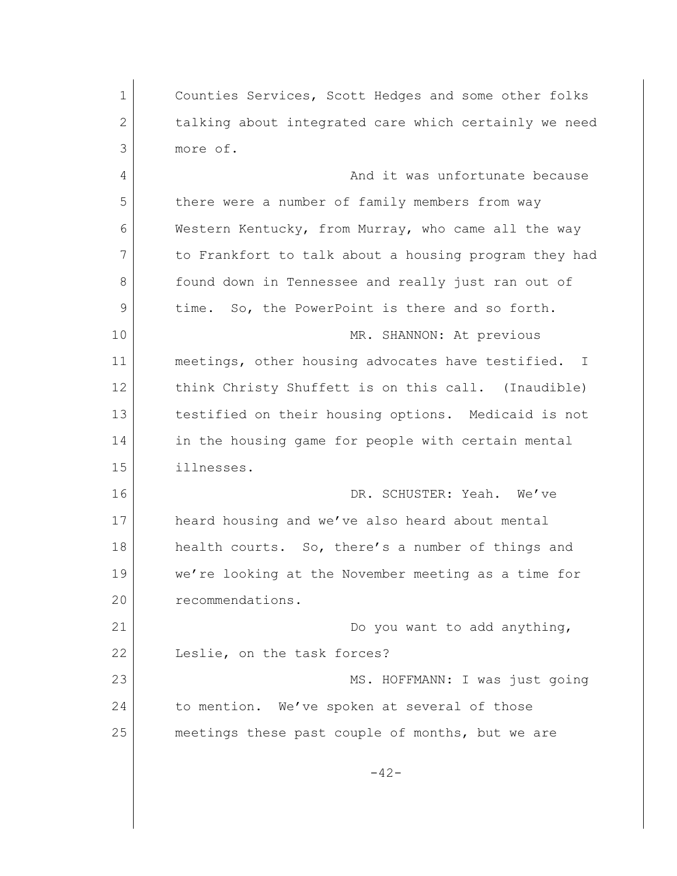1 Counties Services, Scott Hedges and some other folks 2 talking about integrated care which certainly we need 3 more of. 4 And it was unfortunate because 5 there were a number of family members from way 6 Western Kentucky, from Murray, who came all the way 7 to Frankfort to talk about a housing program they had 8 **found down in Tennessee and really just ran out of** 9 time. So, the PowerPoint is there and so forth. 10 MR. SHANNON: At previous 11 meetings, other housing advocates have testified. I 12 think Christy Shuffett is on this call. (Inaudible) 13 testified on their housing options. Medicaid is not 14 in the housing game for people with certain mental 15 illnesses. 16 DR. SCHUSTER: Yeah. We've 17 heard housing and we've also heard about mental 18 health courts. So, there's a number of things and 19 we're looking at the November meeting as a time for 20 recommendations. 21 Do you want to add anything, 22 Leslie, on the task forces? 23 MS. HOFFMANN: I was just going 24 to mention. We've spoken at several of those 25 meetings these past couple of months, but we are  $-42-$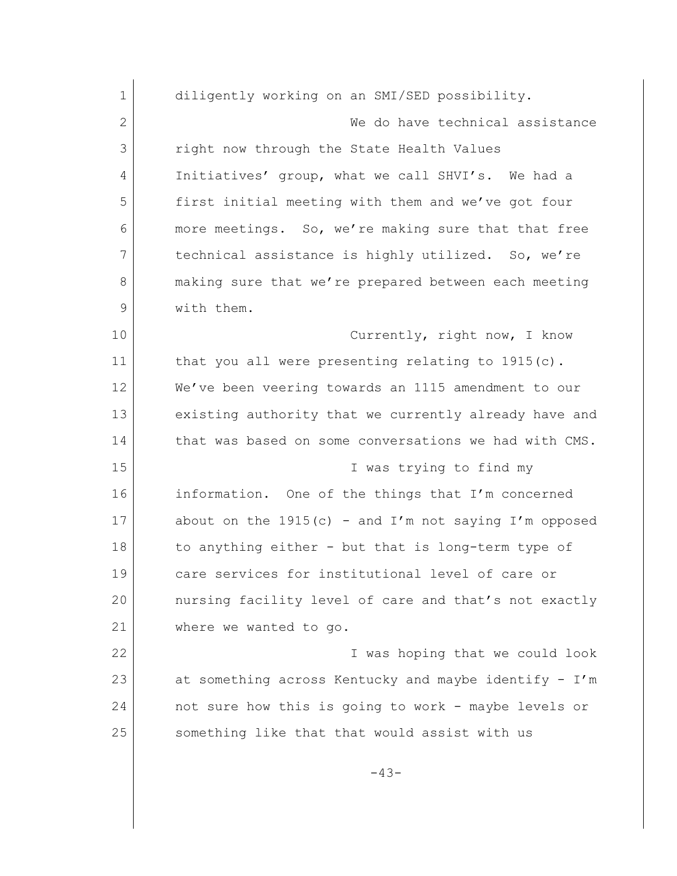| $\mathbf 1$  | diligently working on an SMI/SED possibility.           |
|--------------|---------------------------------------------------------|
| $\mathbf{2}$ | We do have technical assistance                         |
| 3            | right now through the State Health Values               |
| 4            | Initiatives' group, what we call SHVI's. We had a       |
| 5            | first initial meeting with them and we've got four      |
| 6            | more meetings. So, we're making sure that that free     |
| 7            | technical assistance is highly utilized. So, we're      |
| 8            | making sure that we're prepared between each meeting    |
| 9            | with them.                                              |
| 10           | Currently, right now, I know                            |
| 11           | that you all were presenting relating to $1915(c)$ .    |
| 12           | We've been veering towards an 1115 amendment to our     |
| 13           | existing authority that we currently already have and   |
| 14           | that was based on some conversations we had with CMS.   |
| 15           | I was trying to find my                                 |
| 16           | information. One of the things that I'm concerned       |
| 17           | about on the $1915(c)$ - and I'm not saying I'm opposed |
| 18           | to anything either - but that is long-term type of      |
| 19           | care services for institutional level of care or        |
| 20           | nursing facility level of care and that's not exactly   |
| 21           | where we wanted to go.                                  |
| 22           | I was hoping that we could look                         |
| 23           | at something across Kentucky and maybe identify - I'm   |
| 24           | not sure how this is going to work - maybe levels or    |
| 25           | something like that that would assist with us           |
|              | $-43-$                                                  |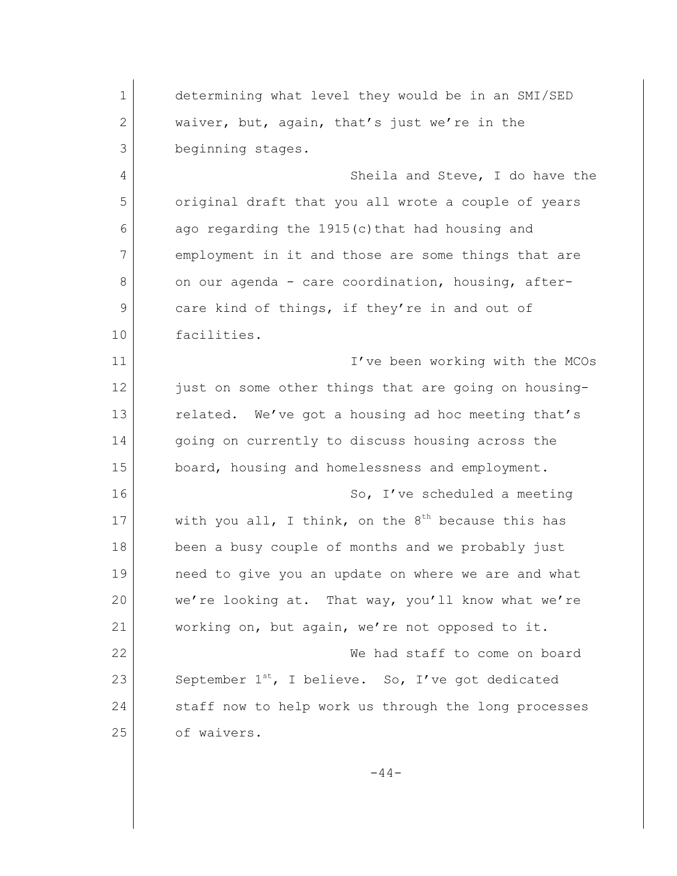1 determining what level they would be in an SMI/SED 2 waiver, but, again, that's just we're in the 3 beginning stages. 4 Sheila and Steve, I do have the 5 original draft that you all wrote a couple of years 6 ago regarding the 1915(c) that had housing and 7 employment in it and those are some things that are 8 on our agenda - care coordination, housing, after-9 care kind of things, if they're in and out of 10 facilities. 11 I've been working with the MCOs 12 just on some other things that are going on housing-13 related. We've got a housing ad hoc meeting that's 14 going on currently to discuss housing across the 15 board, housing and homelessness and employment. 16 So, I've scheduled a meeting 17 with you all, I think, on the  $8^{th}$  because this has 18 been a busy couple of months and we probably just 19 need to give you an update on where we are and what 20 we're looking at. That way, you'll know what we're 21 working on, but again, we're not opposed to it. 22 We had staff to come on board 23 September 1<sup>st</sup>, I believe. So, I've got dedicated 24 staff now to help work us through the long processes 25 of waivers.

 $-44-$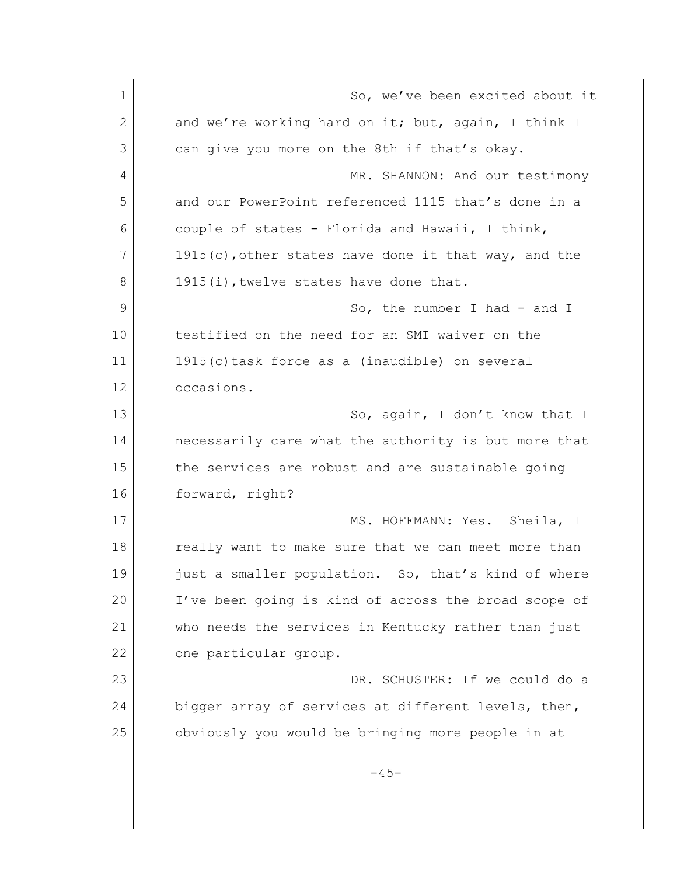| $\mathbf 1$  | So, we've been excited about it                         |
|--------------|---------------------------------------------------------|
| $\mathbf{2}$ | and we're working hard on it; but, again, I think I     |
| 3            | can give you more on the 8th if that's okay.            |
| 4            | MR. SHANNON: And our testimony                          |
| 5            | and our PowerPoint referenced 1115 that's done in a     |
| 6            | couple of states - Florida and Hawaii, I think,         |
| 7            | $1915(c)$ , other states have done it that way, and the |
| 8            | 1915(i), twelve states have done that.                  |
| 9            | So, the number I had - and I                            |
| 10           | testified on the need for an SMI waiver on the          |
| 11           | 1915(c) task force as a (inaudible) on several          |
| 12           | occasions.                                              |
| 13           | So, again, I don't know that I                          |
| 14           | necessarily care what the authority is but more that    |
| 15           | the services are robust and are sustainable going       |
| 16           | forward, right?                                         |
| 17           | MS. HOFFMANN: Yes. Sheila, I                            |
| 18           | really want to make sure that we can meet more than     |
| 19           | just a smaller population. So, that's kind of where     |
| 20           | I've been going is kind of across the broad scope of    |
| 21           | who needs the services in Kentucky rather than just     |
| 22           | one particular group.                                   |
| 23           | DR. SCHUSTER: If we could do a                          |
| 24           | bigger array of services at different levels, then,     |
| 25           | obviously you would be bringing more people in at       |
|              | $-45-$                                                  |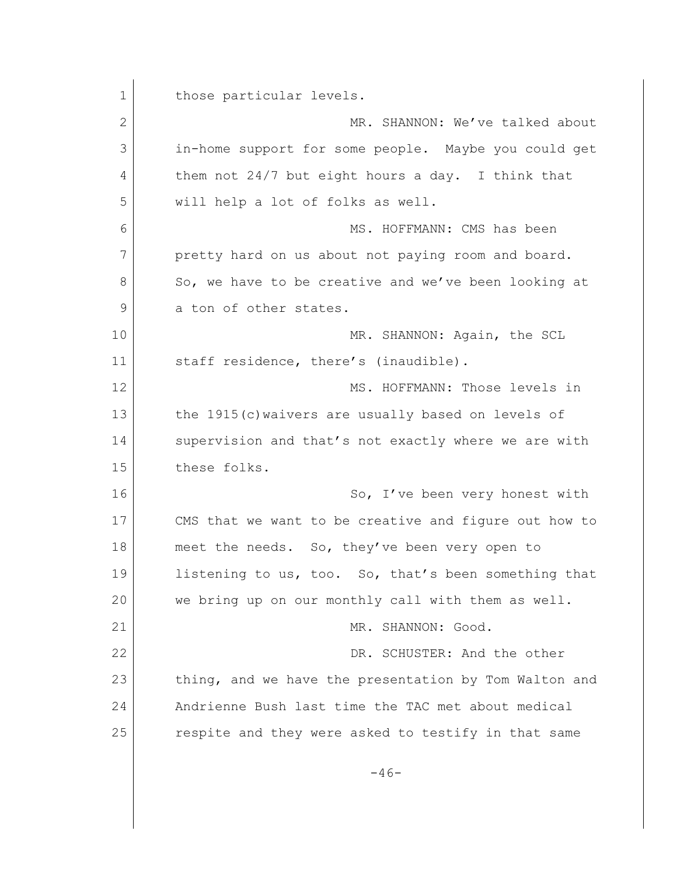1 those particular levels. 2 MR. SHANNON: We've talked about 3 in-home support for some people. Maybe you could get 4 them not 24/7 but eight hours a day. I think that 5 will help a lot of folks as well. 6 MS. HOFFMANN: CMS has been 7 pretty hard on us about not paying room and board. 8 So, we have to be creative and we've been looking at 9 a ton of other states. 10 MR. SHANNON: Again, the SCL 11 staff residence, there's (inaudible). 12 MS. HOFFMANN: Those levels in 13 the 1915(c) waivers are usually based on levels of 14 Supervision and that's not exactly where we are with 15 these folks. 16 So, I've been very honest with 17 CMS that we want to be creative and figure out how to 18 meet the needs. So, they've been very open to 19 listening to us, too. So, that's been something that 20 we bring up on our monthly call with them as well. 21 MR. SHANNON: Good. 22 DR. SCHUSTER: And the other 23 thing, and we have the presentation by Tom Walton and 24 Andrienne Bush last time the TAC met about medical 25 respite and they were asked to testify in that same  $-46-$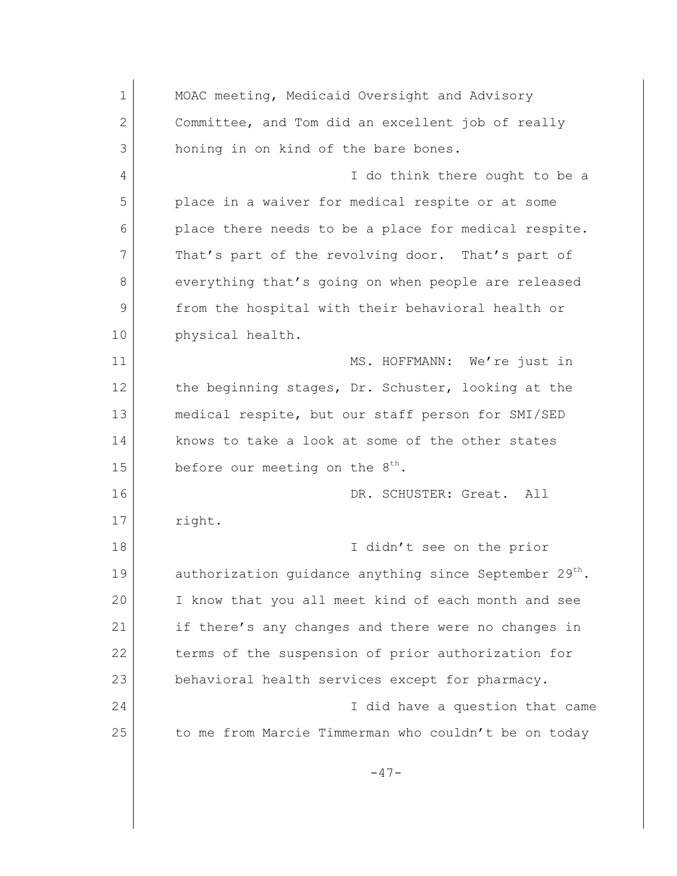1 MOAC meeting, Medicaid Oversight and Advisory 2 Committee, and Tom did an excellent job of really 3 honing in on kind of the bare bones. 4 I do think there ought to be a 5 place in a waiver for medical respite or at some 6 place there needs to be a place for medical respite. 7 That's part of the revolving door. That's part of 8 everything that's going on when people are released 9 from the hospital with their behavioral health or 10 physical health. 11 MS. HOFFMANN: We're just in 12 the beginning stages, Dr. Schuster, looking at the 13 medical respite, but our staff person for SMI/SED 14 knows to take a look at some of the other states 15 before our meeting on the  $8<sup>th</sup>$ . 16 DR. SCHUSTER: Great. All 17 right. 18 I didn't see on the prior 19 authorization quidance anything since September 29<sup>th</sup>. 20 I know that you all meet kind of each month and see 21 if there's any changes and there were no changes in 22 terms of the suspension of prior authorization for 23 behavioral health services except for pharmacy. 24 I did have a question that came 25 to me from Marcie Timmerman who couldn't be on today  $-47-$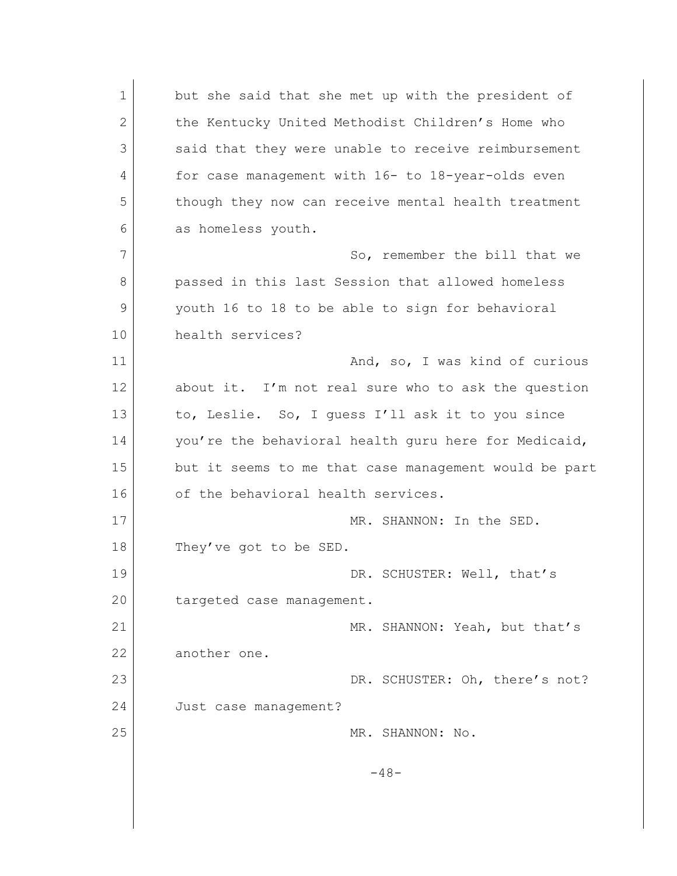1 but she said that she met up with the president of 2 the Kentucky United Methodist Children's Home who 3 said that they were unable to receive reimbursement 4 for case management with 16- to 18-year-olds even 5 though they now can receive mental health treatment 6 as homeless youth. 7 So, remember the bill that we 8 passed in this last Session that allowed homeless 9 youth 16 to 18 to be able to sign for behavioral 10 health services? 11 and, so, I was kind of curious 12 about it. I'm not real sure who to ask the question 13 to, Leslie. So, I quess I'll ask it to you since 14 you're the behavioral health quru here for Medicaid, 15 but it seems to me that case management would be part 16 of the behavioral health services. 17 MR. SHANNON: In the SED. 18 They've got to be SED. 19 DR. SCHUSTER: Well, that's 20 targeted case management. 21 MR. SHANNON: Yeah, but that's 22 another one. 23 DR. SCHUSTER: Oh, there's not? 24 Just case management? 25 MR. SHANNON: No.  $-48-$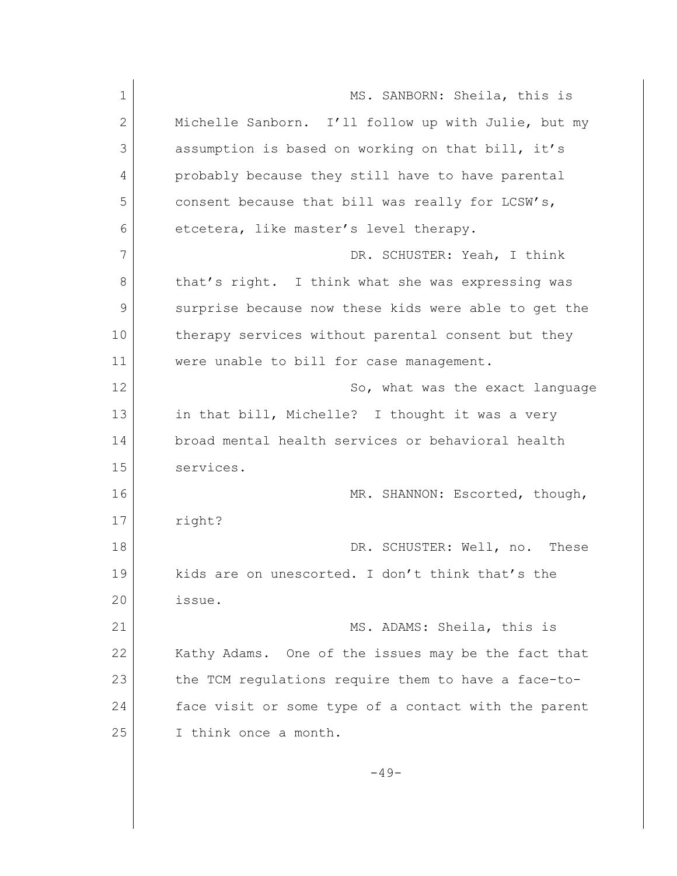1 MS. SANBORN: Sheila, this is 2 Michelle Sanborn. I'll follow up with Julie, but my 3 assumption is based on working on that bill, it's 4 probably because they still have to have parental 5 consent because that bill was really for LCSW's, 6 etcetera, like master's level therapy. 7 DR. SCHUSTER: Yeah, I think 8 that's right. I think what she was expressing was 9 surprise because now these kids were able to get the 10 | therapy services without parental consent but they 11 were unable to bill for case management. 12 So, what was the exact language 13 in that bill, Michelle? I thought it was a very 14 broad mental health services or behavioral health 15 services. 16 MR. SHANNON: Escorted, though, 17 right? 18 DR. SCHUSTER: Well, no. These 19 kids are on unescorted. I don't think that's the 20 issue. 21 MS. ADAMS: Sheila, this is 22 Kathy Adams. One of the issues may be the fact that 23 the TCM regulations require them to have a face-to-24 face visit or some type of a contact with the parent 25 I think once a month.  $-49-$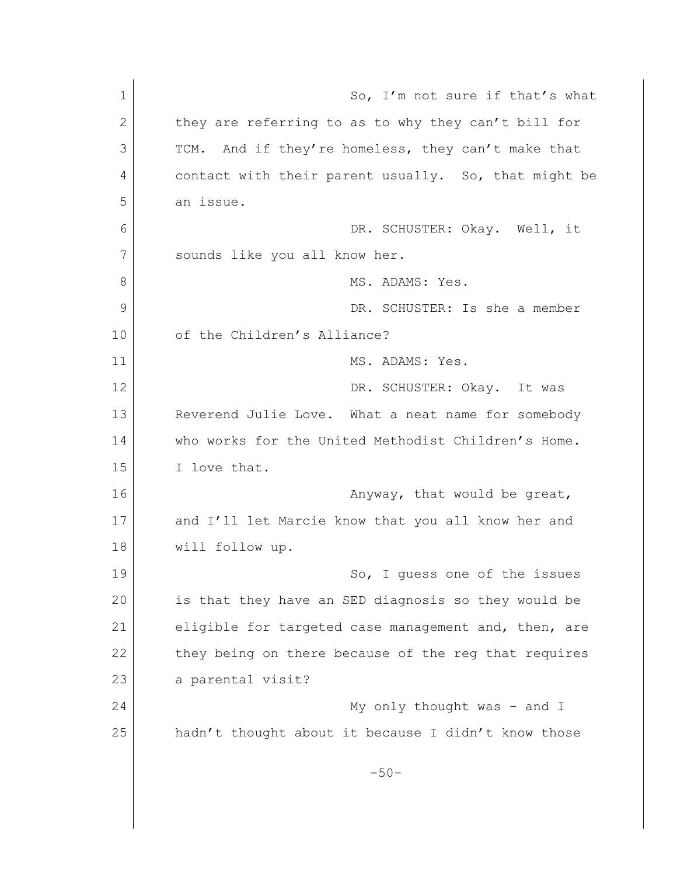1 So, I'm not sure if that's what 2 they are referring to as to why they can't bill for 3 TCM. And if they're homeless, they can't make that 4 contact with their parent usually. So, that might be 5 an issue. 6 DR. SCHUSTER: Okay. Well, it 7 sounds like you all know her. 8 MS. ADAMS: Yes. 9 DR. SCHUSTER: Is she a member 10 of the Children's Alliance? 11 MS. ADAMS: Yes. 12 DR. SCHUSTER: Okay. It was 13 Reverend Julie Love. What a neat name for somebody 14 who works for the United Methodist Children's Home. 15 I love that. 16 **Anyway**, that would be great, 17 and I'll let Marcie know that you all know her and 18 will follow up. 19 So, I quess one of the issues 20 is that they have an SED diagnosis so they would be 21 eligible for targeted case management and, then, are 22 they being on there because of the reg that requires 23 a parental visit? 24 My only thought was - and I 25 hadn't thought about it because I didn't know those  $-50-$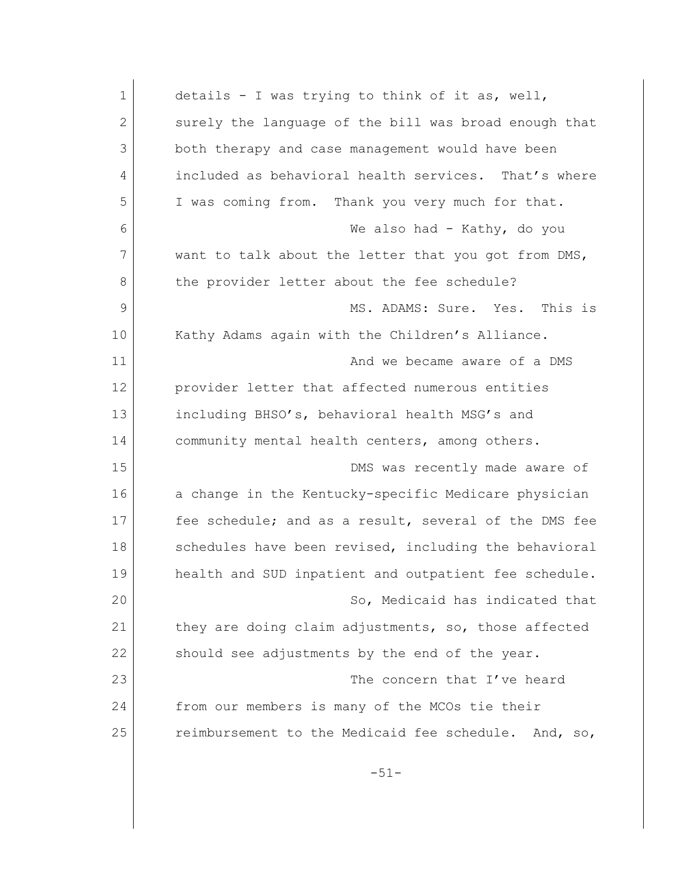| $\mathbf 1$ | details - I was trying to think of it as, well,       |
|-------------|-------------------------------------------------------|
| 2           | surely the language of the bill was broad enough that |
| 3           | both therapy and case management would have been      |
| 4           | included as behavioral health services. That's where  |
| 5           | I was coming from. Thank you very much for that.      |
| 6           | We also had - Kathy, do you                           |
| 7           | want to talk about the letter that you got from DMS,  |
| 8           | the provider letter about the fee schedule?           |
| 9           | MS. ADAMS: Sure. Yes. This is                         |
| 10          | Kathy Adams again with the Children's Alliance.       |
| 11          | And we became aware of a DMS                          |
| 12          | provider letter that affected numerous entities       |
| 13          | including BHSO's, behavioral health MSG's and         |
| 14          | community mental health centers, among others.        |
| 15          | DMS was recently made aware of                        |
| 16          | a change in the Kentucky-specific Medicare physician  |
| 17          | fee schedule; and as a result, several of the DMS fee |
| 18          | schedules have been revised, including the behavioral |
| 19          | health and SUD inpatient and outpatient fee schedule. |
| 20          | So, Medicaid has indicated that                       |
| 21          | they are doing claim adjustments, so, those affected  |
| 22          | should see adjustments by the end of the year.        |
| 23          | The concern that I've heard                           |
| 24          | from our members is many of the MCOs tie their        |
| 25          | reimbursement to the Medicaid fee schedule. And, so,  |
|             |                                                       |
|             | $-51-$                                                |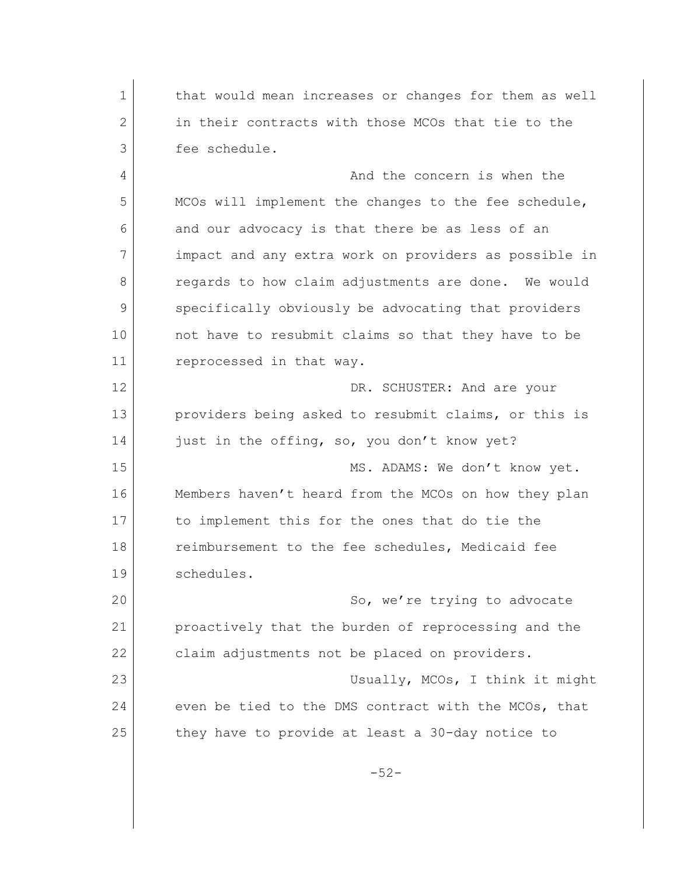1 | that would mean increases or changes for them as well 2 in their contracts with those MCOs that tie to the 3 fee schedule. 4 And the concern is when the 5 MCOs will implement the changes to the fee schedule, 6 and our advocacy is that there be as less of an 7 impact and any extra work on providers as possible in 8 **b** regards to how claim adjustments are done. We would 9 specifically obviously be advocating that providers 10 | not have to resubmit claims so that they have to be 11 reprocessed in that way. 12 DR. SCHUSTER: And are your 13 providers being asked to resubmit claims, or this is 14 just in the offing, so, you don't know yet? 15 MS. ADAMS: We don't know yet. 16 Members haven't heard from the MCOs on how they plan 17 to implement this for the ones that do tie the 18 **reimbursement to the fee schedules, Medicaid fee** 19 schedules. 20 So, we're trying to advocate 21 proactively that the burden of reprocessing and the 22 claim adjustments not be placed on providers. 23 Usually, MCOs, I think it might 24 even be tied to the DMS contract with the MCOs, that 25 they have to provide at least a 30-day notice to -52-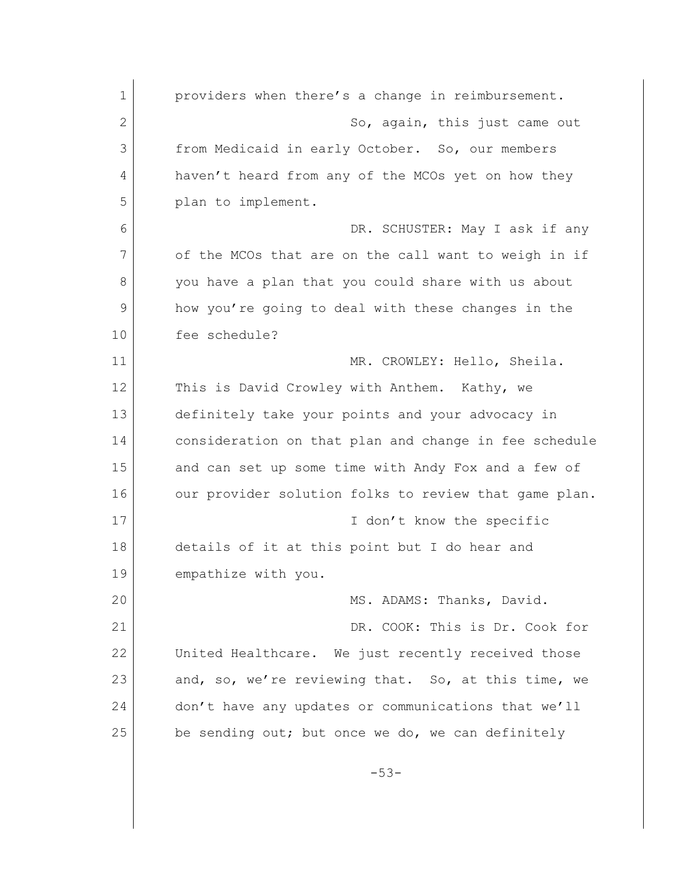| $\mathbf 1$ | providers when there's a change in reimbursement.     |
|-------------|-------------------------------------------------------|
| 2           | So, again, this just came out                         |
| 3           | from Medicaid in early October. So, our members       |
| 4           | haven't heard from any of the MCOs yet on how they    |
| 5           | plan to implement.                                    |
| 6           | DR. SCHUSTER: May I ask if any                        |
| 7           | of the MCOs that are on the call want to weigh in if  |
| 8           | you have a plan that you could share with us about    |
| 9           | how you're going to deal with these changes in the    |
| 10          | fee schedule?                                         |
| 11          | MR. CROWLEY: Hello, Sheila.                           |
| 12          | This is David Crowley with Anthem. Kathy, we          |
| 13          | definitely take your points and your advocacy in      |
| 14          | consideration on that plan and change in fee schedule |
| 15          | and can set up some time with Andy Fox and a few of   |
| 16          | our provider solution folks to review that game plan. |
| 17          | I don't know the specific                             |
| 18          | details of it at this point but I do hear and         |
| 19          | empathize with you.                                   |
| 20          | MS. ADAMS: Thanks, David.                             |
| 21          | DR. COOK: This is Dr. Cook for                        |
| 22          | United Healthcare. We just recently received those    |
| 23          | and, so, we're reviewing that. So, at this time, we   |
| 24          | don't have any updates or communications that we'll   |
| 25          | be sending out; but once we do, we can definitely     |
|             | $-53-$                                                |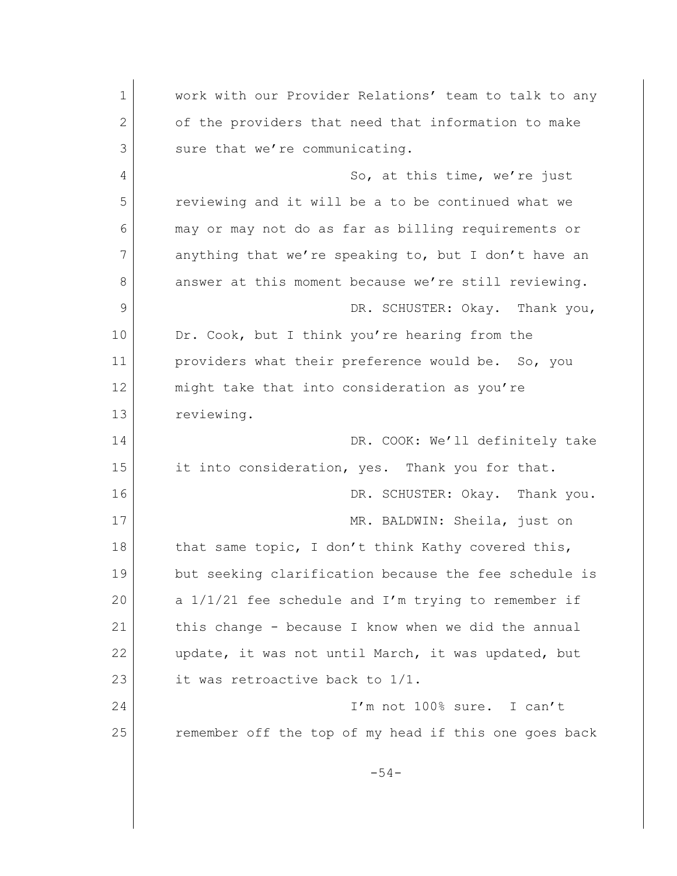1 work with our Provider Relations' team to talk to any 2 of the providers that need that information to make 3 sure that we're communicating. 4 So, at this time, we're just 5 reviewing and it will be a to be continued what we 6 may or may not do as far as billing requirements or 7 anything that we're speaking to, but I don't have an 8 answer at this moment because we're still reviewing. 9 DR. SCHUSTER: Okay. Thank you, 10 Dr. Cook, but I think you're hearing from the 11 providers what their preference would be. So, you 12 might take that into consideration as you're 13 reviewing. 14 DR. COOK: We'll definitely take 15 it into consideration, yes. Thank you for that. 16 DR. SCHUSTER: Okay. Thank you. 17 MR. BALDWIN: Sheila, just on 18 that same topic, I don't think Kathy covered this, 19 but seeking clarification because the fee schedule is 20 a  $1/1/21$  fee schedule and I'm trying to remember if 21 this change - because I know when we did the annual 22 update, it was not until March, it was updated, but 23 it was retroactive back to 1/1. 24 I'm not 100% sure. I can't 25 remember off the top of my head if this one goes back -54-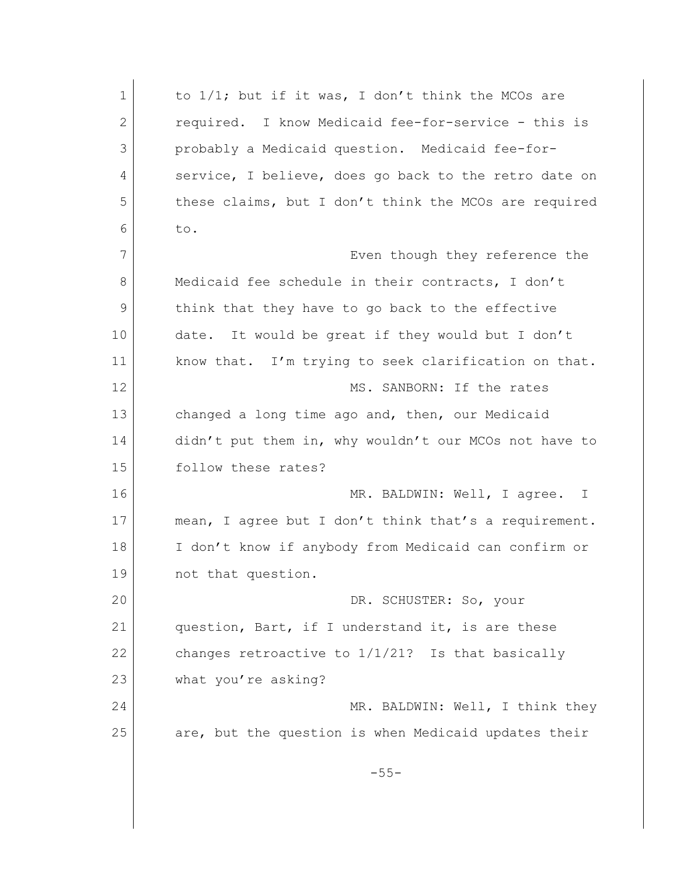1 to 1/1; but if it was, I don't think the MCOs are 2 required. I know Medicaid fee-for-service - this is 3 probably a Medicaid question. Medicaid fee-for-4 service, I believe, does go back to the retro date on 5 these claims, but I don't think the MCOs are required  $6$  to. 7 Even though they reference the 8 Medicaid fee schedule in their contracts, I don't 9 think that they have to go back to the effective 10 date. It would be great if they would but I don't 11 know that. I'm trying to seek clarification on that. 12 | MS. SANBORN: If the rates 13 changed a long time ago and, then, our Medicaid 14 didn't put them in, why wouldn't our MCOs not have to 15 follow these rates? 16 MR. BALDWIN: Well, I agree. I 17 mean, I agree but I don't think that's a requirement. 18 I don't know if anybody from Medicaid can confirm or 19 not that question. 20 DR. SCHUSTER: So, your 21 question, Bart, if I understand it, is are these 22 changes retroactive to  $1/1/21$ ? Is that basically 23 what you're asking? 24 MR. BALDWIN: Well, I think they 25 are, but the question is when Medicaid updates their -55-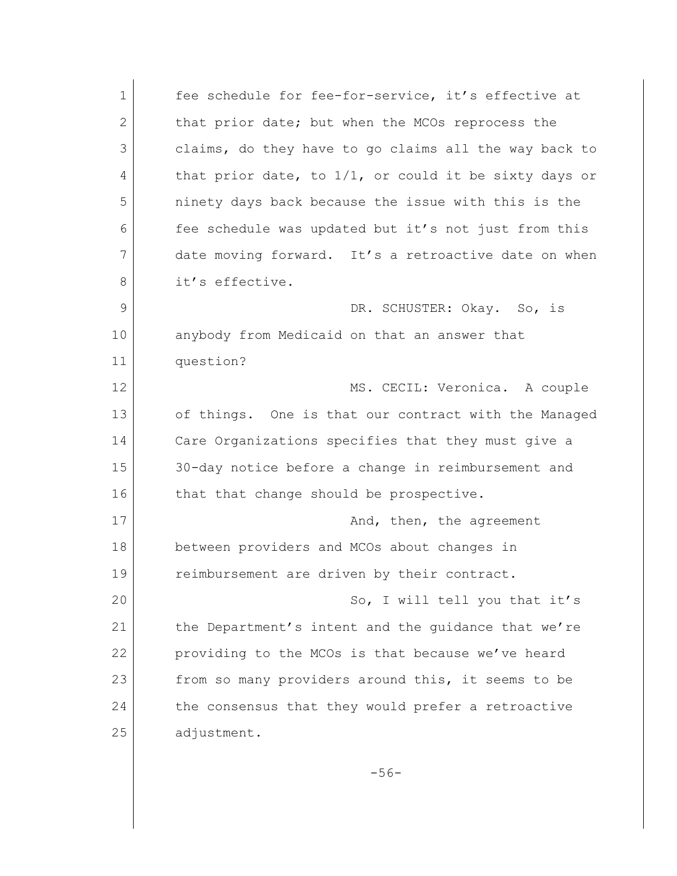1 fee schedule for fee-for-service, it's effective at 2 that prior date; but when the MCOs reprocess the 3 claims, do they have to go claims all the way back to 4 that prior date, to 1/1, or could it be sixty days or 5 ninety days back because the issue with this is the 6 fee schedule was updated but it's not just from this 7 date moving forward. It's a retroactive date on when 8 it's effective. 9 DR. SCHUSTER: Okay. So, is 10 anybody from Medicaid on that an answer that 11 question? 12 MS. CECIL: Veronica. A couple 13 of things. One is that our contract with the Managed 14 Care Organizations specifies that they must give a 15 30-day notice before a change in reimbursement and 16 that that change should be prospective. 17 and, then, the agreement 18 between providers and MCOs about changes in 19 reimbursement are driven by their contract. 20 So, I will tell you that it's 21 the Department's intent and the quidance that we're 22 providing to the MCOs is that because we've heard 23 from so many providers around this, it seems to be 24 the consensus that they would prefer a retroactive 25 adjustment.

-56-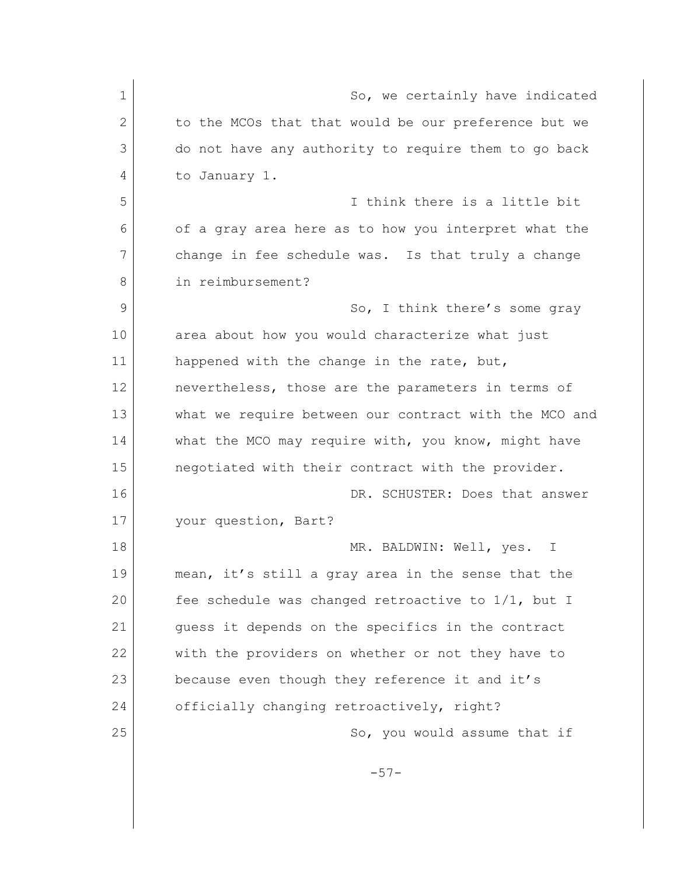| $\mathbf 1$ |                                                       |
|-------------|-------------------------------------------------------|
|             | So, we certainly have indicated                       |
| 2           | to the MCOs that that would be our preference but we  |
| 3           | do not have any authority to require them to go back  |
| 4           | to January 1.                                         |
| 5           | I think there is a little bit                         |
| 6           | of a gray area here as to how you interpret what the  |
| 7           | change in fee schedule was. Is that truly a change    |
| 8           | in reimbursement?                                     |
| 9           | So, I think there's some gray                         |
| 10          | area about how you would characterize what just       |
| 11          | happened with the change in the rate, but,            |
| 12          | nevertheless, those are the parameters in terms of    |
| 13          | what we require between our contract with the MCO and |
| 14          | what the MCO may require with, you know, might have   |
| 15          | negotiated with their contract with the provider.     |
| 16          | DR. SCHUSTER: Does that answer                        |
| 17          | your question, Bart?                                  |
| 18          | MR. BALDWIN: Well, yes.<br>$\mathbb{I}$               |
| 19          | mean, it's still a gray area in the sense that the    |
| 20          | fee schedule was changed retroactive to 1/1, but I    |
| 21          | guess it depends on the specifics in the contract     |
| 22          | with the providers on whether or not they have to     |
| 23          | because even though they reference it and it's        |
| 24          | officially changing retroactively, right?             |
| 25          | So, you would assume that if                          |
|             |                                                       |
|             | $-57-$                                                |
|             |                                                       |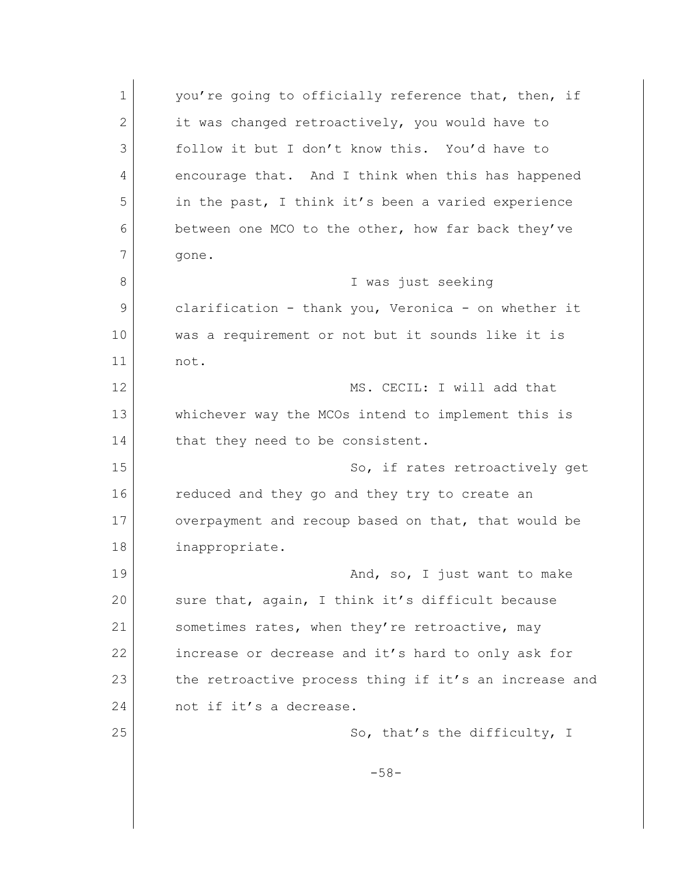1 you're going to officially reference that, then, if 2 it was changed retroactively, you would have to 3 follow it but I don't know this. You'd have to 4 encourage that. And I think when this has happened 5 in the past, I think it's been a varied experience 6 between one MCO to the other, how far back they've 7 gone. 8 I was just seeking 9 clarification - thank you, Veronica - on whether it 10 was a requirement or not but it sounds like it is 11 not. 12 MS. CECIL: I will add that 13 whichever way the MCOs intend to implement this is 14 that they need to be consistent. 15 So, if rates retroactively get 16 reduced and they go and they try to create an 17 overpayment and recoup based on that, that would be 18 inappropriate. 19 and, so, I just want to make 20 sure that, again, I think it's difficult because 21 Sometimes rates, when they're retroactive, may 22 increase or decrease and it's hard to only ask for 23 the retroactive process thing if it's an increase and 24 not if it's a decrease. 25 So, that's the difficulty, I -58-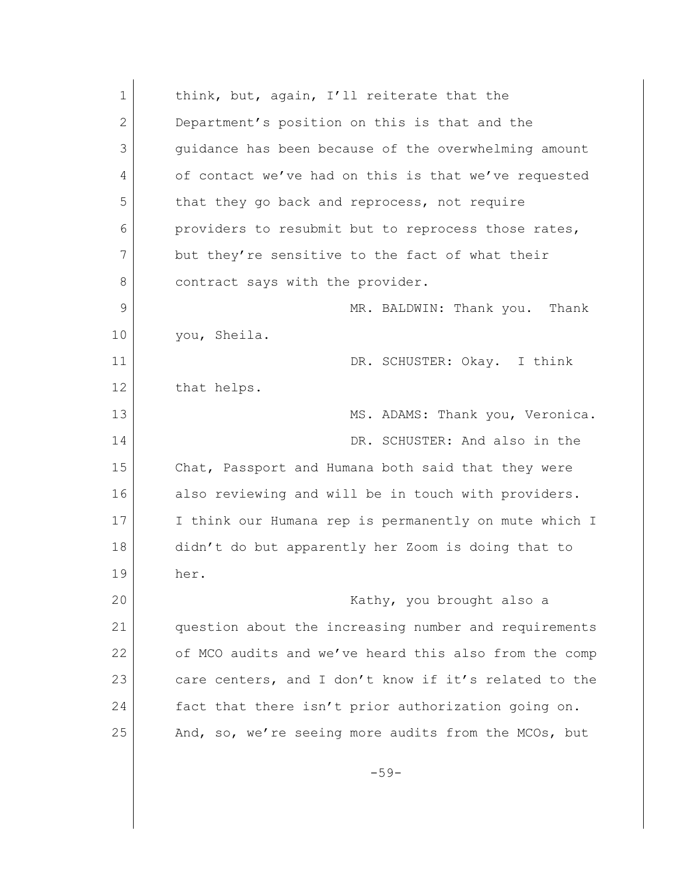| $\mathbf 1$ | think, but, again, I'll reiterate that the            |
|-------------|-------------------------------------------------------|
| 2           | Department's position on this is that and the         |
| 3           | quidance has been because of the overwhelming amount  |
| 4           | of contact we've had on this is that we've requested  |
| 5           | that they go back and reprocess, not require          |
| 6           | providers to resubmit but to reprocess those rates,   |
| 7           | but they're sensitive to the fact of what their       |
| 8           | contract says with the provider.                      |
| 9           | MR. BALDWIN: Thank you. Thank                         |
| 10          | you, Sheila.                                          |
| 11          | DR. SCHUSTER: Okay. I think                           |
| 12          | that helps.                                           |
| 13          | MS. ADAMS: Thank you, Veronica.                       |
| 14          | DR. SCHUSTER: And also in the                         |
| 15          | Chat, Passport and Humana both said that they were    |
| 16          | also reviewing and will be in touch with providers.   |
| 17          | I think our Humana rep is permanently on mute which I |
| 18          | didn't do but apparently her Zoom is doing that to    |
| 19          | her.                                                  |
| 20          | Kathy, you brought also a                             |
| 21          | question about the increasing number and requirements |
| 22          | of MCO audits and we've heard this also from the comp |
| 23          | care centers, and I don't know if it's related to the |
| 24          | fact that there isn't prior authorization going on.   |
| 25          | And, so, we're seeing more audits from the MCOs, but  |
|             | $-59-$                                                |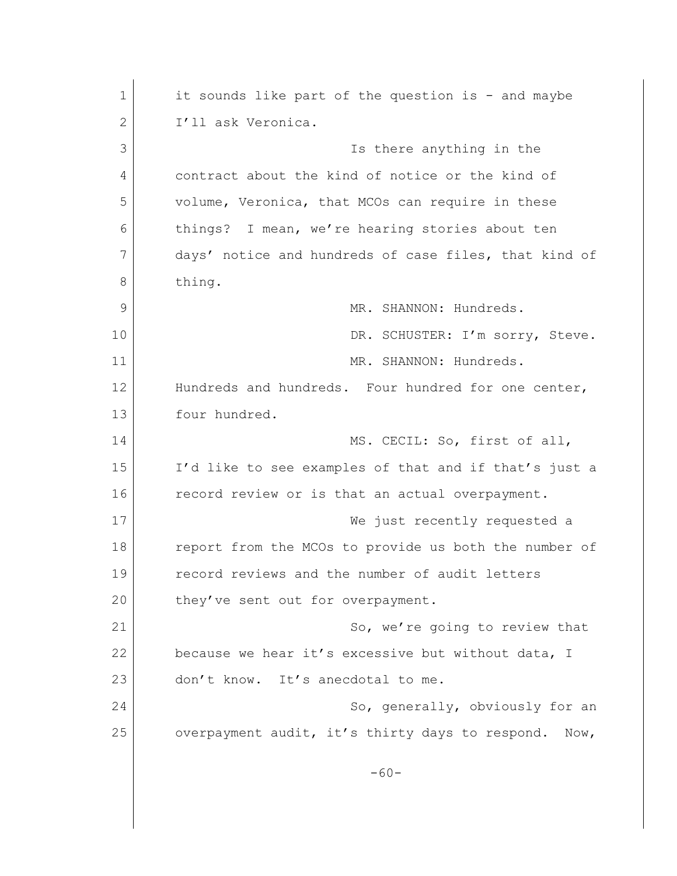| $\mathbf 1$<br>$\mathbf{2}$<br>I'll ask Veronica.<br>3<br>Is there anything in the<br>contract about the kind of notice or the kind of<br>4<br>5<br>volume, Veronica, that MCOs can require in these<br>things? I mean, we're hearing stories about ten<br>6<br>7<br>8<br>thing.<br>9<br>MR. SHANNON: Hundreds.<br>10<br>11<br>MR. SHANNON: Hundreds.<br>12<br>13<br>four hundred.<br>14<br>MS. CECIL: So, first of all,<br>15<br>16<br>record review or is that an actual overpayment.<br>17<br>18<br>19<br>record reviews and the number of audit letters<br>20<br>they've sent out for overpayment.<br>21<br>22<br>23<br>don't know. It's anecdotal to me.<br>24<br>25<br>$-60-$ |                                                       |
|-------------------------------------------------------------------------------------------------------------------------------------------------------------------------------------------------------------------------------------------------------------------------------------------------------------------------------------------------------------------------------------------------------------------------------------------------------------------------------------------------------------------------------------------------------------------------------------------------------------------------------------------------------------------------------------|-------------------------------------------------------|
|                                                                                                                                                                                                                                                                                                                                                                                                                                                                                                                                                                                                                                                                                     | it sounds like part of the question is - and maybe    |
|                                                                                                                                                                                                                                                                                                                                                                                                                                                                                                                                                                                                                                                                                     |                                                       |
|                                                                                                                                                                                                                                                                                                                                                                                                                                                                                                                                                                                                                                                                                     |                                                       |
|                                                                                                                                                                                                                                                                                                                                                                                                                                                                                                                                                                                                                                                                                     |                                                       |
|                                                                                                                                                                                                                                                                                                                                                                                                                                                                                                                                                                                                                                                                                     |                                                       |
|                                                                                                                                                                                                                                                                                                                                                                                                                                                                                                                                                                                                                                                                                     |                                                       |
|                                                                                                                                                                                                                                                                                                                                                                                                                                                                                                                                                                                                                                                                                     | days' notice and hundreds of case files, that kind of |
|                                                                                                                                                                                                                                                                                                                                                                                                                                                                                                                                                                                                                                                                                     |                                                       |
|                                                                                                                                                                                                                                                                                                                                                                                                                                                                                                                                                                                                                                                                                     |                                                       |
|                                                                                                                                                                                                                                                                                                                                                                                                                                                                                                                                                                                                                                                                                     | DR. SCHUSTER: I'm sorry, Steve.                       |
|                                                                                                                                                                                                                                                                                                                                                                                                                                                                                                                                                                                                                                                                                     |                                                       |
|                                                                                                                                                                                                                                                                                                                                                                                                                                                                                                                                                                                                                                                                                     | Hundreds and hundreds. Four hundred for one center,   |
|                                                                                                                                                                                                                                                                                                                                                                                                                                                                                                                                                                                                                                                                                     |                                                       |
|                                                                                                                                                                                                                                                                                                                                                                                                                                                                                                                                                                                                                                                                                     |                                                       |
|                                                                                                                                                                                                                                                                                                                                                                                                                                                                                                                                                                                                                                                                                     | I'd like to see examples of that and if that's just a |
|                                                                                                                                                                                                                                                                                                                                                                                                                                                                                                                                                                                                                                                                                     |                                                       |
|                                                                                                                                                                                                                                                                                                                                                                                                                                                                                                                                                                                                                                                                                     | We just recently requested a                          |
|                                                                                                                                                                                                                                                                                                                                                                                                                                                                                                                                                                                                                                                                                     | report from the MCOs to provide us both the number of |
|                                                                                                                                                                                                                                                                                                                                                                                                                                                                                                                                                                                                                                                                                     |                                                       |
|                                                                                                                                                                                                                                                                                                                                                                                                                                                                                                                                                                                                                                                                                     |                                                       |
|                                                                                                                                                                                                                                                                                                                                                                                                                                                                                                                                                                                                                                                                                     | So, we're going to review that                        |
|                                                                                                                                                                                                                                                                                                                                                                                                                                                                                                                                                                                                                                                                                     | because we hear it's excessive but without data, I    |
|                                                                                                                                                                                                                                                                                                                                                                                                                                                                                                                                                                                                                                                                                     |                                                       |
|                                                                                                                                                                                                                                                                                                                                                                                                                                                                                                                                                                                                                                                                                     | So, generally, obviously for an                       |
|                                                                                                                                                                                                                                                                                                                                                                                                                                                                                                                                                                                                                                                                                     | overpayment audit, it's thirty days to respond. Now,  |
|                                                                                                                                                                                                                                                                                                                                                                                                                                                                                                                                                                                                                                                                                     |                                                       |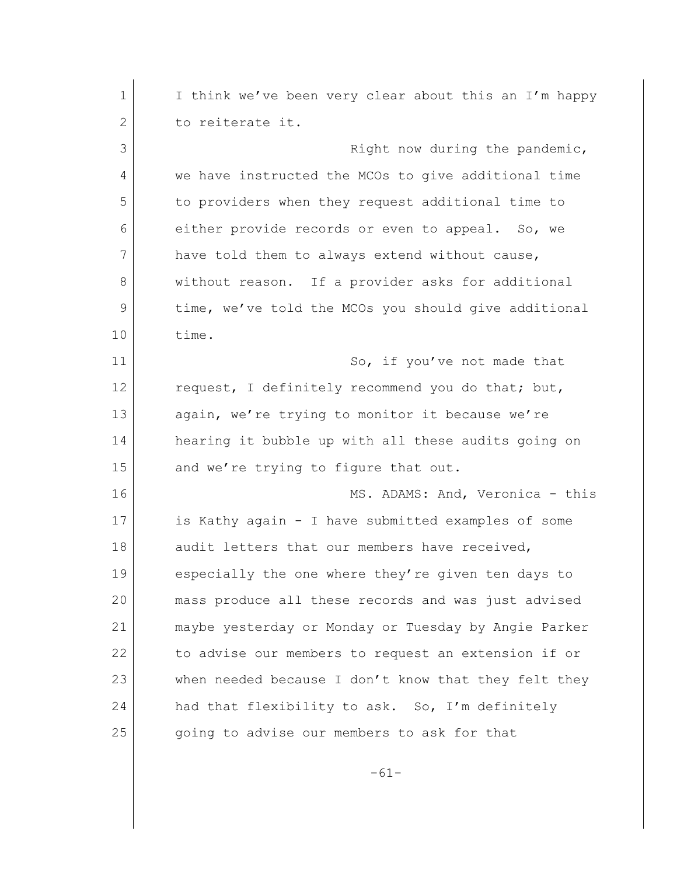1 I think we've been very clear about this an I'm happy 2 to reiterate it. 3 **Blue Communist Right now during the pandemic,** 4 we have instructed the MCOs to give additional time 5 to providers when they request additional time to 6 either provide records or even to appeal. So, we 7 have told them to always extend without cause, 8 without reason. If a provider asks for additional 9 time, we've told the MCOs you should give additional 10 time. 11 So, if you've not made that 12 request, I definitely recommend you do that; but, 13 again, we're trying to monitor it because we're 14 hearing it bubble up with all these audits going on 15 and we're trying to figure that out. 16 MS. ADAMS: And, Veronica - this 17 is Kathy again - I have submitted examples of some 18 audit letters that our members have received, 19 especially the one where they're given ten days to 20 mass produce all these records and was just advised 21 maybe yesterday or Monday or Tuesday by Angie Parker 22 to advise our members to request an extension if or 23 when needed because I don't know that they felt they 24 had that flexibility to ask. So, I'm definitely 25 going to advise our members to ask for that

-61-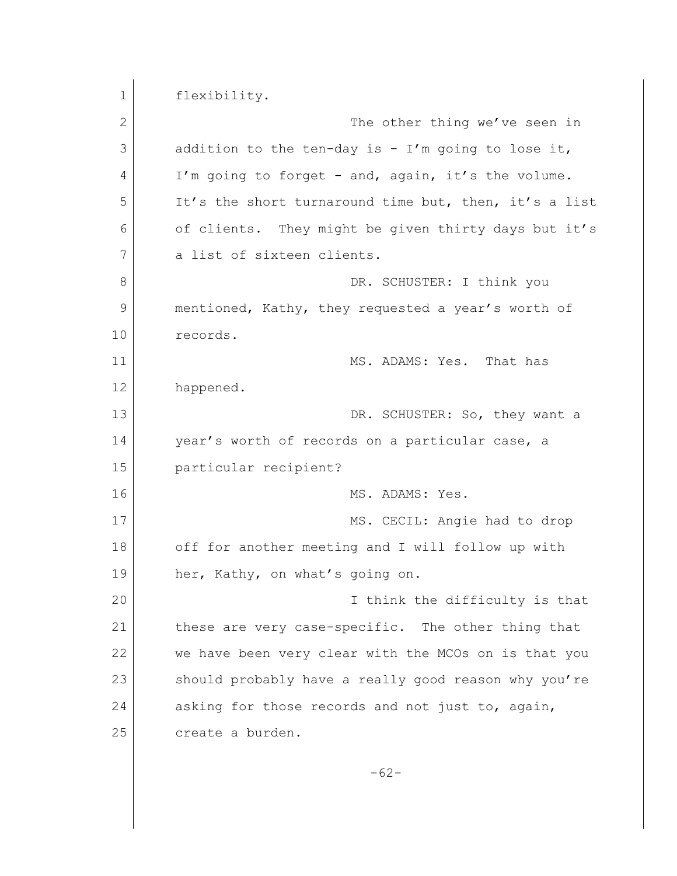1 flexibility. 2 The other thing we've seen in  $3$  addition to the ten-day is - I'm going to lose it, 4 I'm going to forget - and, again, it's the volume. 5 It's the short turnaround time but, then, it's a list 6 of clients. They might be given thirty days but it's 7 a list of sixteen clients. 8 DR. SCHUSTER: I think you 9 mentioned, Kathy, they requested a year's worth of 10 records. 11 MS. ADAMS: Yes. That has 12 happened. 13 DR. SCHUSTER: So, they want a 14 year's worth of records on a particular case, a 15 particular recipient? 16 MS. ADAMS: Yes. 17 MS. CECIL: Angie had to drop 18 off for another meeting and I will follow up with 19 her, Kathy, on what's going on. 20 I think the difficulty is that 21 these are very case-specific. The other thing that 22 we have been very clear with the MCOs on is that you 23 should probably have a really good reason why you're 24 asking for those records and not just to, again, 25 create a burden. -62-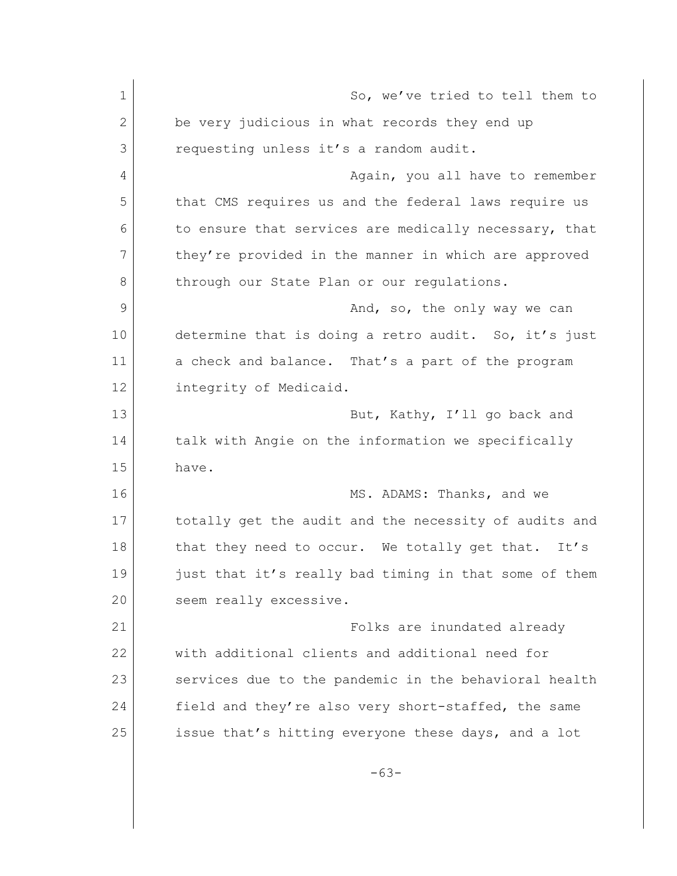1 So, we've tried to tell them to 2 be very judicious in what records they end up 3 requesting unless it's a random audit. 4 Again, you all have to remember 5 that CMS requires us and the federal laws require us 6 to ensure that services are medically necessary, that 7 they're provided in the manner in which are approved 8 through our State Plan or our regulations. 9 And, so, the only way we can 10 determine that is doing a retro audit. So, it's just 11 a check and balance. That's a part of the program 12 integrity of Medicaid. 13 But, Kathy, I'll go back and 14 talk with Angie on the information we specifically 15 have. 16 MS. ADAMS: Thanks, and we 17 totally get the audit and the necessity of audits and 18 | that they need to occur. We totally get that. It's 19 just that it's really bad timing in that some of them 20 seem really excessive. 21 | Communist Communist Polks are inundated already 22 with additional clients and additional need for 23 services due to the pandemic in the behavioral health 24 field and they're also very short-staffed, the same 25 issue that's hitting everyone these days, and a lot -63-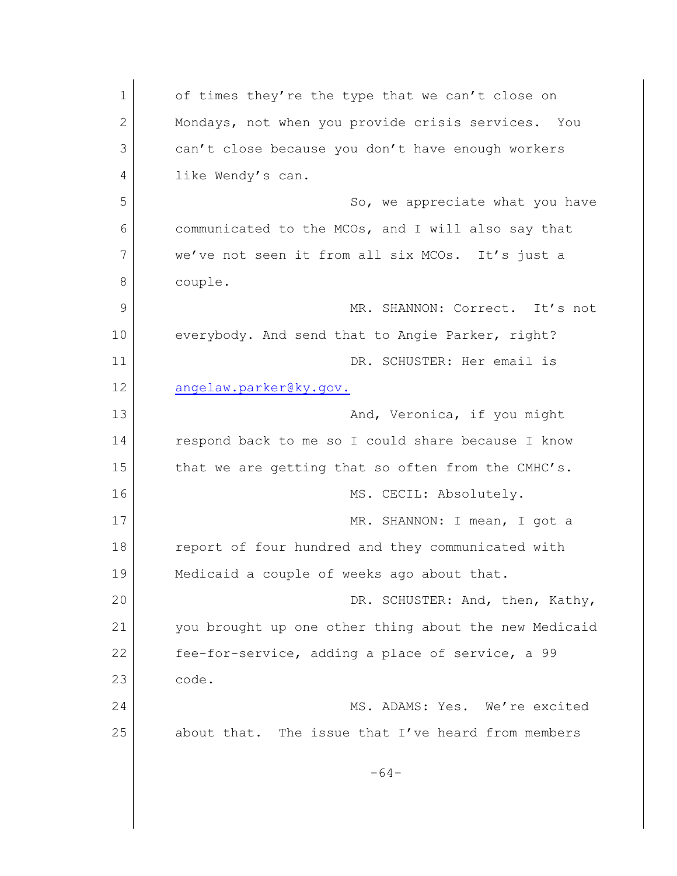1 of times they're the type that we can't close on 2 Mondays, not when you provide crisis services. You 3 can't close because you don't have enough workers 4 like Wendy's can. 5 So, we appreciate what you have 6 communicated to the MCOs, and I will also say that 7 we've not seen it from all six MCOs. It's just a 8 couple. 9 MR. SHANNON: Correct. It's not 10 everybody. And send that to Angie Parker, right? 11 DR. SCHUSTER: Her email is 12 [angelaw.parker@ky.gov.](mailto:Angelawparker@ky.gov.) 13 And, Veronica, if you might 14 respond back to me so I could share because I know 15 that we are getting that so often from the CMHC's. 16 MS. CECIL: Absolutely. 17 MR. SHANNON: I mean, I got a 18 report of four hundred and they communicated with 19 Medicaid a couple of weeks ago about that. 20 DR. SCHUSTER: And, then, Kathy, 21 you brought up one other thing about the new Medicaid 22 fee-for-service, adding a place of service, a 99 23 code. 24 MS. ADAMS: Yes. We're excited 25 about that. The issue that I've heard from members -64-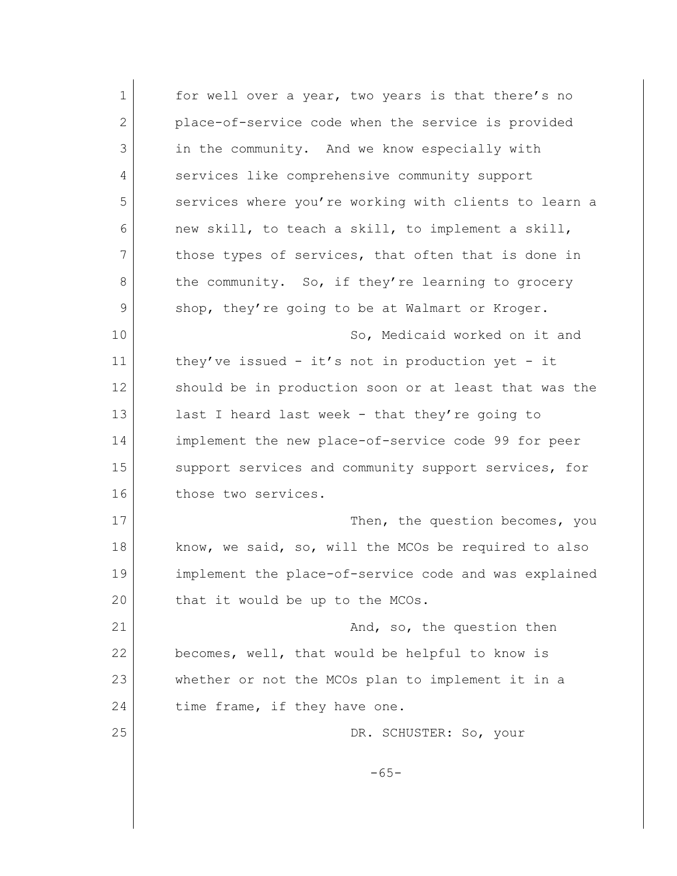| $\mathbf 1$ | for well over a year, two years is that there's no    |
|-------------|-------------------------------------------------------|
| 2           | place-of-service code when the service is provided    |
| 3           | in the community. And we know especially with         |
| 4           | services like comprehensive community support         |
| 5           | services where you're working with clients to learn a |
| 6           | new skill, to teach a skill, to implement a skill,    |
| 7           | those types of services, that often that is done in   |
| 8           | the community. So, if they're learning to grocery     |
| 9           | shop, they're going to be at Walmart or Kroger.       |
| 10          | So, Medicaid worked on it and                         |
| 11          | they've issued - it's not in production yet - it      |
| 12          | should be in production soon or at least that was the |
| 13          | last I heard last week - that they're going to        |
| 14          | implement the new place-of-service code 99 for peer   |
| 15          | support services and community support services, for  |
| 16          | those two services.                                   |
| 17          | Then, the question becomes, you                       |
| 18          | know, we said, so, will the MCOs be required to also  |
| 19          | implement the place-of-service code and was explained |
| 20          | that it would be up to the MCOs.                      |
| 21          | And, so, the question then                            |
| 22          | becomes, well, that would be helpful to know is       |
| 23          | whether or not the MCOs plan to implement it in a     |
| 24          | time frame, if they have one.                         |
| 25          | DR. SCHUSTER: So, your                                |
|             | $-65-$                                                |
|             |                                                       |
|             |                                                       |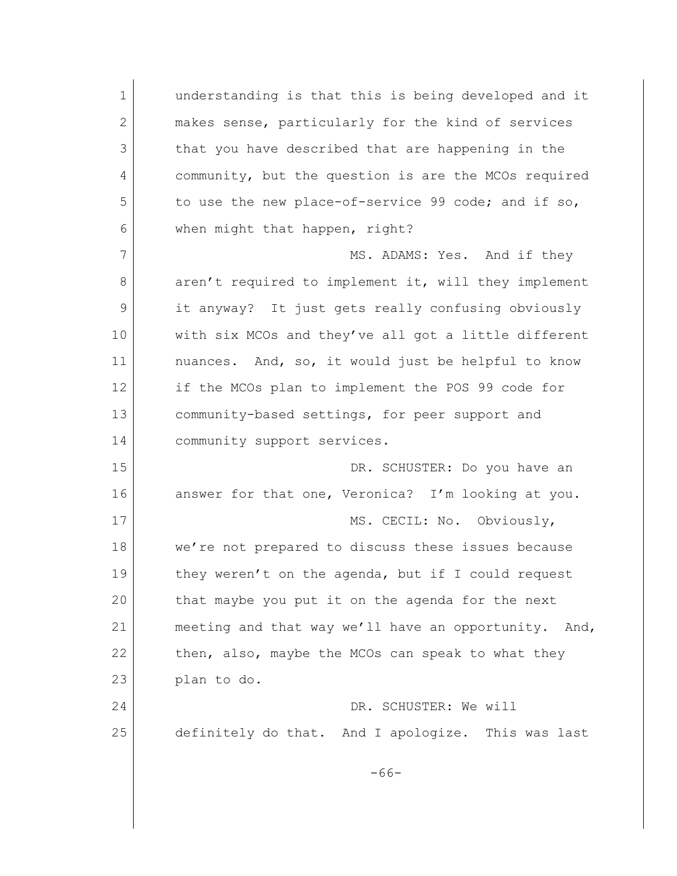1 **understanding is that this is being developed and it** 2 makes sense, particularly for the kind of services 3 that you have described that are happening in the 4 community, but the question is are the MCOs required 5 to use the new place-of-service 99 code; and if so, 6 when might that happen, right? 7 MS. ADAMS: Yes. And if they 8 aren't required to implement it, will they implement 9 it anyway? It just gets really confusing obviously 10 with six MCOs and they've all got a little different 11 | nuances. And, so, it would just be helpful to know 12 if the MCOs plan to implement the POS 99 code for 13 community-based settings, for peer support and 14 community support services. 15 DR. SCHUSTER: Do you have an 16 answer for that one, Veronica? I'm looking at you. 17 MS. CECIL: No. Obviously, 18 we're not prepared to discuss these issues because 19 they weren't on the agenda, but if I could request 20 that maybe you put it on the agenda for the next 21 meeting and that way we'll have an opportunity. And, 22 then, also, maybe the MCOs can speak to what they 23 plan to do. 24 DR. SCHUSTER: We will 25 definitely do that. And I apologize. This was last -66-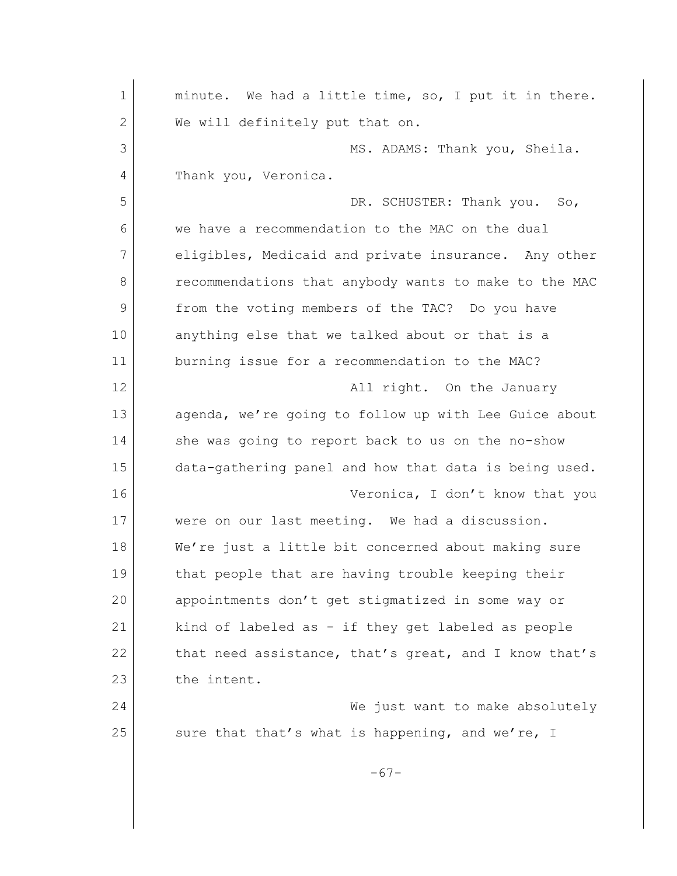| minute. We had a little time, so, I put it in there.  |
|-------------------------------------------------------|
| We will definitely put that on.                       |
| MS. ADAMS: Thank you, Sheila.                         |
| Thank you, Veronica.                                  |
| DR. SCHUSTER: Thank you. So,                          |
| we have a recommendation to the MAC on the dual       |
| eligibles, Medicaid and private insurance. Any other  |
| recommendations that anybody wants to make to the MAC |
| from the voting members of the TAC? Do you have       |
| anything else that we talked about or that is a       |
| burning issue for a recommendation to the MAC?        |
| All right. On the January                             |
| agenda, we're going to follow up with Lee Guice about |
| she was going to report back to us on the no-show     |
| data-gathering panel and how that data is being used. |
| Veronica, I don't know that you                       |
| were on our last meeting. We had a discussion.        |
| We're just a little bit concerned about making sure   |
| that people that are having trouble keeping their     |
| appointments don't get stigmatized in some way or     |
| kind of labeled as - if they get labeled as people    |
| that need assistance, that's great, and I know that's |
| the intent.                                           |
| We just want to make absolutely                       |
| sure that that's what is happening, and we're, I      |
| $-67-$                                                |
|                                                       |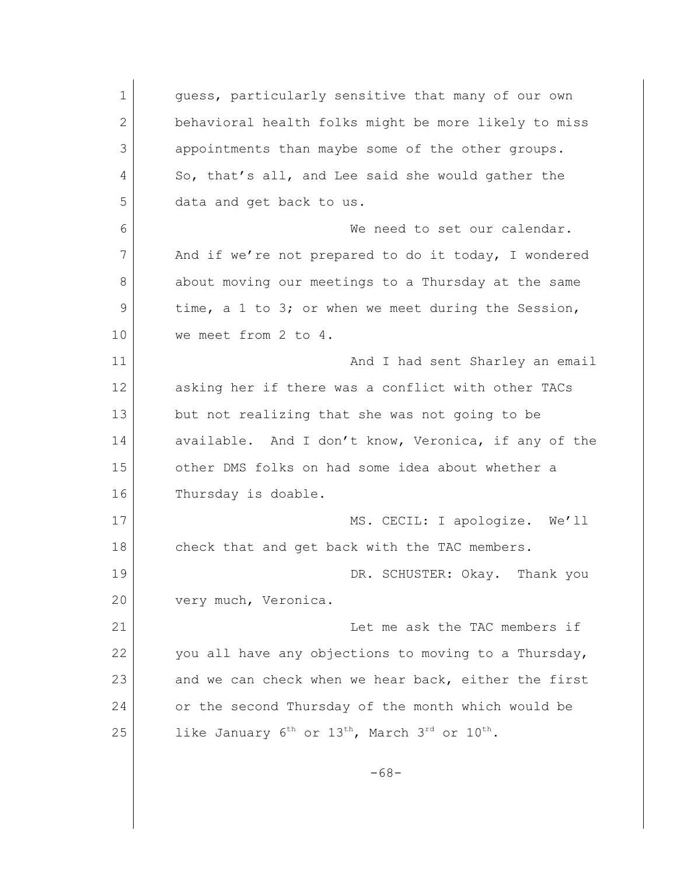1 quess, particularly sensitive that many of our own 2 behavioral health folks might be more likely to miss 3 appointments than maybe some of the other groups. 4 So, that's all, and Lee said she would gather the 5 data and get back to us. 6 We need to set our calendar. 7 And if we're not prepared to do it today, I wondered 8 about moving our meetings to a Thursday at the same 9 time, a 1 to 3; or when we meet during the Session, 10 we meet from 2 to 4. 11 and I had sent Sharley an email 12 asking her if there was a conflict with other TACs 13 but not realizing that she was not going to be 14 available. And I don't know, Veronica, if any of the 15 other DMS folks on had some idea about whether a 16 Thursday is doable. 17 MS. CECIL: I apologize. We'll 18 check that and get back with the TAC members. 19 DR. SCHUSTER: Okay. Thank you 20 very much, Veronica. 21 Let me ask the TAC members if 22 you all have any objections to moving to a Thursday, 23 and we can check when we hear back, either the first 24 or the second Thursday of the month which would be 25 like January  $6^{th}$  or  $13^{th}$ , March  $3^{rd}$  or  $10^{th}$ . -68-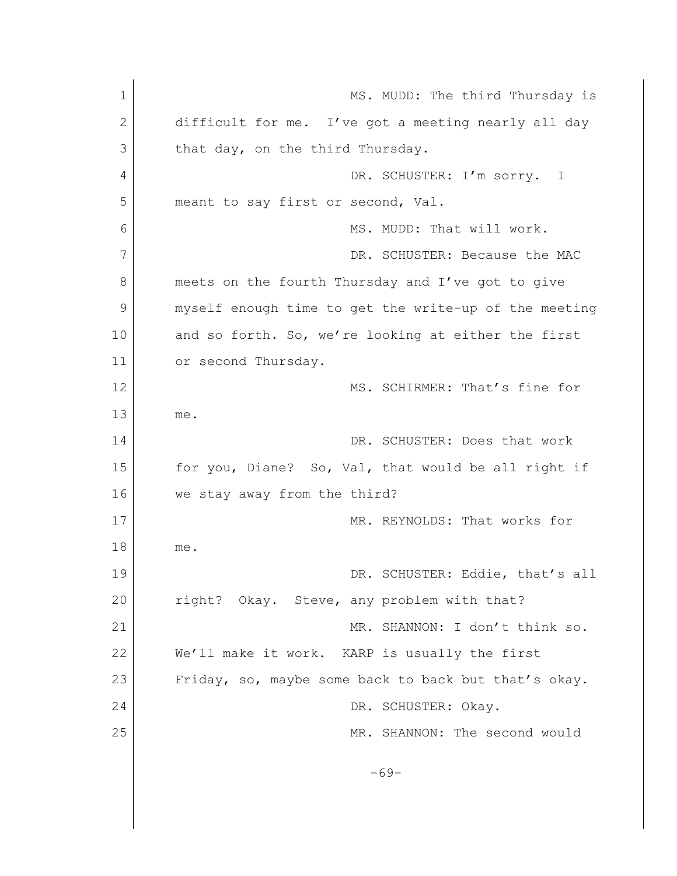| 1  | MS. MUDD: The third Thursday is                       |
|----|-------------------------------------------------------|
| 2  | difficult for me. I've got a meeting nearly all day   |
| 3  | that day, on the third Thursday.                      |
| 4  | DR. SCHUSTER: I'm sorry.<br>$\perp$                   |
| 5  | meant to say first or second, Val.                    |
| 6  | MS. MUDD: That will work.                             |
| 7  | DR. SCHUSTER: Because the MAC                         |
| 8  | meets on the fourth Thursday and I've got to give     |
| 9  | myself enough time to get the write-up of the meeting |
| 10 | and so forth. So, we're looking at either the first   |
| 11 | or second Thursday.                                   |
| 12 | MS. SCHIRMER: That's fine for                         |
| 13 | me.                                                   |
| 14 | DR. SCHUSTER: Does that work                          |
| 15 | for you, Diane? So, Val, that would be all right if   |
| 16 | we stay away from the third?                          |
| 17 | MR. REYNOLDS: That works for                          |
| 18 | me.                                                   |
| 19 | DR. SCHUSTER: Eddie, that's all                       |
| 20 | right? Okay. Steve, any problem with that?            |
| 21 | MR. SHANNON: I don't think so.                        |
| 22 | We'll make it work. KARP is usually the first         |
| 23 | Friday, so, maybe some back to back but that's okay.  |
| 24 | DR. SCHUSTER: Okay.                                   |
| 25 | MR. SHANNON: The second would                         |
|    |                                                       |
|    | $-69-$                                                |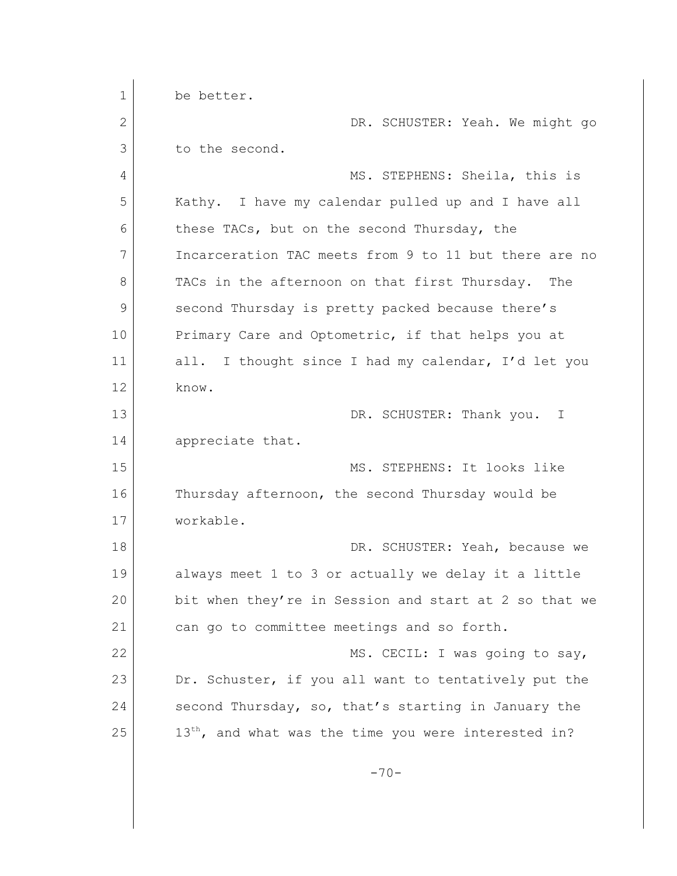1 be better. 2 DR. SCHUSTER: Yeah. We might go 3 to the second. 4 MS. STEPHENS: Sheila, this is 5 Kathy. I have my calendar pulled up and I have all 6 these TACs, but on the second Thursday, the 7 Incarceration TAC meets from 9 to 11 but there are no 8 TACs in the afternoon on that first Thursday. The 9 second Thursday is pretty packed because there's 10 Primary Care and Optometric, if that helps you at 11 all. I thought since I had my calendar, I'd let you 12 know. 13 DR. SCHUSTER: Thank you. I 14 appreciate that. 15 MS. STEPHENS: It looks like 16 Thursday afternoon, the second Thursday would be 17 workable. 18 DR. SCHUSTER: Yeah, because we 19 always meet 1 to 3 or actually we delay it a little 20 bit when they're in Session and start at 2 so that we 21 can go to committee meetings and so forth. 22 MS. CECIL: I was going to say, 23 Dr. Schuster, if you all want to tentatively put the 24 second Thursday, so, that's starting in January the  $25$  13<sup>th</sup>, and what was the time you were interested in?  $-70-$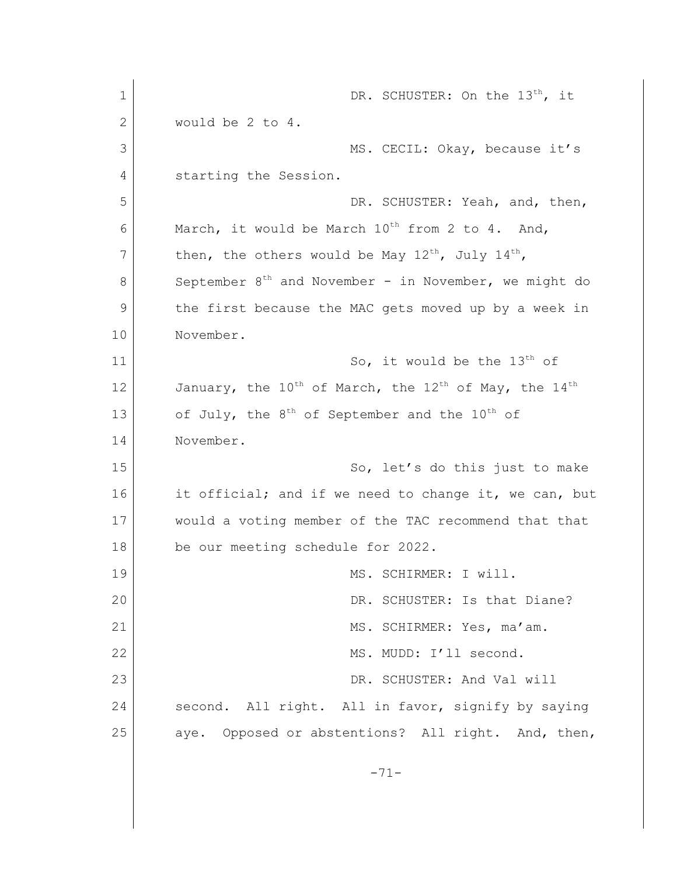1 DR. SCHUSTER: On the 13<sup>th</sup>, it 2 would be 2 to 4. 3 MS. CECIL: Okay, because it's 4 starting the Session. 5 DR. SCHUSTER: Yeah, and, then, 6 March, it would be March  $10^{th}$  from 2 to 4. And, 7 then, the others would be May  $12^{th}$ , July  $14^{th}$ , 8 September  $8<sup>th</sup>$  and November - in November, we might do 9 the first because the MAC gets moved up by a week in 10 November. 11 So, it would be the 13<sup>th</sup> of 12 January, the  $10^{\text{th}}$  of March, the  $12^{\text{th}}$  of May, the  $14^{\text{th}}$ 13 of July, the  $8<sup>th</sup>$  of September and the  $10<sup>th</sup>$  of 14 November. 15 So, let's do this just to make 16 it official; and if we need to change it, we can, but 17 would a voting member of the TAC recommend that that 18 be our meeting schedule for 2022. 19 MS. SCHIRMER: I will. 20 DR. SCHUSTER: Is that Diane? 21 MS. SCHIRMER: Yes, ma'am. 22 MS. MUDD: I'll second. 23 DR. SCHUSTER: And Val will 24 second. All right. All in favor, signify by saying 25 aye. Opposed or abstentions? All right. And, then, -71-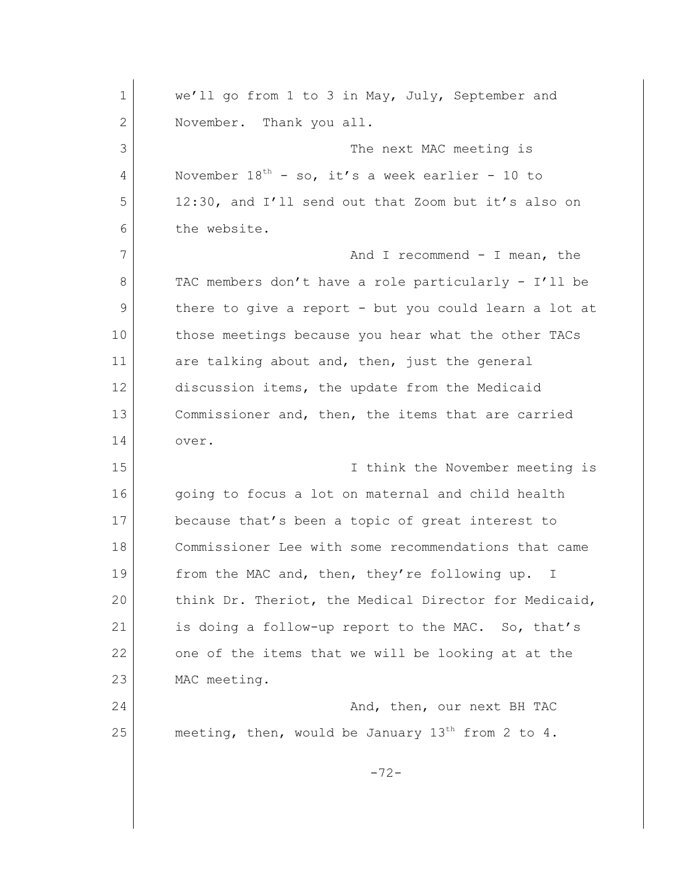| $\mathbf 1$ | we'll go from 1 to 3 in May, July, September and       |
|-------------|--------------------------------------------------------|
| 2           | November. Thank you all.                               |
| 3           | The next MAC meeting is                                |
| 4           | November $18^{th}$ - so, it's a week earlier - 10 to   |
| 5           | 12:30, and I'll send out that Zoom but it's also on    |
| 6           | the website.                                           |
| 7           | And I recommend $-$ I mean, the                        |
| 8           | TAC members don't have a role particularly - I'll be   |
| 9           | there to give a report - but you could learn a lot at  |
| 10          | those meetings because you hear what the other TACs    |
| 11          | are talking about and, then, just the general          |
| 12          | discussion items, the update from the Medicaid         |
| 13          | Commissioner and, then, the items that are carried     |
| 14          | over.                                                  |
| 15          | I think the November meeting is                        |
| 16          | going to focus a lot on maternal and child health      |
| 17          | because that's been a topic of great interest to       |
| 18          | Commissioner Lee with some recommendations that came   |
| 19          | from the MAC and, then, they're following up. I        |
| 20          | think Dr. Theriot, the Medical Director for Medicaid,  |
| 21          | is doing a follow-up report to the MAC. So, that's     |
| 22          | one of the items that we will be looking at at the     |
| 23          | MAC meeting.                                           |
| 24          | And, then, our next BH TAC                             |
| 25          | meeting, then, would be January $13^{th}$ from 2 to 4. |
|             | $-72-$                                                 |
|             |                                                        |